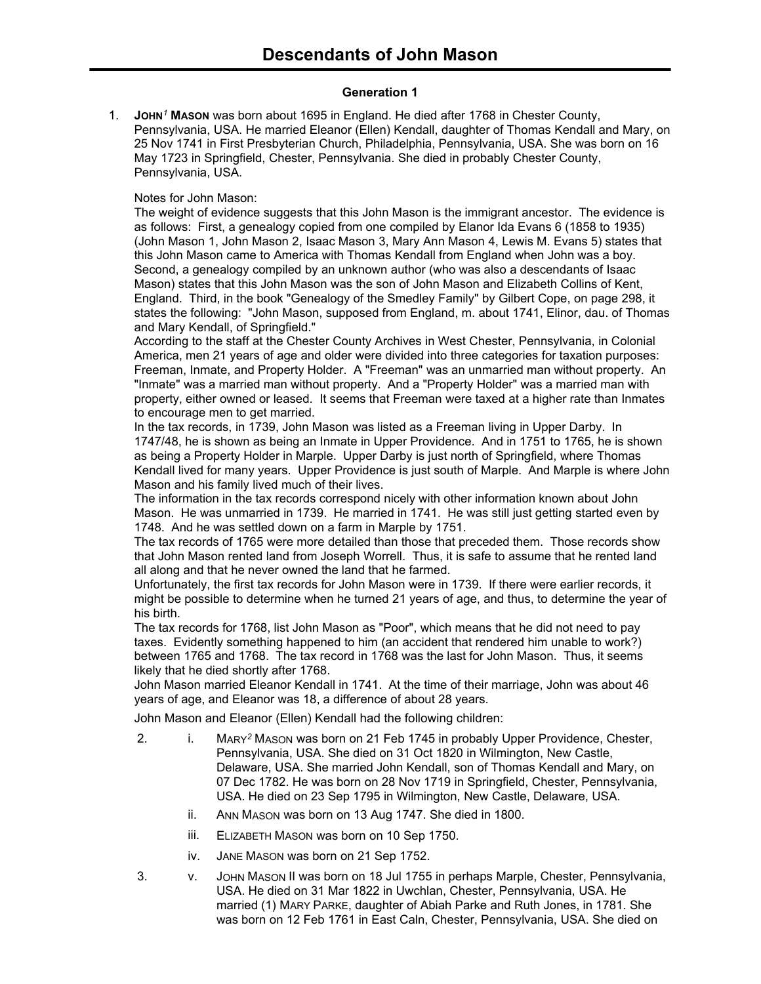### **Generation 1**

1. **JOHN***<sup>1</sup>* **MASON** was born about 1695 in England. He died after 1768 in Chester County, Pennsylvania, USA. He married Eleanor (Ellen) Kendall, daughter of Thomas Kendall and Mary, on 25 Nov 1741 in First Presbyterian Church, Philadelphia, Pennsylvania, USA. She was born on 16 May 1723 in Springfield, Chester, Pennsylvania. She died in probably Chester County, Pennsylvania, USA.

# Notes for John Mason:

The weight of evidence suggests that this John Mason is the immigrant ancestor. The evidence is as follows: First, a genealogy copied from one compiled by Elanor Ida Evans 6 (1858 to 1935) (John Mason 1, John Mason 2, Isaac Mason 3, Mary Ann Mason 4, Lewis M. Evans 5) states that this John Mason came to America with Thomas Kendall from England when John was a boy. Second, a genealogy compiled by an unknown author (who was also a descendants of Isaac Mason) states that this John Mason was the son of John Mason and Elizabeth Collins of Kent, England. Third, in the book "Genealogy of the Smedley Family" by Gilbert Cope, on page 298, it states the following: "John Mason, supposed from England, m. about 1741, Elinor, dau. of Thomas and Mary Kendall, of Springfield."

According to the staff at the Chester County Archives in West Chester, Pennsylvania, in Colonial America, men 21 years of age and older were divided into three categories for taxation purposes: Freeman, Inmate, and Property Holder. A "Freeman" was an unmarried man without property. An "Inmate" was a married man without property. And a "Property Holder" was a married man with property, either owned or leased. It seems that Freeman were taxed at a higher rate than Inmates to encourage men to get married.

In the tax records, in 1739, John Mason was listed as a Freeman living in Upper Darby. In 1747/48, he is shown as being an Inmate in Upper Providence. And in 1751 to 1765, he is shown as being a Property Holder in Marple. Upper Darby is just north of Springfield, where Thomas Kendall lived for many years. Upper Providence is just south of Marple. And Marple is where John Mason and his family lived much of their lives.

The information in the tax records correspond nicely with other information known about John Mason. He was unmarried in 1739. He married in 1741. He was still just getting started even by 1748. And he was settled down on a farm in Marple by 1751.

The tax records of 1765 were more detailed than those that preceded them. Those records show that John Mason rented land from Joseph Worrell. Thus, it is safe to assume that he rented land all along and that he never owned the land that he farmed.

Unfortunately, the first tax records for John Mason were in 1739. If there were earlier records, it might be possible to determine when he turned 21 years of age, and thus, to determine the year of his birth.

The tax records for 1768, list John Mason as "Poor", which means that he did not need to pay taxes. Evidently something happened to him (an accident that rendered him unable to work?) between 1765 and 1768. The tax record in 1768 was the last for John Mason. Thus, it seems likely that he died shortly after 1768.

John Mason married Eleanor Kendall in 1741. At the time of their marriage, John was about 46 years of age, and Eleanor was 18, a difference of about 28 years.

John Mason and Eleanor (Ellen) Kendall had the following children:

- 2. i. MARY*<sup>2</sup>* MASON was born on 21 Feb 1745 in probably Upper Providence, Chester, Pennsylvania, USA. She died on 31 Oct 1820 in Wilmington, New Castle, Delaware, USA. She married John Kendall, son of Thomas Kendall and Mary, on 07 Dec 1782. He was born on 28 Nov 1719 in Springfield, Chester, Pennsylvania, USA. He died on 23 Sep 1795 in Wilmington, New Castle, Delaware, USA.
	- ii. ANN MASON was born on 13 Aug 1747. She died in 1800.
	- iii. ELIZABETH MASON was born on 10 Sep 1750.
	- iv. JANE MASON was born on 21 Sep 1752.
- 3. v. JOHN MASON II was born on 18 Jul 1755 in perhaps Marple, Chester, Pennsylvania, USA. He died on 31 Mar 1822 in Uwchlan, Chester, Pennsylvania, USA. He married (1) MARY PARKE, daughter of Abiah Parke and Ruth Jones, in 1781. She was born on 12 Feb 1761 in East Caln, Chester, Pennsylvania, USA. She died on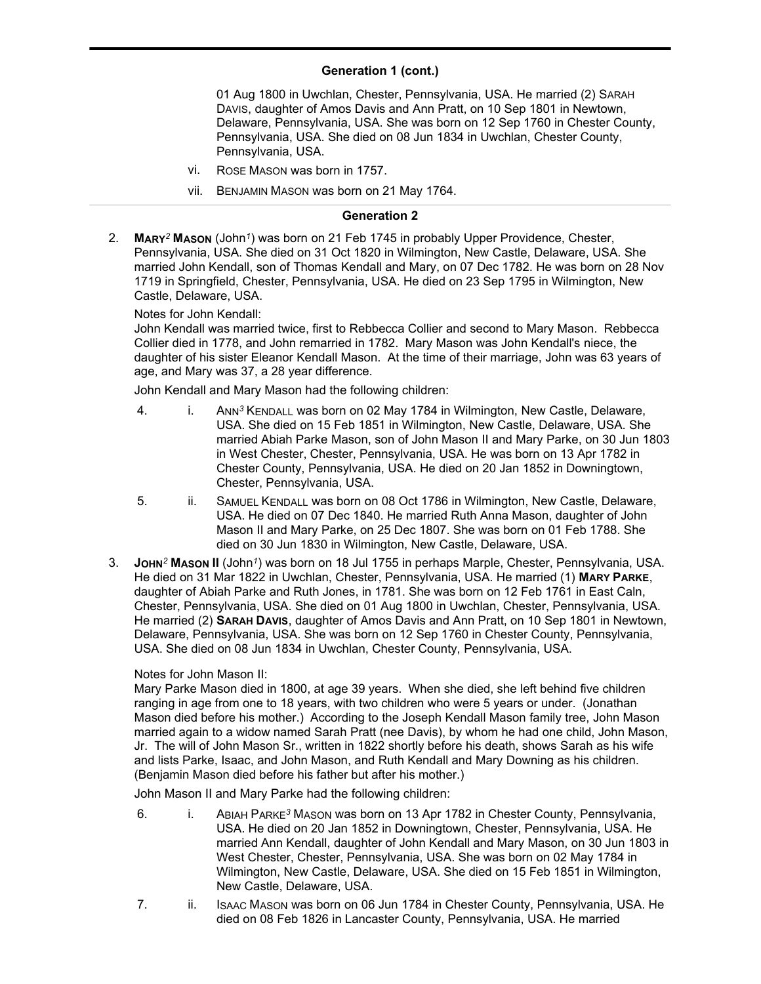#### **Generation 1 (cont.)**  $\sum_{i=1}^{n}$

01 Aug 1800 in Uwchlan, Chester, Pennsylvania, USA. He married (2) SARAH DAVIS, daughter of Amos Davis and Ann Pratt, on 10 Sep 1801 in Newtown, Delaware, Pennsylvania, USA. She was born on 12 Sep 1760 in Chester County, Pennsylvania, USA. She died on 08 Jun 1834 in Uwchlan, Chester County, Pennsylvania, USA.

- vi. ROSE MASON was born in 1757.
- vii. BENJAMIN MASON was born on 21 May 1764.

### **Generation 2**

2. **MARY***<sup>2</sup>* **MASON** (John*<sup>1</sup>* ) was born on 21 Feb 1745 in probably Upper Providence, Chester, Pennsylvania, USA. She died on 31 Oct 1820 in Wilmington, New Castle, Delaware, USA. She married John Kendall, son of Thomas Kendall and Mary, on 07 Dec 1782. He was born on 28 Nov 1719 in Springfield, Chester, Pennsylvania, USA. He died on 23 Sep 1795 in Wilmington, New Castle, Delaware, USA.

### Notes for John Kendall:

John Kendall was married twice, first to Rebbecca Collier and second to Mary Mason. Rebbecca Collier died in 1778, and John remarried in 1782. Mary Mason was John Kendall's niece, the daughter of his sister Eleanor Kendall Mason. At the time of their marriage, John was 63 years of age, and Mary was 37, a 28 year difference.

John Kendall and Mary Mason had the following children:

- 4. i. ANN*<sup>3</sup>* KENDALL was born on 02 May 1784 in Wilmington, New Castle, Delaware, USA. She died on 15 Feb 1851 in Wilmington, New Castle, Delaware, USA. She married Abiah Parke Mason, son of John Mason II and Mary Parke, on 30 Jun 1803 in West Chester, Chester, Pennsylvania, USA. He was born on 13 Apr 1782 in Chester County, Pennsylvania, USA. He died on 20 Jan 1852 in Downingtown, Chester, Pennsylvania, USA.
- 5. ii. SAMUEL KENDALL was born on 08 Oct 1786 in Wilmington, New Castle, Delaware, USA. He died on 07 Dec 1840. He married Ruth Anna Mason, daughter of John Mason II and Mary Parke, on 25 Dec 1807. She was born on 01 Feb 1788. She died on 30 Jun 1830 in Wilmington, New Castle, Delaware, USA.
- 3. **JOHN***<sup>2</sup>* **MASON II** (John*<sup>1</sup>* ) was born on 18 Jul 1755 in perhaps Marple, Chester, Pennsylvania, USA. He died on 31 Mar 1822 in Uwchlan, Chester, Pennsylvania, USA. He married (1) **MARY PARKE**, daughter of Abiah Parke and Ruth Jones, in 1781. She was born on 12 Feb 1761 in East Caln, Chester, Pennsylvania, USA. She died on 01 Aug 1800 in Uwchlan, Chester, Pennsylvania, USA. He married (2) **SARAH DAVIS**, daughter of Amos Davis and Ann Pratt, on 10 Sep 1801 in Newtown, Delaware, Pennsylvania, USA. She was born on 12 Sep 1760 in Chester County, Pennsylvania, USA. She died on 08 Jun 1834 in Uwchlan, Chester County, Pennsylvania, USA.

### Notes for John Mason II:

Mary Parke Mason died in 1800, at age 39 years. When she died, she left behind five children ranging in age from one to 18 years, with two children who were 5 years or under. (Jonathan Mason died before his mother.) According to the Joseph Kendall Mason family tree, John Mason married again to a widow named Sarah Pratt (nee Davis), by whom he had one child, John Mason, Jr. The will of John Mason Sr., written in 1822 shortly before his death, shows Sarah as his wife and lists Parke, Isaac, and John Mason, and Ruth Kendall and Mary Downing as his children. (Benjamin Mason died before his father but after his mother.)

John Mason II and Mary Parke had the following children:

- 6. i. ABIAH PARKE*<sup>3</sup>* MASON was born on 13 Apr 1782 in Chester County, Pennsylvania, USA. He died on 20 Jan 1852 in Downingtown, Chester, Pennsylvania, USA. He married Ann Kendall, daughter of John Kendall and Mary Mason, on 30 Jun 1803 in West Chester, Chester, Pennsylvania, USA. She was born on 02 May 1784 in Wilmington, New Castle, Delaware, USA. She died on 15 Feb 1851 in Wilmington, New Castle, Delaware, USA.
- 7. ii. ISAAC MASON was born on 06 Jun 1784 in Chester County, Pennsylvania, USA. He died on 08 Feb 1826 in Lancaster County, Pennsylvania, USA. He married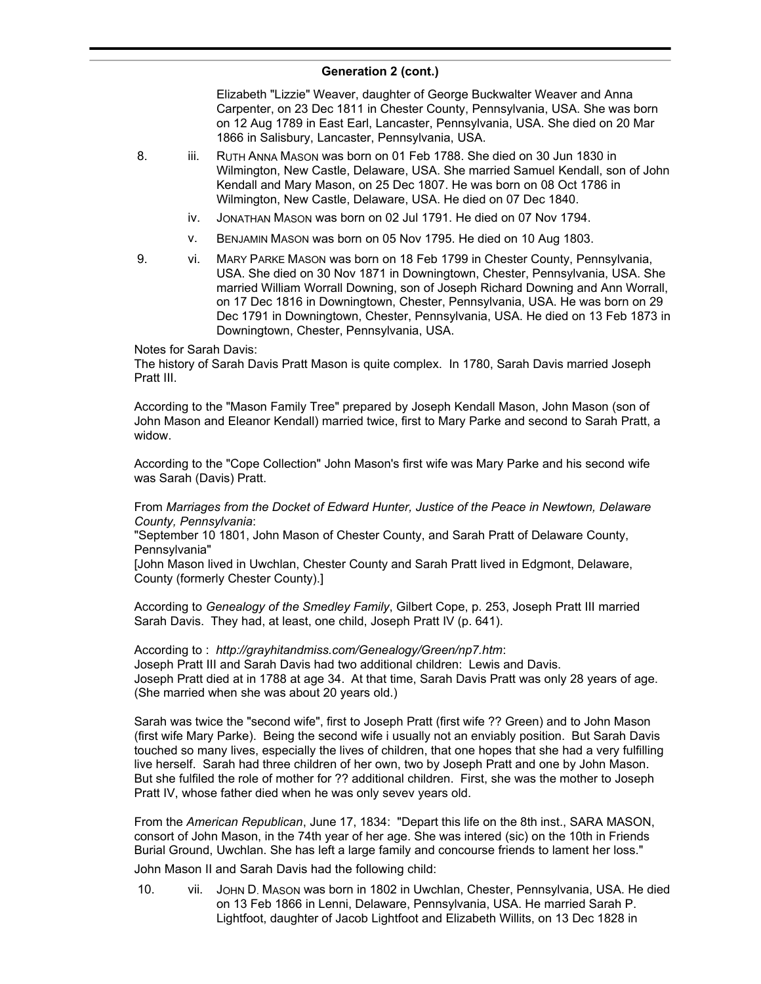Elizabeth "Lizzie" Weaver, daughter of George Buckwalter Weaver and Anna Carpenter, on 23 Dec 1811 in Chester County, Pennsylvania, USA. She was born on 12 Aug 1789 in East Earl, Lancaster, Pennsylvania, USA. She died on 20 Mar 1866 in Salisbury, Lancaster, Pennsylvania, USA.

- 8. iii. RUTH ANNA MASON was born on 01 Feb 1788. She died on 30 Jun 1830 in Wilmington, New Castle, Delaware, USA. She married Samuel Kendall, son of John Kendall and Mary Mason, on 25 Dec 1807. He was born on 08 Oct 1786 in Wilmington, New Castle, Delaware, USA. He died on 07 Dec 1840.
	- iv. JONATHAN MASON was born on 02 Jul 1791. He died on 07 Nov 1794.
	- v. BENJAMIN MASON was born on 05 Nov 1795. He died on 10 Aug 1803.
- 9. vi. MARY PARKE MASON was born on 18 Feb 1799 in Chester County, Pennsylvania, USA. She died on 30 Nov 1871 in Downingtown, Chester, Pennsylvania, USA. She married William Worrall Downing, son of Joseph Richard Downing and Ann Worrall, on 17 Dec 1816 in Downingtown, Chester, Pennsylvania, USA. He was born on 29 Dec 1791 in Downingtown, Chester, Pennsylvania, USA. He died on 13 Feb 1873 in Downingtown, Chester, Pennsylvania, USA.

Notes for Sarah Davis:

The history of Sarah Davis Pratt Mason is quite complex. In 1780, Sarah Davis married Joseph Pratt III.

According to the "Mason Family Tree" prepared by Joseph Kendall Mason, John Mason (son of John Mason and Eleanor Kendall) married twice, first to Mary Parke and second to Sarah Pratt, a widow.

According to the "Cope Collection" John Mason's first wife was Mary Parke and his second wife was Sarah (Davis) Pratt.

From *Marriages from the Docket of Edward Hunter, Justice of the Peace in Newtown, Delaware County, Pennsylvania*:

"September 10 1801, John Mason of Chester County, and Sarah Pratt of Delaware County, Pennsylvania"

[John Mason lived in Uwchlan, Chester County and Sarah Pratt lived in Edgmont, Delaware, County (formerly Chester County).]

According to *Genealogy of the Smedley Family*, Gilbert Cope, p. 253, Joseph Pratt III married Sarah Davis. They had, at least, one child, Joseph Pratt IV (p. 641).

According to : *http://grayhitandmiss.com/Genealogy/Green/np7.htm*: Joseph Pratt III and Sarah Davis had two additional children: Lewis and Davis. Joseph Pratt died at in 1788 at age 34. At that time, Sarah Davis Pratt was only 28 years of age. (She married when she was about 20 years old.)

Sarah was twice the "second wife", first to Joseph Pratt (first wife ?? Green) and to John Mason (first wife Mary Parke). Being the second wife i usually not an enviably position. But Sarah Davis touched so many lives, especially the lives of children, that one hopes that she had a very fulfilling live herself. Sarah had three children of her own, two by Joseph Pratt and one by John Mason. But she fulfiled the role of mother for ?? additional children. First, she was the mother to Joseph Pratt IV, whose father died when he was only sevev years old.

From the *American Republican*, June 17, 1834: "Depart this life on the 8th inst., SARA MASON, consort of John Mason, in the 74th year of her age. She was intered (sic) on the 10th in Friends Burial Ground, Uwchlan. She has left a large family and concourse friends to lament her loss."

John Mason II and Sarah Davis had the following child:

10. vii. JOHN D. MASON was born in 1802 in Uwchlan, Chester, Pennsylvania, USA. He died on 13 Feb 1866 in Lenni, Delaware, Pennsylvania, USA. He married Sarah P. Lightfoot, daughter of Jacob Lightfoot and Elizabeth Willits, on 13 Dec 1828 in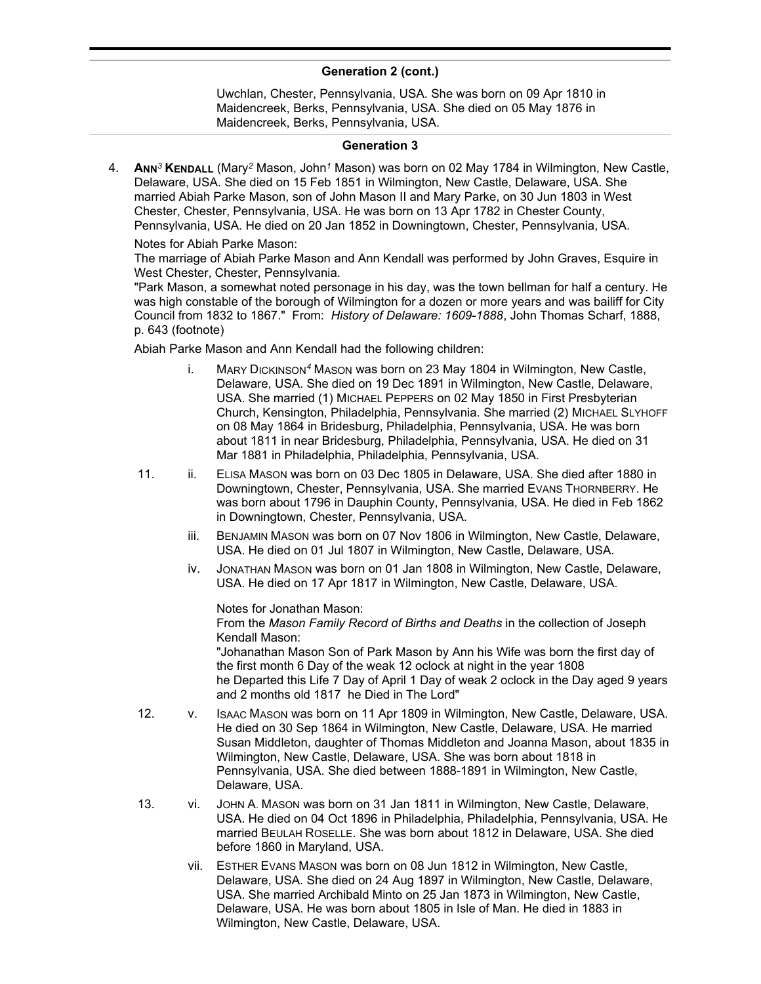Uwchlan, Chester, Pennsylvania, USA. She was born on 09 Apr 1810 in Maidencreek, Berks, Pennsylvania, USA. She died on 05 May 1876 in Maidencreek, Berks, Pennsylvania, USA.

### **Generation 3**

4. **ANN***<sup>3</sup>* **KENDALL** (Mary*<sup>2</sup>* Mason, John*<sup>1</sup>* Mason) was born on 02 May 1784 in Wilmington, New Castle, Delaware, USA. She died on 15 Feb 1851 in Wilmington, New Castle, Delaware, USA. She married Abiah Parke Mason, son of John Mason II and Mary Parke, on 30 Jun 1803 in West Chester, Chester, Pennsylvania, USA. He was born on 13 Apr 1782 in Chester County, Pennsylvania, USA. He died on 20 Jan 1852 in Downingtown, Chester, Pennsylvania, USA.

Notes for Abiah Parke Mason:

The marriage of Abiah Parke Mason and Ann Kendall was performed by John Graves, Esquire in West Chester, Chester, Pennsylvania.

"Park Mason, a somewhat noted personage in his day, was the town bellman for half a century. He was high constable of the borough of Wilmington for a dozen or more years and was bailiff for City Council from 1832 to 1867." From: *History of Delaware: 1609-1888*, John Thomas Scharf, 1888, p. 643 (footnote)

Abiah Parke Mason and Ann Kendall had the following children:

- i. MARY DICKINSON*<sup>4</sup>* MASON was born on 23 May 1804 in Wilmington, New Castle, Delaware, USA. She died on 19 Dec 1891 in Wilmington, New Castle, Delaware, USA. She married (1) MICHAEL PEPPERS on 02 May 1850 in First Presbyterian Church, Kensington, Philadelphia, Pennsylvania. She married (2) MICHAEL SLYHOFF on 08 May 1864 in Bridesburg, Philadelphia, Pennsylvania, USA. He was born about 1811 in near Bridesburg, Philadelphia, Pennsylvania, USA. He died on 31 Mar 1881 in Philadelphia, Philadelphia, Pennsylvania, USA.
- 11. ii. ELISA MASON was born on 03 Dec 1805 in Delaware, USA. She died after 1880 in Downingtown, Chester, Pennsylvania, USA. She married EVANS THORNBERRY. He was born about 1796 in Dauphin County, Pennsylvania, USA. He died in Feb 1862 in Downingtown, Chester, Pennsylvania, USA.
	- iii. BENJAMIN MASON was born on 07 Nov 1806 in Wilmington, New Castle, Delaware, USA. He died on 01 Jul 1807 in Wilmington, New Castle, Delaware, USA.
	- iv. JONATHAN MASON was born on 01 Jan 1808 in Wilmington, New Castle, Delaware, USA. He died on 17 Apr 1817 in Wilmington, New Castle, Delaware, USA.

Notes for Jonathan Mason:

From the *Mason Family Record of Births and Deaths* in the collection of Joseph Kendall Mason:

"Johanathan Mason Son of Park Mason by Ann his Wife was born the first day of the first month 6 Day of the weak 12 oclock at night in the year 1808 he Departed this Life 7 Day of April 1 Day of weak 2 oclock in the Day aged 9 years and 2 months old 1817 he Died in The Lord"

- 12. v. ISAAC MASON was born on 11 Apr 1809 in Wilmington, New Castle, Delaware, USA. He died on 30 Sep 1864 in Wilmington, New Castle, Delaware, USA. He married Susan Middleton, daughter of Thomas Middleton and Joanna Mason, about 1835 in Wilmington, New Castle, Delaware, USA. She was born about 1818 in Pennsylvania, USA. She died between 1888-1891 in Wilmington, New Castle, Delaware, USA.
- 13. vi. JOHN A. MASON was born on 31 Jan 1811 in Wilmington, New Castle, Delaware, USA. He died on 04 Oct 1896 in Philadelphia, Philadelphia, Pennsylvania, USA. He married BEULAH ROSELLE. She was born about 1812 in Delaware, USA. She died before 1860 in Maryland, USA.
	- vii. ESTHER EVANS MASON was born on 08 Jun 1812 in Wilmington, New Castle, Delaware, USA. She died on 24 Aug 1897 in Wilmington, New Castle, Delaware, USA. She married Archibald Minto on 25 Jan 1873 in Wilmington, New Castle, Delaware, USA. He was born about 1805 in Isle of Man. He died in 1883 in Wilmington, New Castle, Delaware, USA.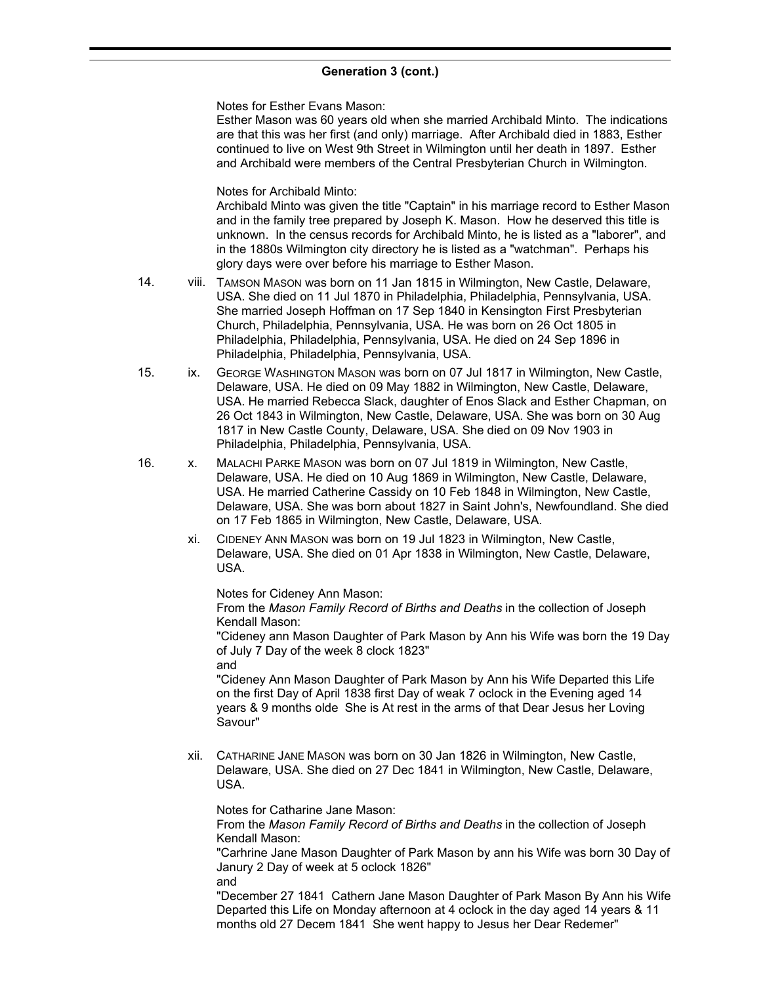Notes for Esther Evans Mason:

Esther Mason was 60 years old when she married Archibald Minto. The indications are that this was her first (and only) marriage. After Archibald died in 1883, Esther continued to live on West 9th Street in Wilmington until her death in 1897. Esther and Archibald were members of the Central Presbyterian Church in Wilmington.

Notes for Archibald Minto:

Archibald Minto was given the title "Captain" in his marriage record to Esther Mason and in the family tree prepared by Joseph K. Mason. How he deserved this title is unknown. In the census records for Archibald Minto, he is listed as a "laborer", and in the 1880s Wilmington city directory he is listed as a "watchman". Perhaps his glory days were over before his marriage to Esther Mason.

- 14. viii. TAMSON MASON was born on 11 Jan 1815 in Wilmington, New Castle, Delaware, USA. She died on 11 Jul 1870 in Philadelphia, Philadelphia, Pennsylvania, USA. She married Joseph Hoffman on 17 Sep 1840 in Kensington First Presbyterian Church, Philadelphia, Pennsylvania, USA. He was born on 26 Oct 1805 in Philadelphia, Philadelphia, Pennsylvania, USA. He died on 24 Sep 1896 in Philadelphia, Philadelphia, Pennsylvania, USA.
- 15. ix. GEORGE WASHINGTON MASON was born on 07 Jul 1817 in Wilmington, New Castle, Delaware, USA. He died on 09 May 1882 in Wilmington, New Castle, Delaware, USA. He married Rebecca Slack, daughter of Enos Slack and Esther Chapman, on 26 Oct 1843 in Wilmington, New Castle, Delaware, USA. She was born on 30 Aug 1817 in New Castle County, Delaware, USA. She died on 09 Nov 1903 in Philadelphia, Philadelphia, Pennsylvania, USA.
- 16. x. MALACHI PARKE MASON was born on 07 Jul 1819 in Wilmington, New Castle, Delaware, USA. He died on 10 Aug 1869 in Wilmington, New Castle, Delaware, USA. He married Catherine Cassidy on 10 Feb 1848 in Wilmington, New Castle, Delaware, USA. She was born about 1827 in Saint John's, Newfoundland. She died on 17 Feb 1865 in Wilmington, New Castle, Delaware, USA.
	- xi. CIDENEY ANN MASON was born on 19 Jul 1823 in Wilmington, New Castle, Delaware, USA. She died on 01 Apr 1838 in Wilmington, New Castle, Delaware, USA.

Notes for Cideney Ann Mason:

From the *Mason Family Record of Births and Deaths* in the collection of Joseph Kendall Mason:

"Cideney ann Mason Daughter of Park Mason by Ann his Wife was born the 19 Day of July 7 Day of the week 8 clock 1823"

and

"Cideney Ann Mason Daughter of Park Mason by Ann his Wife Departed this Life on the first Day of April 1838 first Day of weak 7 oclock in the Evening aged 14 years & 9 months olde She is At rest in the arms of that Dear Jesus her Loving Savour"

xii. CATHARINE JANE MASON was born on 30 Jan 1826 in Wilmington, New Castle, Delaware, USA. She died on 27 Dec 1841 in Wilmington, New Castle, Delaware, USA.

Notes for Catharine Jane Mason:

From the *Mason Family Record of Births and Deaths* in the collection of Joseph Kendall Mason:

"Carhrine Jane Mason Daughter of Park Mason by ann his Wife was born 30 Day of Janury 2 Day of week at 5 oclock 1826" and

"December 27 1841 Cathern Jane Mason Daughter of Park Mason By Ann his Wife Departed this Life on Monday afternoon at 4 oclock in the day aged 14 years & 11 months old 27 Decem 1841 She went happy to Jesus her Dear Redemer"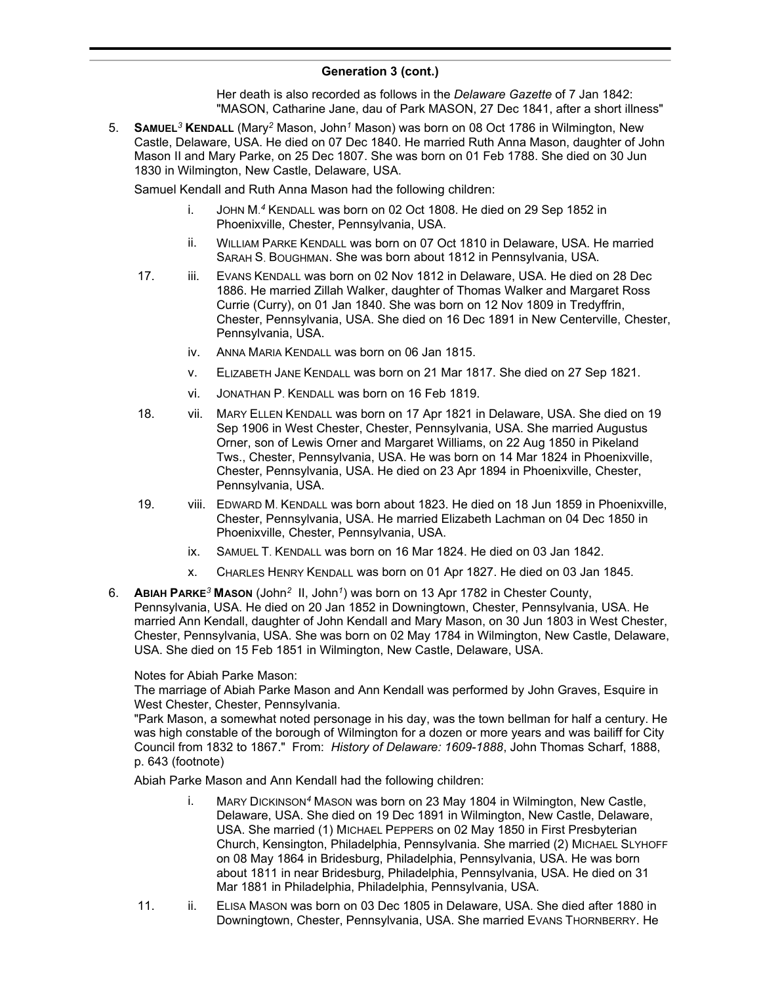Her death is also recorded as follows in the *Delaware Gazette* of 7 Jan 1842: "MASON, Catharine Jane, dau of Park MASON, 27 Dec 1841, after a short illness"

5. **SAMUEL***<sup>3</sup>* **KENDALL** (Mary*<sup>2</sup>* Mason, John*<sup>1</sup>* Mason) was born on 08 Oct 1786 in Wilmington, New Castle, Delaware, USA. He died on 07 Dec 1840. He married Ruth Anna Mason, daughter of John Mason II and Mary Parke, on 25 Dec 1807. She was born on 01 Feb 1788. She died on 30 Jun 1830 in Wilmington, New Castle, Delaware, USA.

Samuel Kendall and Ruth Anna Mason had the following children:

- i. JOHN M. *<sup>4</sup>* KENDALL was born on 02 Oct 1808. He died on 29 Sep 1852 in Phoenixville, Chester, Pennsylvania, USA.
- ii. WILLIAM PARKE KENDALL was born on 07 Oct 1810 in Delaware, USA. He married SARAH S. BOUGHMAN. She was born about 1812 in Pennsylvania, USA.
- 17. iii. EVANS KENDALL was born on 02 Nov 1812 in Delaware, USA. He died on 28 Dec 1886. He married Zillah Walker, daughter of Thomas Walker and Margaret Ross Currie (Curry), on 01 Jan 1840. She was born on 12 Nov 1809 in Tredyffrin, Chester, Pennsylvania, USA. She died on 16 Dec 1891 in New Centerville, Chester, Pennsylvania, USA.
	- iv. ANNA MARIA KENDALL was born on 06 Jan 1815.
	- v. ELIZABETH JANE KENDALL was born on 21 Mar 1817. She died on 27 Sep 1821.
	- vi. JONATHAN P. KENDALL was born on 16 Feb 1819.
- 18. vii. MARY ELLEN KENDALL was born on 17 Apr 1821 in Delaware, USA. She died on 19 Sep 1906 in West Chester, Chester, Pennsylvania, USA. She married Augustus Orner, son of Lewis Orner and Margaret Williams, on 22 Aug 1850 in Pikeland Tws., Chester, Pennsylvania, USA. He was born on 14 Mar 1824 in Phoenixville, Chester, Pennsylvania, USA. He died on 23 Apr 1894 in Phoenixville, Chester, Pennsylvania, USA.
- 19. viii. EDWARD M. KENDALL was born about 1823. He died on 18 Jun 1859 in Phoenixville, Chester, Pennsylvania, USA. He married Elizabeth Lachman on 04 Dec 1850 in Phoenixville, Chester, Pennsylvania, USA.
	- ix. SAMUEL T. KENDALL was born on 16 Mar 1824. He died on 03 Jan 1842.
	- x. CHARLES HENRY KENDALL was born on 01 Apr 1827. He died on 03 Jan 1845.
- 6. **ABIAH PARKE***<sup>3</sup>* **MASON** (John*<sup>2</sup>* II, John*<sup>1</sup>* ) was born on 13 Apr 1782 in Chester County, Pennsylvania, USA. He died on 20 Jan 1852 in Downingtown, Chester, Pennsylvania, USA. He married Ann Kendall, daughter of John Kendall and Mary Mason, on 30 Jun 1803 in West Chester, Chester, Pennsylvania, USA. She was born on 02 May 1784 in Wilmington, New Castle, Delaware, USA. She died on 15 Feb 1851 in Wilmington, New Castle, Delaware, USA.

### Notes for Abiah Parke Mason:

The marriage of Abiah Parke Mason and Ann Kendall was performed by John Graves, Esquire in West Chester, Chester, Pennsylvania.

"Park Mason, a somewhat noted personage in his day, was the town bellman for half a century. He was high constable of the borough of Wilmington for a dozen or more years and was bailiff for City Council from 1832 to 1867." From: *History of Delaware: 1609-1888*, John Thomas Scharf, 1888, p. 643 (footnote)

Abiah Parke Mason and Ann Kendall had the following children:

- i. MARY DICKINSON*<sup>4</sup>* MASON was born on 23 May 1804 in Wilmington, New Castle, Delaware, USA. She died on 19 Dec 1891 in Wilmington, New Castle, Delaware, USA. She married (1) MICHAEL PEPPERS on 02 May 1850 in First Presbyterian Church, Kensington, Philadelphia, Pennsylvania. She married (2) MICHAEL SLYHOFF on 08 May 1864 in Bridesburg, Philadelphia, Pennsylvania, USA. He was born about 1811 in near Bridesburg, Philadelphia, Pennsylvania, USA. He died on 31 Mar 1881 in Philadelphia, Philadelphia, Pennsylvania, USA.
- 11. ii. ELISA MASON was born on 03 Dec 1805 in Delaware, USA. She died after 1880 in Downingtown, Chester, Pennsylvania, USA. She married EvANS THORNBERRY. He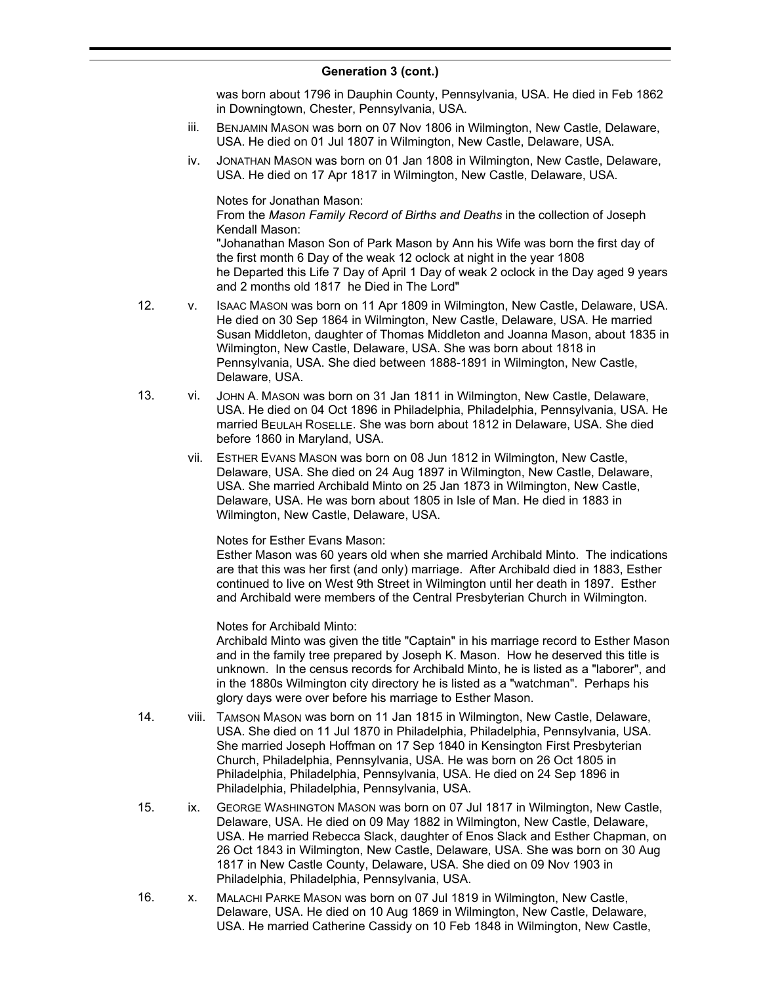was born about 1796 in Dauphin County, Pennsylvania, USA. He died in Feb 1862 in Downingtown, Chester, Pennsylvania, USA.

- iii. BENJAMIN MASON was born on 07 Nov 1806 in Wilmington, New Castle, Delaware, USA. He died on 01 Jul 1807 in Wilmington, New Castle, Delaware, USA.
- iv. JONATHAN MASON was born on 01 Jan 1808 in Wilmington, New Castle, Delaware, USA. He died on 17 Apr 1817 in Wilmington, New Castle, Delaware, USA.

Notes for Jonathan Mason:

From the *Mason Family Record of Births and Deaths* in the collection of Joseph Kendall Mason:

"Johanathan Mason Son of Park Mason by Ann his Wife was born the first day of the first month 6 Day of the weak 12 oclock at night in the year 1808 he Departed this Life 7 Day of April 1 Day of weak 2 oclock in the Day aged 9 years and 2 months old 1817 he Died in The Lord"

- 12. v. ISAAC MASON was born on 11 Apr 1809 in Wilmington, New Castle, Delaware, USA. He died on 30 Sep 1864 in Wilmington, New Castle, Delaware, USA. He married Susan Middleton, daughter of Thomas Middleton and Joanna Mason, about 1835 in Wilmington, New Castle, Delaware, USA. She was born about 1818 in Pennsylvania, USA. She died between 1888-1891 in Wilmington, New Castle, Delaware, USA.
- 13. vi. JOHN A. MASON was born on 31 Jan 1811 in Wilmington, New Castle, Delaware, USA. He died on 04 Oct 1896 in Philadelphia, Philadelphia, Pennsylvania, USA. He married BEULAH ROSELLE. She was born about 1812 in Delaware, USA. She died before 1860 in Maryland, USA.
	- vii. ESTHER EVANS MASON was born on 08 Jun 1812 in Wilmington, New Castle, Delaware, USA. She died on 24 Aug 1897 in Wilmington, New Castle, Delaware, USA. She married Archibald Minto on 25 Jan 1873 in Wilmington, New Castle, Delaware, USA. He was born about 1805 in Isle of Man. He died in 1883 in Wilmington, New Castle, Delaware, USA.

Notes for Esther Evans Mason:

Esther Mason was 60 years old when she married Archibald Minto. The indications are that this was her first (and only) marriage. After Archibald died in 1883, Esther continued to live on West 9th Street in Wilmington until her death in 1897. Esther and Archibald were members of the Central Presbyterian Church in Wilmington.

Notes for Archibald Minto:

Archibald Minto was given the title "Captain" in his marriage record to Esther Mason and in the family tree prepared by Joseph K. Mason. How he deserved this title is unknown. In the census records for Archibald Minto, he is listed as a "laborer", and in the 1880s Wilmington city directory he is listed as a "watchman". Perhaps his glory days were over before his marriage to Esther Mason.

- 14. viii. TAMSON MASON was born on 11 Jan 1815 in Wilmington, New Castle, Delaware, USA. She died on 11 Jul 1870 in Philadelphia, Philadelphia, Pennsylvania, USA. She married Joseph Hoffman on 17 Sep 1840 in Kensington First Presbyterian Church, Philadelphia, Pennsylvania, USA. He was born on 26 Oct 1805 in Philadelphia, Philadelphia, Pennsylvania, USA. He died on 24 Sep 1896 in Philadelphia, Philadelphia, Pennsylvania, USA.
- 15. ix. GEORGE WASHINGTON MASON was born on 07 Jul 1817 in Wilmington, New Castle, Delaware, USA. He died on 09 May 1882 in Wilmington, New Castle, Delaware, USA. He married Rebecca Slack, daughter of Enos Slack and Esther Chapman, on 26 Oct 1843 in Wilmington, New Castle, Delaware, USA. She was born on 30 Aug 1817 in New Castle County, Delaware, USA. She died on 09 Nov 1903 in Philadelphia, Philadelphia, Pennsylvania, USA.
- 16. x. MALACHI PARKE MASON was born on 07 Jul 1819 in Wilmington, New Castle, Delaware, USA. He died on 10 Aug 1869 in Wilmington, New Castle, Delaware, USA. He married Catherine Cassidy on 10 Feb 1848 in Wilmington, New Castle,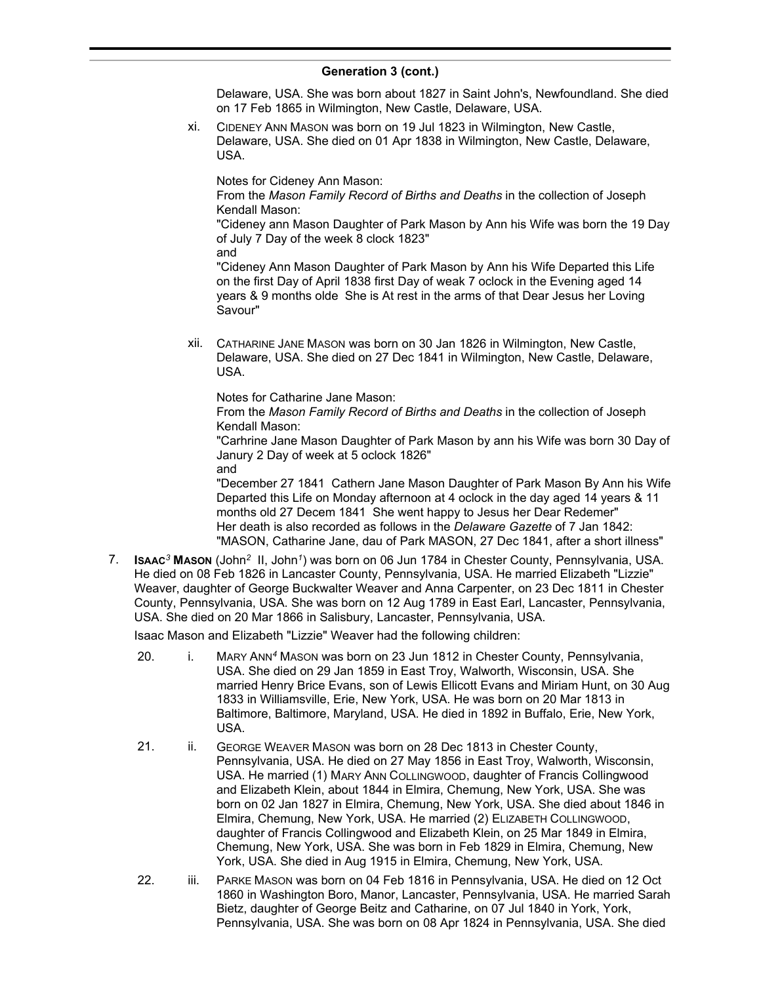Delaware, USA. She was born about 1827 in Saint John's, Newfoundland. She died on 17 Feb 1865 in Wilmington, New Castle, Delaware, USA.

xi. CIDENEY ANN MASON was born on 19 Jul 1823 in Wilmington, New Castle, Delaware, USA. She died on 01 Apr 1838 in Wilmington, New Castle, Delaware, USA.

Notes for Cideney Ann Mason:

From the *Mason Family Record of Births and Deaths* in the collection of Joseph Kendall Mason:

"Cideney ann Mason Daughter of Park Mason by Ann his Wife was born the 19 Day of July 7 Day of the week 8 clock 1823"

and

"Cideney Ann Mason Daughter of Park Mason by Ann his Wife Departed this Life on the first Day of April 1838 first Day of weak 7 oclock in the Evening aged 14 years & 9 months olde She is At rest in the arms of that Dear Jesus her Loving Savour"

xii. CATHARINE JANE MASON was born on 30 Jan 1826 in Wilmington, New Castle, Delaware, USA. She died on 27 Dec 1841 in Wilmington, New Castle, Delaware, USA.

Notes for Catharine Jane Mason:

From the *Mason Family Record of Births and Deaths* in the collection of Joseph Kendall Mason:

"Carhrine Jane Mason Daughter of Park Mason by ann his Wife was born 30 Day of Janury 2 Day of week at 5 oclock 1826" and

"December 27 1841 Cathern Jane Mason Daughter of Park Mason By Ann his Wife Departed this Life on Monday afternoon at 4 oclock in the day aged 14 years & 11 months old 27 Decem 1841 She went happy to Jesus her Dear Redemer" Her death is also recorded as follows in the *Delaware Gazette* of 7 Jan 1842: "MASON, Catharine Jane, dau of Park MASON, 27 Dec 1841, after a short illness"

7. **ISAAC***<sup>3</sup>* **MASON** (John*<sup>2</sup>* II, John*<sup>1</sup>* ) was born on 06 Jun 1784 in Chester County, Pennsylvania, USA. He died on 08 Feb 1826 in Lancaster County, Pennsylvania, USA. He married Elizabeth "Lizzie" Weaver, daughter of George Buckwalter Weaver and Anna Carpenter, on 23 Dec 1811 in Chester County, Pennsylvania, USA. She was born on 12 Aug 1789 in East Earl, Lancaster, Pennsylvania, USA. She died on 20 Mar 1866 in Salisbury, Lancaster, Pennsylvania, USA.

Isaac Mason and Elizabeth "Lizzie" Weaver had the following children:

- 20. i. MARY ANN*<sup>4</sup>* MASON was born on 23 Jun 1812 in Chester County, Pennsylvania, USA. She died on 29 Jan 1859 in East Troy, Walworth, Wisconsin, USA. She married Henry Brice Evans, son of Lewis Ellicott Evans and Miriam Hunt, on 30 Aug 1833 in Williamsville, Erie, New York, USA. He was born on 20 Mar 1813 in Baltimore, Baltimore, Maryland, USA. He died in 1892 in Buffalo, Erie, New York, USA.
- 21. ii. GEORGE WEAVER MASON was born on 28 Dec 1813 in Chester County, Pennsylvania, USA. He died on 27 May 1856 in East Troy, Walworth, Wisconsin, USA. He married (1) MARY ANN COLLINGWOOD, daughter of Francis Collingwood and Elizabeth Klein, about 1844 in Elmira, Chemung, New York, USA. She was born on 02 Jan 1827 in Elmira, Chemung, New York, USA. She died about 1846 in Elmira, Chemung, New York, USA. He married (2) ELIZABETH COLLINGWOOD, daughter of Francis Collingwood and Elizabeth Klein, on 25 Mar 1849 in Elmira, Chemung, New York, USA. She was born in Feb 1829 in Elmira, Chemung, New York, USA. She died in Aug 1915 in Elmira, Chemung, New York, USA.
- 22. iii. PARKE MASON was born on 04 Feb 1816 in Pennsylvania, USA. He died on 12 Oct 1860 in Washington Boro, Manor, Lancaster, Pennsylvania, USA. He married Sarah Bietz, daughter of George Beitz and Catharine, on 07 Jul 1840 in York, York, Pennsylvania, USA. She was born on 08 Apr 1824 in Pennsylvania, USA. She died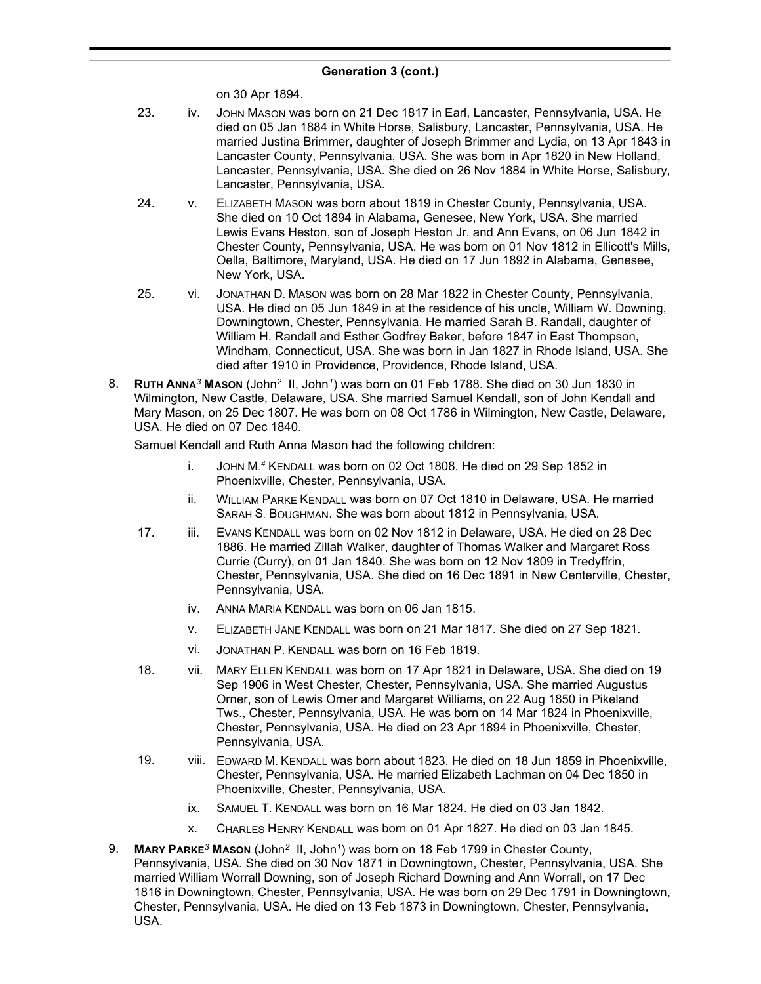on 30 Apr 1894.

- 23. iv. JOHN MASON was born on 21 Dec 1817 in Earl, Lancaster, Pennsylvania, USA. He died on 05 Jan 1884 in White Horse, Salisbury, Lancaster, Pennsylvania, USA. He married Justina Brimmer, daughter of Joseph Brimmer and Lydia, on 13 Apr 1843 in Lancaster County, Pennsylvania, USA. She was born in Apr 1820 in New Holland, Lancaster, Pennsylvania, USA. She died on 26 Nov 1884 in White Horse, Salisbury, Lancaster, Pennsylvania, USA.
- 24. v. ELIZABETH MASON was born about 1819 in Chester County, Pennsylvania, USA. She died on 10 Oct 1894 in Alabama, Genesee, New York, USA. She married Lewis Evans Heston, son of Joseph Heston Jr. and Ann Evans, on 06 Jun 1842 in Chester County, Pennsylvania, USA. He was born on 01 Nov 1812 in Ellicott's Mills, Oella, Baltimore, Maryland, USA. He died on 17 Jun 1892 in Alabama, Genesee, New York, USA.
- 25. vi. JONATHAN D. MASON was born on 28 Mar 1822 in Chester County, Pennsylvania, USA. He died on 05 Jun 1849 in at the residence of his uncle, William W. Downing, Downingtown, Chester, Pennsylvania. He married Sarah B. Randall, daughter of William H. Randall and Esther Godfrey Baker, before 1847 in East Thompson, Windham, Connecticut, USA. She was born in Jan 1827 in Rhode Island, USA. She died after 1910 in Providence, Providence, Rhode Island, USA.
- 8. **RUTH ANNA***<sup>3</sup>* **MASON** (John*<sup>2</sup>* II, John*<sup>1</sup>* ) was born on 01 Feb 1788. She died on 30 Jun 1830 in Wilmington, New Castle, Delaware, USA. She married Samuel Kendall, son of John Kendall and Mary Mason, on 25 Dec 1807. He was born on 08 Oct 1786 in Wilmington, New Castle, Delaware, USA. He died on 07 Dec 1840.

Samuel Kendall and Ruth Anna Mason had the following children:

- i. JOHN M. *<sup>4</sup>* KENDALL was born on 02 Oct 1808. He died on 29 Sep 1852 in Phoenixville, Chester, Pennsylvania, USA.
- ii. WILLIAM PARKE KENDALL was born on 07 Oct 1810 in Delaware, USA. He married SARAH S. BOUGHMAN. She was born about 1812 in Pennsylvania, USA.
- 17. iii. EVANS KENDALL was born on 02 Nov 1812 in Delaware, USA. He died on 28 Dec 1886. He married Zillah Walker, daughter of Thomas Walker and Margaret Ross Currie (Curry), on 01 Jan 1840. She was born on 12 Nov 1809 in Tredyffrin, Chester, Pennsylvania, USA. She died on 16 Dec 1891 in New Centerville, Chester, Pennsylvania, USA.
	- iv. ANNA MARIA KENDALL was born on 06 Jan 1815.
	- v. ELIZABETH JANE KENDALL was born on 21 Mar 1817. She died on 27 Sep 1821.
	- vi. JONATHAN P. KENDALL was born on 16 Feb 1819.
- 18. vii. MARY ELLEN KENDALL was born on 17 Apr 1821 in Delaware, USA. She died on 19 Sep 1906 in West Chester, Chester, Pennsylvania, USA. She married Augustus Orner, son of Lewis Orner and Margaret Williams, on 22 Aug 1850 in Pikeland Tws., Chester, Pennsylvania, USA. He was born on 14 Mar 1824 in Phoenixville, Chester, Pennsylvania, USA. He died on 23 Apr 1894 in Phoenixville, Chester, Pennsylvania, USA.
- 19. viii. EDWARD M. KENDALL was born about 1823. He died on 18 Jun 1859 in Phoenixville, Chester, Pennsylvania, USA. He married Elizabeth Lachman on 04 Dec 1850 in Phoenixville, Chester, Pennsylvania, USA.
	- ix. SAMUEL T. KENDALL was born on 16 Mar 1824. He died on 03 Jan 1842.
	- x. CHARLES HENRY KENDALL was born on 01 Apr 1827. He died on 03 Jan 1845.
- 9. **MARY PARKE***<sup>3</sup>* **MASON** (John*<sup>2</sup>* II, John*<sup>1</sup>* ) was born on 18 Feb 1799 in Chester County, Pennsylvania, USA. She died on 30 Nov 1871 in Downingtown, Chester, Pennsylvania, USA. She married William Worrall Downing, son of Joseph Richard Downing and Ann Worrall, on 17 Dec 1816 in Downingtown, Chester, Pennsylvania, USA. He was born on 29 Dec 1791 in Downingtown, Chester, Pennsylvania, USA. He died on 13 Feb 1873 in Downingtown, Chester, Pennsylvania, USA.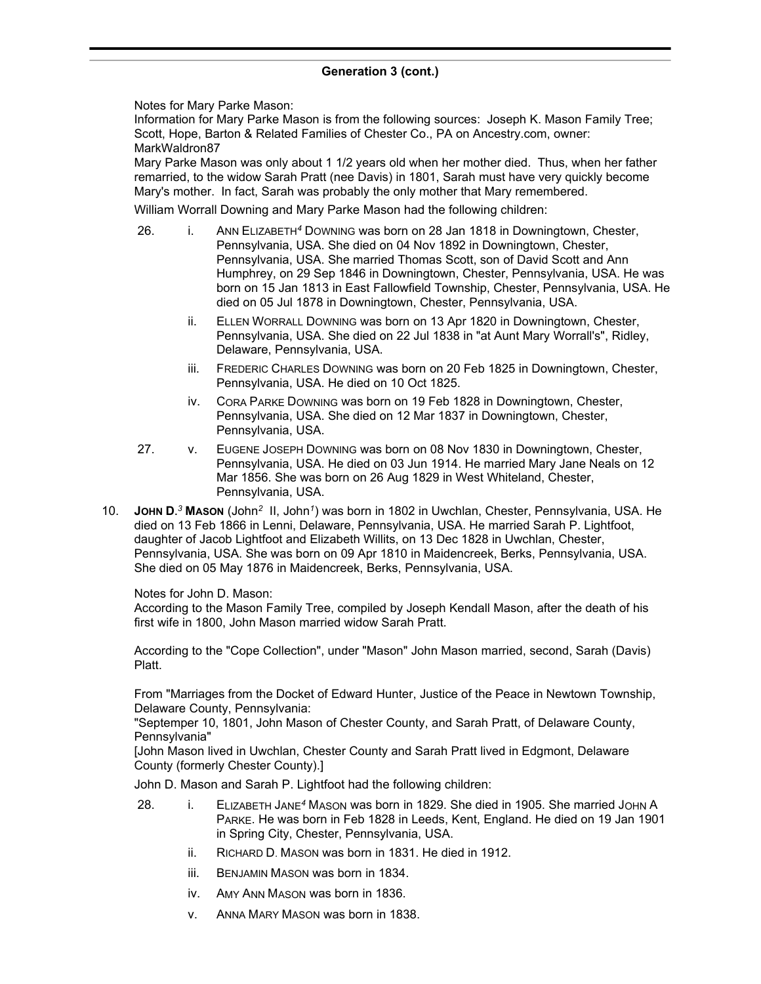Notes for Mary Parke Mason:

Information for Mary Parke Mason is from the following sources: Joseph K. Mason Family Tree; Scott, Hope, Barton & Related Families of Chester Co., PA on Ancestry.com, owner: MarkWaldron87

Mary Parke Mason was only about 1 1/2 years old when her mother died. Thus, when her father remarried, to the widow Sarah Pratt (nee Davis) in 1801, Sarah must have very quickly become Mary's mother. In fact, Sarah was probably the only mother that Mary remembered.

William Worrall Downing and Mary Parke Mason had the following children:

- 26. i. ANN ELIZABETH*<sup>4</sup>* DOWNING was born on 28 Jan 1818 in Downingtown, Chester, Pennsylvania, USA. She died on 04 Nov 1892 in Downingtown, Chester, Pennsylvania, USA. She married Thomas Scott, son of David Scott and Ann Humphrey, on 29 Sep 1846 in Downingtown, Chester, Pennsylvania, USA. He was born on 15 Jan 1813 in East Fallowfield Township, Chester, Pennsylvania, USA. He died on 05 Jul 1878 in Downingtown, Chester, Pennsylvania, USA.
	- ii. ELLEN WORRALL DOWNING was born on 13 Apr 1820 in Downingtown, Chester, Pennsylvania, USA. She died on 22 Jul 1838 in "at Aunt Mary Worrall's", Ridley, Delaware, Pennsylvania, USA.
	- iii. FREDERIC CHARLES DOWNING was born on 20 Feb 1825 in Downingtown, Chester, Pennsylvania, USA. He died on 10 Oct 1825.
	- iv. CORA PARKE DOWNING was born on 19 Feb 1828 in Downingtown, Chester, Pennsylvania, USA. She died on 12 Mar 1837 in Downingtown, Chester, Pennsylvania, USA.
- 27. v. EUGENE JOSEPH DOWNING was born on 08 Nov 1830 in Downingtown, Chester, Pennsylvania, USA. He died on 03 Jun 1914. He married Mary Jane Neals on 12 Mar 1856. She was born on 26 Aug 1829 in West Whiteland, Chester, Pennsylvania, USA.
- 10. **JOHN D.** *<sup>3</sup>* **MASON** (John*<sup>2</sup>* II, John*<sup>1</sup>* ) was born in 1802 in Uwchlan, Chester, Pennsylvania, USA. He died on 13 Feb 1866 in Lenni, Delaware, Pennsylvania, USA. He married Sarah P. Lightfoot, daughter of Jacob Lightfoot and Elizabeth Willits, on 13 Dec 1828 in Uwchlan, Chester, Pennsylvania, USA. She was born on 09 Apr 1810 in Maidencreek, Berks, Pennsylvania, USA. She died on 05 May 1876 in Maidencreek, Berks, Pennsylvania, USA.

### Notes for John D. Mason:

According to the Mason Family Tree, compiled by Joseph Kendall Mason, after the death of his first wife in 1800, John Mason married widow Sarah Pratt.

According to the "Cope Collection", under "Mason" John Mason married, second, Sarah (Davis) Platt.

From "Marriages from the Docket of Edward Hunter, Justice of the Peace in Newtown Township, Delaware County, Pennsylvania:

"Septemper 10, 1801, John Mason of Chester County, and Sarah Pratt, of Delaware County, Pennsylvania"

[John Mason lived in Uwchlan, Chester County and Sarah Pratt lived in Edgmont, Delaware County (formerly Chester County).]

John D. Mason and Sarah P. Lightfoot had the following children:

- 28. i. ELIZABETH JANE*<sup>4</sup>* MASON was born in 1829. She died in 1905. She married JOHN A PARKE. He was born in Feb 1828 in Leeds, Kent, England. He died on 19 Jan 1901 in Spring City, Chester, Pennsylvania, USA.
	- ii. RICHARD D. MASON was born in 1831. He died in 1912.
	- iii. BENJAMIN MASON was born in 1834.
	- iv. AMY ANN MASON was born in 1836.
	- v. ANNA MARY MASON was born in 1838.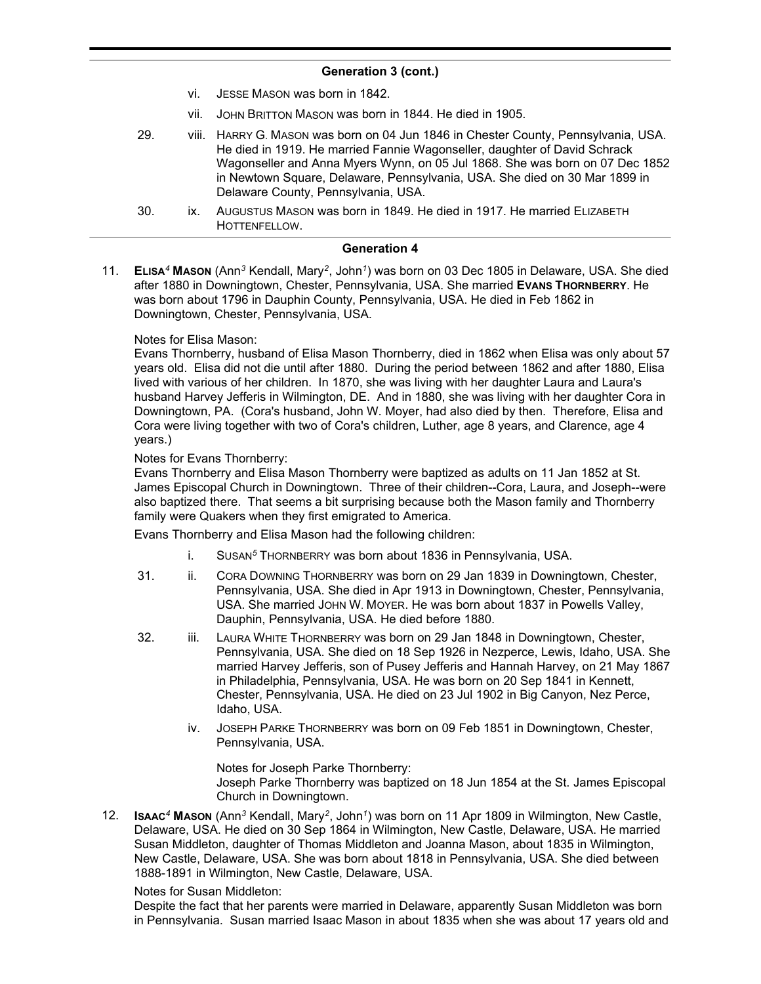- vi. JESSE MASON was born in 1842.
- vii. JOHN BRITTON MASON was born in 1844. He died in 1905.
- 29. viii. HARRY G. MASON was born on 04 Jun 1846 in Chester County, Pennsylvania, USA. He died in 1919. He married Fannie Wagonseller, daughter of David Schrack Wagonseller and Anna Myers Wynn, on 05 Jul 1868. She was born on 07 Dec 1852 in Newtown Square, Delaware, Pennsylvania, USA. She died on 30 Mar 1899 in Delaware County, Pennsylvania, USA.
- 30. ix. AUGUSTUS MASON was born in 1849. He died in 1917. He married ELIZABETH HOTTENFELLOW.

### **Generation 4**

11. **ELISA***<sup>4</sup>* **MASON** (Ann*<sup>3</sup>* Kendall, Mary*<sup>2</sup>* , John*<sup>1</sup>* ) was born on 03 Dec 1805 in Delaware, USA. She died after 1880 in Downingtown, Chester, Pennsylvania, USA. She married **EVANS THORNBERRY**. He was born about 1796 in Dauphin County, Pennsylvania, USA. He died in Feb 1862 in Downingtown, Chester, Pennsylvania, USA.

### Notes for Elisa Mason:

Evans Thornberry, husband of Elisa Mason Thornberry, died in 1862 when Elisa was only about 57 years old. Elisa did not die until after 1880. During the period between 1862 and after 1880, Elisa lived with various of her children. In 1870, she was living with her daughter Laura and Laura's husband Harvey Jefferis in Wilmington, DE. And in 1880, she was living with her daughter Cora in Downingtown, PA. (Cora's husband, John W. Moyer, had also died by then. Therefore, Elisa and Cora were living together with two of Cora's children, Luther, age 8 years, and Clarence, age 4 years.)

### Notes for Evans Thornberry:

Evans Thornberry and Elisa Mason Thornberry were baptized as adults on 11 Jan 1852 at St. James Episcopal Church in Downingtown. Three of their children--Cora, Laura, and Joseph--were also baptized there. That seems a bit surprising because both the Mason family and Thornberry family were Quakers when they first emigrated to America.

Evans Thornberry and Elisa Mason had the following children:

- i. SUSAN*<sup>5</sup>* THORNBERRY was born about 1836 in Pennsylvania, USA.
- 31. ii. CORA DOWNING THORNBERRY was born on 29 Jan 1839 in Downingtown, Chester, Pennsylvania, USA. She died in Apr 1913 in Downingtown, Chester, Pennsylvania, USA. She married JOHN W. MOYER. He was born about 1837 in Powells Valley, Dauphin, Pennsylvania, USA. He died before 1880.
- 32. iii. LAURA WHITE THORNBERRY was born on 29 Jan 1848 in Downingtown, Chester, Pennsylvania, USA. She died on 18 Sep 1926 in Nezperce, Lewis, Idaho, USA. She married Harvey Jefferis, son of Pusey Jefferis and Hannah Harvey, on 21 May 1867 in Philadelphia, Pennsylvania, USA. He was born on 20 Sep 1841 in Kennett, Chester, Pennsylvania, USA. He died on 23 Jul 1902 in Big Canyon, Nez Perce, Idaho, USA.
	- iv. JOSEPH PARKE THORNBERRY was born on 09 Feb 1851 in Downingtown, Chester, Pennsylvania, USA.

Notes for Joseph Parke Thornberry: Joseph Parke Thornberry was baptized on 18 Jun 1854 at the St. James Episcopal Church in Downingtown.

12. **ISAAC***<sup>4</sup>* **MASON** (Ann*<sup>3</sup>* Kendall, Mary*<sup>2</sup>* , John*<sup>1</sup>* ) was born on 11 Apr 1809 in Wilmington, New Castle, Delaware, USA. He died on 30 Sep 1864 in Wilmington, New Castle, Delaware, USA. He married Susan Middleton, daughter of Thomas Middleton and Joanna Mason, about 1835 in Wilmington, New Castle, Delaware, USA. She was born about 1818 in Pennsylvania, USA. She died between 1888-1891 in Wilmington, New Castle, Delaware, USA.

### Notes for Susan Middleton:

Despite the fact that her parents were married in Delaware, apparently Susan Middleton was born in Pennsylvania. Susan married Isaac Mason in about 1835 when she was about 17 years old and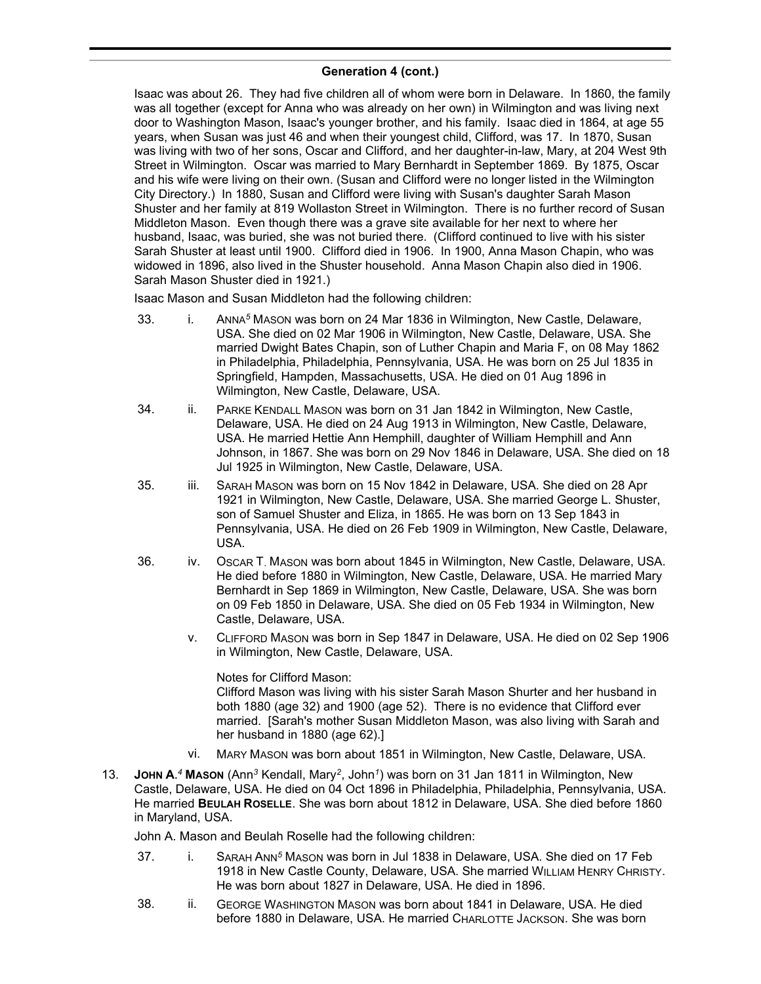Isaac was about 26. They had five children all of whom were born in Delaware. In 1860, the family was all together (except for Anna who was already on her own) in Wilmington and was living next door to Washington Mason, Isaac's younger brother, and his family. Isaac died in 1864, at age 55 years, when Susan was just 46 and when their youngest child, Clifford, was 17. In 1870, Susan was living with two of her sons, Oscar and Clifford, and her daughter-in-law, Mary, at 204 West 9th Street in Wilmington. Oscar was married to Mary Bernhardt in September 1869. By 1875, Oscar and his wife were living on their own. (Susan and Clifford were no longer listed in the Wilmington City Directory.) In 1880, Susan and Clifford were living with Susan's daughter Sarah Mason Shuster and her family at 819 Wollaston Street in Wilmington. There is no further record of Susan Middleton Mason. Even though there was a grave site available for her next to where her husband, Isaac, was buried, she was not buried there. (Clifford continued to live with his sister Sarah Shuster at least until 1900. Clifford died in 1906. In 1900, Anna Mason Chapin, who was widowed in 1896, also lived in the Shuster household. Anna Mason Chapin also died in 1906. Sarah Mason Shuster died in 1921.)

Isaac Mason and Susan Middleton had the following children:

- 33. i. ANNA*<sup>5</sup>* MASON was born on 24 Mar 1836 in Wilmington, New Castle, Delaware, USA. She died on 02 Mar 1906 in Wilmington, New Castle, Delaware, USA. She married Dwight Bates Chapin, son of Luther Chapin and Maria F, on 08 May 1862 in Philadelphia, Philadelphia, Pennsylvania, USA. He was born on 25 Jul 1835 in Springfield, Hampden, Massachusetts, USA. He died on 01 Aug 1896 in Wilmington, New Castle, Delaware, USA.
- 34. ii. PARKE KENDALL MASON was born on 31 Jan 1842 in Wilmington, New Castle, Delaware, USA. He died on 24 Aug 1913 in Wilmington, New Castle, Delaware, USA. He married Hettie Ann Hemphill, daughter of William Hemphill and Ann Johnson, in 1867. She was born on 29 Nov 1846 in Delaware, USA. She died on 18 Jul 1925 in Wilmington, New Castle, Delaware, USA.
- 35. iii. SARAH MASON was born on 15 Nov 1842 in Delaware, USA. She died on 28 Apr 1921 in Wilmington, New Castle, Delaware, USA. She married George L. Shuster, son of Samuel Shuster and Eliza, in 1865. He was born on 13 Sep 1843 in Pennsylvania, USA. He died on 26 Feb 1909 in Wilmington, New Castle, Delaware, USA.
- 36. iv. OSCAR T. MASON was born about 1845 in Wilmington, New Castle, Delaware, USA. He died before 1880 in Wilmington, New Castle, Delaware, USA. He married Mary Bernhardt in Sep 1869 in Wilmington, New Castle, Delaware, USA. She was born on 09 Feb 1850 in Delaware, USA. She died on 05 Feb 1934 in Wilmington, New Castle, Delaware, USA.
	- v. CLIFFORD MASON was born in Sep 1847 in Delaware, USA. He died on 02 Sep 1906 in Wilmington, New Castle, Delaware, USA.

Notes for Clifford Mason: Clifford Mason was living with his sister Sarah Mason Shurter and her husband in both 1880 (age 32) and 1900 (age 52). There is no evidence that Clifford ever married. [Sarah's mother Susan Middleton Mason, was also living with Sarah and her husband in 1880 (age 62).]

- vi. MARY MASON was born about 1851 in Wilmington, New Castle, Delaware, USA.
- 13. **JOHN A.** *<sup>4</sup>* **MASON** (Ann*<sup>3</sup>* Kendall, Mary*<sup>2</sup>* , John*<sup>1</sup>* ) was born on 31 Jan 1811 in Wilmington, New Castle, Delaware, USA. He died on 04 Oct 1896 in Philadelphia, Philadelphia, Pennsylvania, USA. He married **BEULAH ROSELLE**. She was born about 1812 in Delaware, USA. She died before 1860 in Maryland, USA.

John A. Mason and Beulah Roselle had the following children:

- 37. i. SARAH ANN*<sup>5</sup>* MASON was born in Jul 1838 in Delaware, USA. She died on 17 Feb 1918 in New Castle County, Delaware, USA. She married WILLIAM HENRY CHRISTY. He was born about 1827 in Delaware, USA. He died in 1896.
- 38. ii. GEORGE WASHINGTON MASON was born about 1841 in Delaware, USA, He died before 1880 in Delaware, USA. He married CHARLOTTE JACKSON. She was born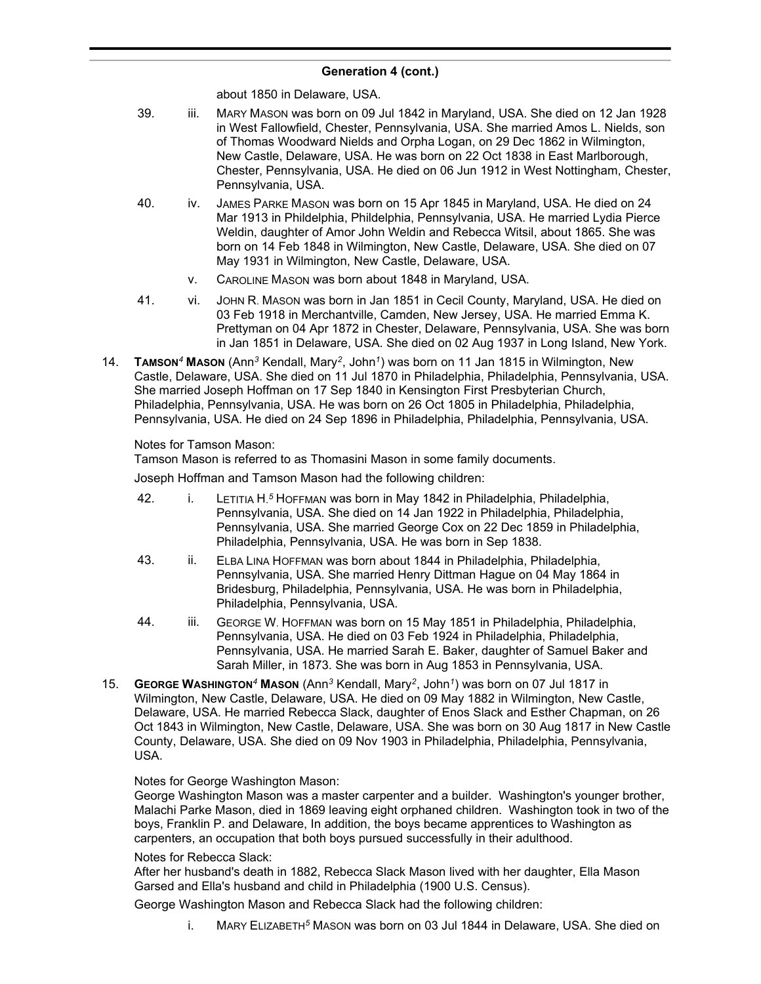about 1850 in Delaware, USA.

- 39. iii. MARY MASON was born on 09 Jul 1842 in Maryland, USA. She died on 12 Jan 1928 in West Fallowfield, Chester, Pennsylvania, USA. She married Amos L. Nields, son of Thomas Woodward Nields and Orpha Logan, on 29 Dec 1862 in Wilmington, New Castle, Delaware, USA. He was born on 22 Oct 1838 in East Marlborough, Chester, Pennsylvania, USA. He died on 06 Jun 1912 in West Nottingham, Chester, Pennsylvania, USA.
- 40. iv. JAMES PARKE MASON was born on 15 Apr 1845 in Maryland, USA. He died on 24 Mar 1913 in Phildelphia, Phildelphia, Pennsylvania, USA. He married Lydia Pierce Weldin, daughter of Amor John Weldin and Rebecca Witsil, about 1865. She was born on 14 Feb 1848 in Wilmington, New Castle, Delaware, USA. She died on 07 May 1931 in Wilmington, New Castle, Delaware, USA.
	- v. CAROLINE MASON was born about 1848 in Maryland, USA.
- 41. vi. JOHN R. MASON was born in Jan 1851 in Cecil County, Maryland, USA. He died on 03 Feb 1918 in Merchantville, Camden, New Jersey, USA. He married Emma K. Prettyman on 04 Apr 1872 in Chester, Delaware, Pennsylvania, USA. She was born in Jan 1851 in Delaware, USA. She died on 02 Aug 1937 in Long Island, New York.
- 14. **TAMSON***<sup>4</sup>* **MASON** (Ann*<sup>3</sup>* Kendall, Mary*<sup>2</sup>* , John*<sup>1</sup>* ) was born on 11 Jan 1815 in Wilmington, New Castle, Delaware, USA. She died on 11 Jul 1870 in Philadelphia, Philadelphia, Pennsylvania, USA. She married Joseph Hoffman on 17 Sep 1840 in Kensington First Presbyterian Church, Philadelphia, Pennsylvania, USA. He was born on 26 Oct 1805 in Philadelphia, Philadelphia, Pennsylvania, USA. He died on 24 Sep 1896 in Philadelphia, Philadelphia, Pennsylvania, USA.

# Notes for Tamson Mason:

Tamson Mason is referred to as Thomasini Mason in some family documents.

Joseph Hoffman and Tamson Mason had the following children:

- 42. **i. LETITIA H.<sup>5</sup> HOFFMAN was born in May 1842 in Philadelphia, Philadelphia,** Pennsylvania, USA. She died on 14 Jan 1922 in Philadelphia, Philadelphia, Pennsylvania, USA. She married George Cox on 22 Dec 1859 in Philadelphia, Philadelphia, Pennsylvania, USA. He was born in Sep 1838.
- 43. ii. ELBA LINA HOFFMAN was born about 1844 in Philadelphia, Philadelphia, Pennsylvania, USA. She married Henry Dittman Hague on 04 May 1864 in Bridesburg, Philadelphia, Pennsylvania, USA. He was born in Philadelphia, Philadelphia, Pennsylvania, USA.
- 44. iii. GEORGE W. HOFFMAN was born on 15 May 1851 in Philadelphia, Philadelphia, Pennsylvania, USA. He died on 03 Feb 1924 in Philadelphia, Philadelphia, Pennsylvania, USA. He married Sarah E. Baker, daughter of Samuel Baker and Sarah Miller, in 1873. She was born in Aug 1853 in Pennsylvania, USA.
- 15. **GEORGE WASHINGTON***<sup>4</sup>* **MASON** (Ann*<sup>3</sup>* Kendall, Mary*<sup>2</sup>* , John*<sup>1</sup>* ) was born on 07 Jul 1817 in Wilmington, New Castle, Delaware, USA. He died on 09 May 1882 in Wilmington, New Castle, Delaware, USA. He married Rebecca Slack, daughter of Enos Slack and Esther Chapman, on 26 Oct 1843 in Wilmington, New Castle, Delaware, USA. She was born on 30 Aug 1817 in New Castle County, Delaware, USA. She died on 09 Nov 1903 in Philadelphia, Philadelphia, Pennsylvania, USA.

# Notes for George Washington Mason:

George Washington Mason was a master carpenter and a builder. Washington's younger brother, Malachi Parke Mason, died in 1869 leaving eight orphaned children. Washington took in two of the boys, Franklin P. and Delaware, In addition, the boys became apprentices to Washington as carpenters, an occupation that both boys pursued successfully in their adulthood.

# Notes for Rebecca Slack:

After her husband's death in 1882, Rebecca Slack Mason lived with her daughter, Ella Mason Garsed and Ella's husband and child in Philadelphia (1900 U.S. Census).

George Washington Mason and Rebecca Slack had the following children:

i. MARY ELIZABETH*<sup>5</sup>* MASON was born on 03 Jul 1844 in Delaware, USA. She died on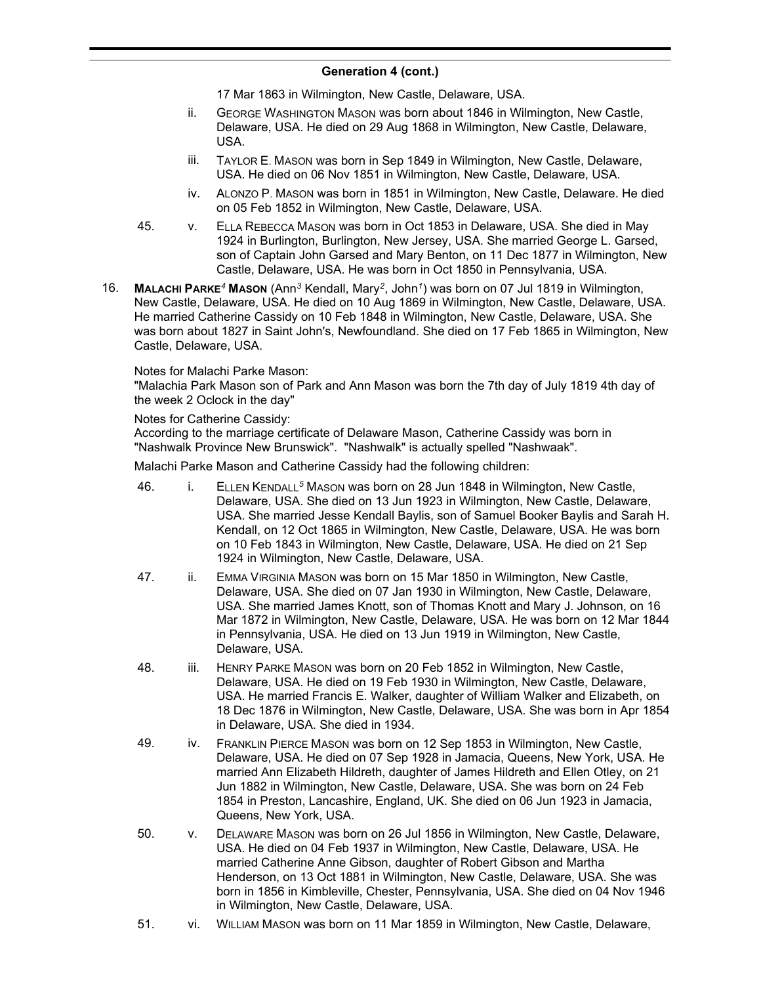17 Mar 1863 in Wilmington, New Castle, Delaware, USA.

- ii. GEORGE WASHINGTON MASON was born about 1846 in Wilmington, New Castle, Delaware, USA. He died on 29 Aug 1868 in Wilmington, New Castle, Delaware, USA.
- iii. TAYLOR E. MASON was born in Sep 1849 in Wilmington, New Castle, Delaware, USA. He died on 06 Nov 1851 in Wilmington, New Castle, Delaware, USA.
- iv. ALONZO P. MASON was born in 1851 in Wilmington, New Castle, Delaware. He died on 05 Feb 1852 in Wilmington, New Castle, Delaware, USA.
- 45. v. ELLA REBECCA MASON was born in Oct 1853 in Delaware, USA. She died in May 1924 in Burlington, Burlington, New Jersey, USA. She married George L. Garsed, son of Captain John Garsed and Mary Benton, on 11 Dec 1877 in Wilmington, New Castle, Delaware, USA. He was born in Oct 1850 in Pennsylvania, USA.
- 16. **MALACHI PARKE***<sup>4</sup>* **MASON** (Ann*<sup>3</sup>* Kendall, Mary*<sup>2</sup>* , John*<sup>1</sup>* ) was born on 07 Jul 1819 in Wilmington, New Castle, Delaware, USA. He died on 10 Aug 1869 in Wilmington, New Castle, Delaware, USA. He married Catherine Cassidy on 10 Feb 1848 in Wilmington, New Castle, Delaware, USA. She was born about 1827 in Saint John's, Newfoundland. She died on 17 Feb 1865 in Wilmington, New Castle, Delaware, USA.

### Notes for Malachi Parke Mason:

"Malachia Park Mason son of Park and Ann Mason was born the 7th day of July 1819 4th day of the week 2 Oclock in the day"

### Notes for Catherine Cassidy:

According to the marriage certificate of Delaware Mason, Catherine Cassidy was born in "Nashwalk Province New Brunswick". "Nashwalk" is actually spelled "Nashwaak".

Malachi Parke Mason and Catherine Cassidy had the following children:

- 46. i. ELLEN KENDALL*<sup>5</sup>* MASON was born on 28 Jun 1848 in Wilmington, New Castle, Delaware, USA. She died on 13 Jun 1923 in Wilmington, New Castle, Delaware, USA. She married Jesse Kendall Baylis, son of Samuel Booker Baylis and Sarah H. Kendall, on 12 Oct 1865 in Wilmington, New Castle, Delaware, USA. He was born on 10 Feb 1843 in Wilmington, New Castle, Delaware, USA. He died on 21 Sep 1924 in Wilmington, New Castle, Delaware, USA.
- 47. ii. EMMA VIRGINIA MASON was born on 15 Mar 1850 in Wilmington, New Castle, Delaware, USA. She died on 07 Jan 1930 in Wilmington, New Castle, Delaware, USA. She married James Knott, son of Thomas Knott and Mary J. Johnson, on 16 Mar 1872 in Wilmington, New Castle, Delaware, USA. He was born on 12 Mar 1844 in Pennsylvania, USA. He died on 13 Jun 1919 in Wilmington, New Castle, Delaware, USA.
- 48. iii. HENRY PARKE MASON was born on 20 Feb 1852 in Wilmington, New Castle, Delaware, USA. He died on 19 Feb 1930 in Wilmington, New Castle, Delaware, USA. He married Francis E. Walker, daughter of William Walker and Elizabeth, on 18 Dec 1876 in Wilmington, New Castle, Delaware, USA. She was born in Apr 1854 in Delaware, USA. She died in 1934.
- 49. iv. FRANKLIN PIERCE MASON was born on 12 Sep 1853 in Wilmington, New Castle, Delaware, USA. He died on 07 Sep 1928 in Jamacia, Queens, New York, USA. He married Ann Elizabeth Hildreth, daughter of James Hildreth and Ellen Otley, on 21 Jun 1882 in Wilmington, New Castle, Delaware, USA. She was born on 24 Feb 1854 in Preston, Lancashire, England, UK. She died on 06 Jun 1923 in Jamacia, Queens, New York, USA.
- 50. v. DELAWARE MASON was born on 26 Jul 1856 in Wilmington, New Castle, Delaware, USA. He died on 04 Feb 1937 in Wilmington, New Castle, Delaware, USA. He married Catherine Anne Gibson, daughter of Robert Gibson and Martha Henderson, on 13 Oct 1881 in Wilmington, New Castle, Delaware, USA. She was born in 1856 in Kimbleville, Chester, Pennsylvania, USA. She died on 04 Nov 1946 in Wilmington, New Castle, Delaware, USA.
- 51. vi. WILLIAM MASON was born on 11 Mar 1859 in Wilmington, New Castle, Delaware,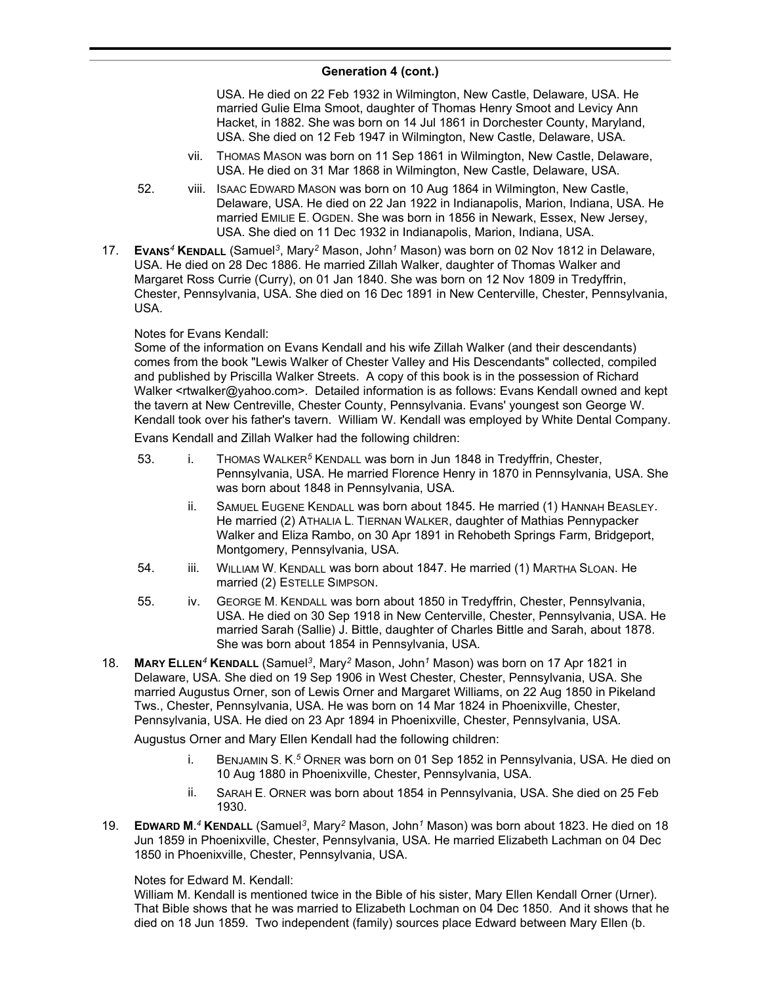USA. He died on 22 Feb 1932 in Wilmington, New Castle, Delaware, USA. He married Gulie Elma Smoot, daughter of Thomas Henry Smoot and Levicy Ann Hacket, in 1882. She was born on 14 Jul 1861 in Dorchester County, Maryland, USA. She died on 12 Feb 1947 in Wilmington, New Castle, Delaware, USA.

- vii. THOMAS MASON was born on 11 Sep 1861 in Wilmington, New Castle, Delaware, USA. He died on 31 Mar 1868 in Wilmington, New Castle, Delaware, USA.
- 52. viii. ISAAC EDWARD MASON was born on 10 Aug 1864 in Wilmington, New Castle, Delaware, USA. He died on 22 Jan 1922 in Indianapolis, Marion, Indiana, USA. He married EMILIE E. OGDEN. She was born in 1856 in Newark, Essex, New Jersey, USA. She died on 11 Dec 1932 in Indianapolis, Marion, Indiana, USA.
- 17. **EVANS***<sup>4</sup>* **KENDALL** (Samuel*<sup>3</sup>* , Mary*<sup>2</sup>* Mason, John*<sup>1</sup>* Mason) was born on 02 Nov 1812 in Delaware, USA. He died on 28 Dec 1886. He married Zillah Walker, daughter of Thomas Walker and Margaret Ross Currie (Curry), on 01 Jan 1840. She was born on 12 Nov 1809 in Tredyffrin, Chester, Pennsylvania, USA. She died on 16 Dec 1891 in New Centerville, Chester, Pennsylvania, USA.

### Notes for Evans Kendall:

Some of the information on Evans Kendall and his wife Zillah Walker (and their descendants) comes from the book "Lewis Walker of Chester Valley and His Descendants" collected, compiled and published by Priscilla Walker Streets. A copy of this book is in the possession of Richard Walker <rtwalker@yahoo.com>. Detailed information is as follows: Evans Kendall owned and kept the tavern at New Centreville, Chester County, Pennsylvania. Evans' youngest son George W. Kendall took over his father's tavern. William W. Kendall was employed by White Dental Company.

Evans Kendall and Zillah Walker had the following children:

- 53. i. THOMAS WALKER<sup>5</sup> KENDALL was born in Jun 1848 in Tredyffrin. Chester. Pennsylvania, USA. He married Florence Henry in 1870 in Pennsylvania, USA. She was born about 1848 in Pennsylvania, USA.
	- ii. SAMUEL EUGENE KENDALL was born about 1845. He married (1) HANNAH BEASLEY. He married (2) ATHALIA L. TIERNAN WALKER, daughter of Mathias Pennypacker Walker and Eliza Rambo, on 30 Apr 1891 in Rehobeth Springs Farm, Bridgeport, Montgomery, Pennsylvania, USA.
- 54. iii. WILLIAM W. KENDALL was born about 1847. He married (1) MARTHA SLOAN. He married (2) ESTELLE SIMPSON.
- 55. iv. GEORGE M. KENDALL was born about 1850 in Tredyffrin, Chester, Pennsylvania, USA. He died on 30 Sep 1918 in New Centerville, Chester, Pennsylvania, USA. He married Sarah (Sallie) J. Bittle, daughter of Charles Bittle and Sarah, about 1878. She was born about 1854 in Pennsylvania, USA.
- 18. **MARY ELLEN***<sup>4</sup>* **KENDALL** (Samuel*<sup>3</sup>* , Mary*<sup>2</sup>* Mason, John*<sup>1</sup>* Mason) was born on 17 Apr 1821 in Delaware, USA. She died on 19 Sep 1906 in West Chester, Chester, Pennsylvania, USA. She married Augustus Orner, son of Lewis Orner and Margaret Williams, on 22 Aug 1850 in Pikeland Tws., Chester, Pennsylvania, USA. He was born on 14 Mar 1824 in Phoenixville, Chester, Pennsylvania, USA. He died on 23 Apr 1894 in Phoenixville, Chester, Pennsylvania, USA.

Augustus Orner and Mary Ellen Kendall had the following children:

- i. BENJAMIN S. K. *<sup>5</sup>* ORNER was born on 01 Sep 1852 in Pennsylvania, USA. He died on 10 Aug 1880 in Phoenixville, Chester, Pennsylvania, USA.
- ii. SARAH E. ORNER was born about 1854 in Pennsylvania, USA. She died on 25 Feb 1930.
- 19. **EDWARD M.** *<sup>4</sup>* **KENDALL** (Samuel*<sup>3</sup>* , Mary*<sup>2</sup>* Mason, John*<sup>1</sup>* Mason) was born about 1823. He died on 18 Jun 1859 in Phoenixville, Chester, Pennsylvania, USA. He married Elizabeth Lachman on 04 Dec 1850 in Phoenixville, Chester, Pennsylvania, USA.

### Notes for Edward M. Kendall:

William M. Kendall is mentioned twice in the Bible of his sister, Mary Ellen Kendall Orner (Urner). That Bible shows that he was married to Elizabeth Lochman on 04 Dec 1850. And it shows that he died on 18 Jun 1859. Two independent (family) sources place Edward between Mary Ellen (b.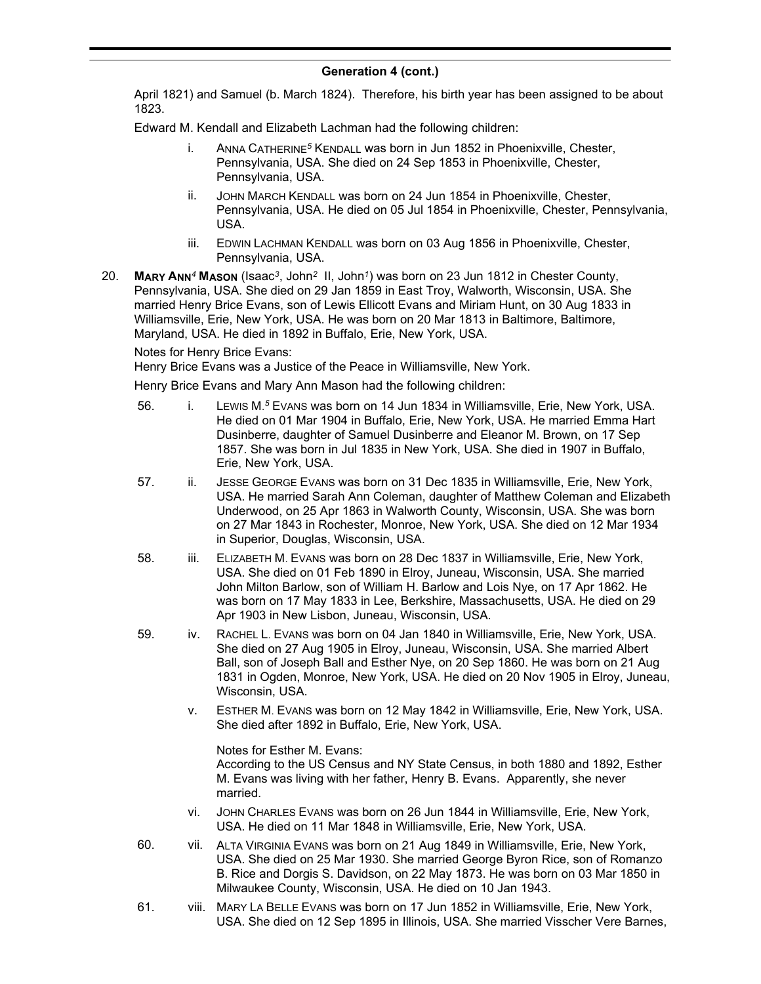April 1821) and Samuel (b. March 1824). Therefore, his birth year has been assigned to be about 1823.

Edward M. Kendall and Elizabeth Lachman had the following children:

- i. ANNA CATHERINE*<sup>5</sup>* KENDALL was born in Jun 1852 in Phoenixville, Chester, Pennsylvania, USA. She died on 24 Sep 1853 in Phoenixville, Chester, Pennsylvania, USA.
- ii. JOHN MARCH KENDALL was born on 24 Jun 1854 in Phoenixville, Chester, Pennsylvania, USA. He died on 05 Jul 1854 in Phoenixville, Chester, Pennsylvania, USA.
- iii. EDWIN LACHMAN KENDALL was born on 03 Aug 1856 in Phoenixville, Chester, Pennsylvania, USA.
- 20. **MARY ANN***<sup>4</sup>* **MASON** (Isaac*<sup>3</sup>* , John*<sup>2</sup>* II, John*<sup>1</sup>* ) was born on 23 Jun 1812 in Chester County, Pennsylvania, USA. She died on 29 Jan 1859 in East Troy, Walworth, Wisconsin, USA. She married Henry Brice Evans, son of Lewis Ellicott Evans and Miriam Hunt, on 30 Aug 1833 in Williamsville, Erie, New York, USA. He was born on 20 Mar 1813 in Baltimore, Baltimore, Maryland, USA. He died in 1892 in Buffalo, Erie, New York, USA.

Notes for Henry Brice Evans:

Henry Brice Evans was a Justice of the Peace in Williamsville, New York.

Henry Brice Evans and Mary Ann Mason had the following children:

- 56. i. Lewis M.<sup>5</sup> E∨ans was born on 14 Jun 1834 in Williamsville, Erie, New York, USA. He died on 01 Mar 1904 in Buffalo, Erie, New York, USA. He married Emma Hart Dusinberre, daughter of Samuel Dusinberre and Eleanor M. Brown, on 17 Sep 1857. She was born in Jul 1835 in New York, USA. She died in 1907 in Buffalo, Erie, New York, USA.
- 57. ii. JESSE GEORGE EVANS was born on 31 Dec 1835 in Williamsville, Erie, New York, USA. He married Sarah Ann Coleman, daughter of Matthew Coleman and Elizabeth Underwood, on 25 Apr 1863 in Walworth County, Wisconsin, USA. She was born on 27 Mar 1843 in Rochester, Monroe, New York, USA. She died on 12 Mar 1934 in Superior, Douglas, Wisconsin, USA.
- 58. iii. ELIZABETH M. EVANS was born on 28 Dec 1837 in Williamsville, Erie, New York, USA. She died on 01 Feb 1890 in Elroy, Juneau, Wisconsin, USA. She married John Milton Barlow, son of William H. Barlow and Lois Nye, on 17 Apr 1862. He was born on 17 May 1833 in Lee, Berkshire, Massachusetts, USA. He died on 29 Apr 1903 in New Lisbon, Juneau, Wisconsin, USA.
- 59. iv. RACHEL L. EVANS was born on 04 Jan 1840 in Williamsville, Erie, New York, USA. She died on 27 Aug 1905 in Elroy, Juneau, Wisconsin, USA. She married Albert Ball, son of Joseph Ball and Esther Nye, on 20 Sep 1860. He was born on 21 Aug 1831 in Ogden, Monroe, New York, USA. He died on 20 Nov 1905 in Elroy, Juneau, Wisconsin, USA.
	- v. ESTHER M. EVANS was born on 12 May 1842 in Williamsville, Erie, New York, USA. She died after 1892 in Buffalo, Erie, New York, USA.

Notes for Esther M. Evans: According to the US Census and NY State Census, in both 1880 and 1892, Esther M. Evans was living with her father, Henry B. Evans. Apparently, she never married.

- vi. JOHN CHARLES EVANS was born on 26 Jun 1844 in Williamsville, Erie, New York, USA. He died on 11 Mar 1848 in Williamsville, Erie, New York, USA.
- 60. vii. ALTA VIRGINIA EVANS was born on 21 Aug 1849 in Williamsville, Erie, New York, USA. She died on 25 Mar 1930. She married George Byron Rice, son of Romanzo B. Rice and Dorgis S. Davidson, on 22 May 1873. He was born on 03 Mar 1850 in Milwaukee County, Wisconsin, USA. He died on 10 Jan 1943.
- 61. viii. MARY LA BELLE EVANS was born on 17 Jun 1852 in Williamsville, Erie, New York, USA. She died on 12 Sep 1895 in Illinois, USA. She married Visscher Vere Barnes,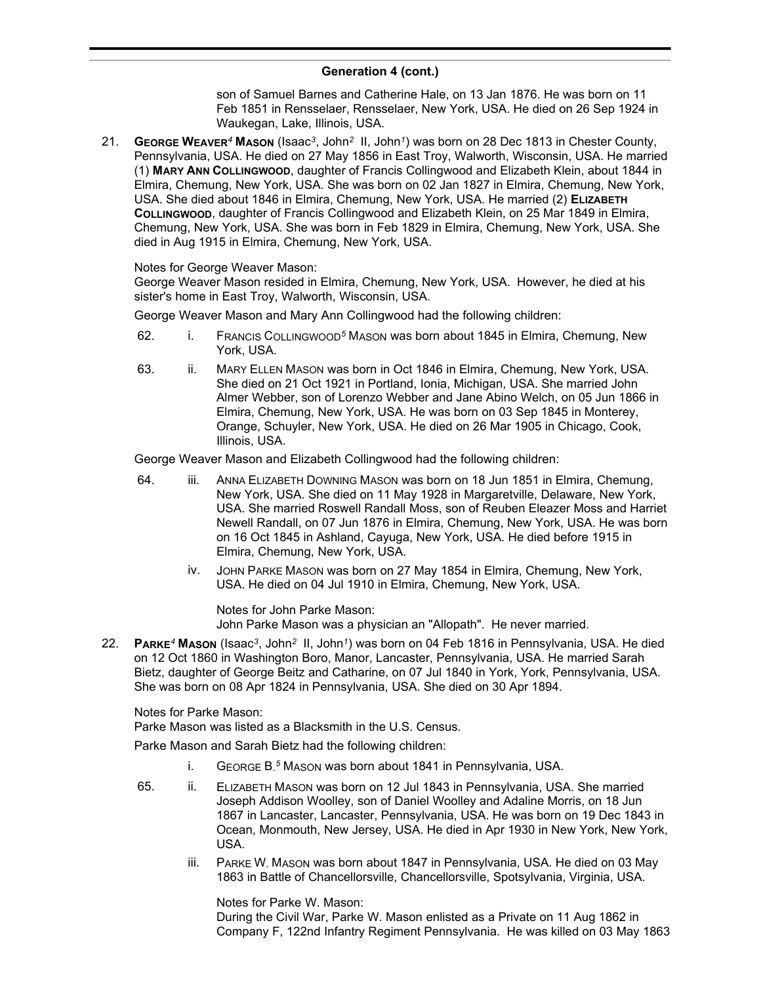son of Samuel Barnes and Catherine Hale, on 13 Jan 1876. He was born on 11 Feb 1851 in Rensselaer, Rensselaer, New York, USA. He died on 26 Sep 1924 in Waukegan, Lake, Illinois, USA.

21. **GEORGE WEAVER***<sup>4</sup>* **MASON** (Isaac*<sup>3</sup>* , John*<sup>2</sup>* II, John*<sup>1</sup>* ) was born on 28 Dec 1813 in Chester County, Pennsylvania, USA. He died on 27 May 1856 in East Troy, Walworth, Wisconsin, USA. He married (1) **MARY ANN COLLINGWOOD**, daughter of Francis Collingwood and Elizabeth Klein, about 1844 in Elmira, Chemung, New York, USA. She was born on 02 Jan 1827 in Elmira, Chemung, New York, USA. She died about 1846 in Elmira, Chemung, New York, USA. He married (2) **ELIZABETH COLLINGWOOD**, daughter of Francis Collingwood and Elizabeth Klein, on 25 Mar 1849 in Elmira, Chemung, New York, USA. She was born in Feb 1829 in Elmira, Chemung, New York, USA. She died in Aug 1915 in Elmira, Chemung, New York, USA.

### Notes for George Weaver Mason:

George Weaver Mason resided in Elmira, Chemung, New York, USA. However, he died at his sister's home in East Troy, Walworth, Wisconsin, USA.

George Weaver Mason and Mary Ann Collingwood had the following children:

- 62. i. FRANCIS COLLINGWOOD*<sup>5</sup>* MASON was born about 1845 in Elmira, Chemung, New York, USA.
- 63. ii. MARY ELLEN MASON was born in Oct 1846 in Elmira, Chemung, New York, USA. She died on 21 Oct 1921 in Portland, Ionia, Michigan, USA. She married John Almer Webber, son of Lorenzo Webber and Jane Abino Welch, on 05 Jun 1866 in Elmira, Chemung, New York, USA. He was born on 03 Sep 1845 in Monterey, Orange, Schuyler, New York, USA. He died on 26 Mar 1905 in Chicago, Cook, Illinois, USA.

George Weaver Mason and Elizabeth Collingwood had the following children:

- 64. iii. ANNA ELIZABETH DOWNING MASON was born on 18 Jun 1851 in Elmira, Chemung, New York, USA. She died on 11 May 1928 in Margaretville, Delaware, New York, USA. She married Roswell Randall Moss, son of Reuben Eleazer Moss and Harriet Newell Randall, on 07 Jun 1876 in Elmira, Chemung, New York, USA. He was born on 16 Oct 1845 in Ashland, Cayuga, New York, USA. He died before 1915 in Elmira, Chemung, New York, USA.
	- iv. JOHN PARKE MASON was born on 27 May 1854 in Elmira, Chemung, New York, USA. He died on 04 Jul 1910 in Elmira, Chemung, New York, USA.

Notes for John Parke Mason: John Parke Mason was a physician an "Allopath". He never married.

22. **PARKE***<sup>4</sup>* **MASON** (Isaac*<sup>3</sup>* , John*<sup>2</sup>* II, John*<sup>1</sup>* ) was born on 04 Feb 1816 in Pennsylvania, USA. He died on 12 Oct 1860 in Washington Boro, Manor, Lancaster, Pennsylvania, USA. He married Sarah Bietz, daughter of George Beitz and Catharine, on 07 Jul 1840 in York, York, Pennsylvania, USA. She was born on 08 Apr 1824 in Pennsylvania, USA. She died on 30 Apr 1894.

Notes for Parke Mason:

Parke Mason was listed as a Blacksmith in the U.S. Census.

Parke Mason and Sarah Bietz had the following children:

- i. GEORGE B. *<sup>5</sup>* MASON was born about 1841 in Pennsylvania, USA.
- 65. ii. ELIZABETH MASON was born on 12 Jul 1843 in Pennsylvania, USA. She married Joseph Addison Woolley, son of Daniel Woolley and Adaline Morris, on 18 Jun 1867 in Lancaster, Lancaster, Pennsylvania, USA. He was born on 19 Dec 1843 in Ocean, Monmouth, New Jersey, USA. He died in Apr 1930 in New York, New York, USA.
	- iii. PARKE W. MASON was born about 1847 in Pennsylvania, USA. He died on 03 May 1863 in Battle of Chancellorsville, Chancellorsville, Spotsylvania, Virginia, USA.

Notes for Parke W. Mason: During the Civil War, Parke W. Mason enlisted as a Private on 11 Aug 1862 in Company F, 122nd Infantry Regiment Pennsylvania. He was killed on 03 May 1863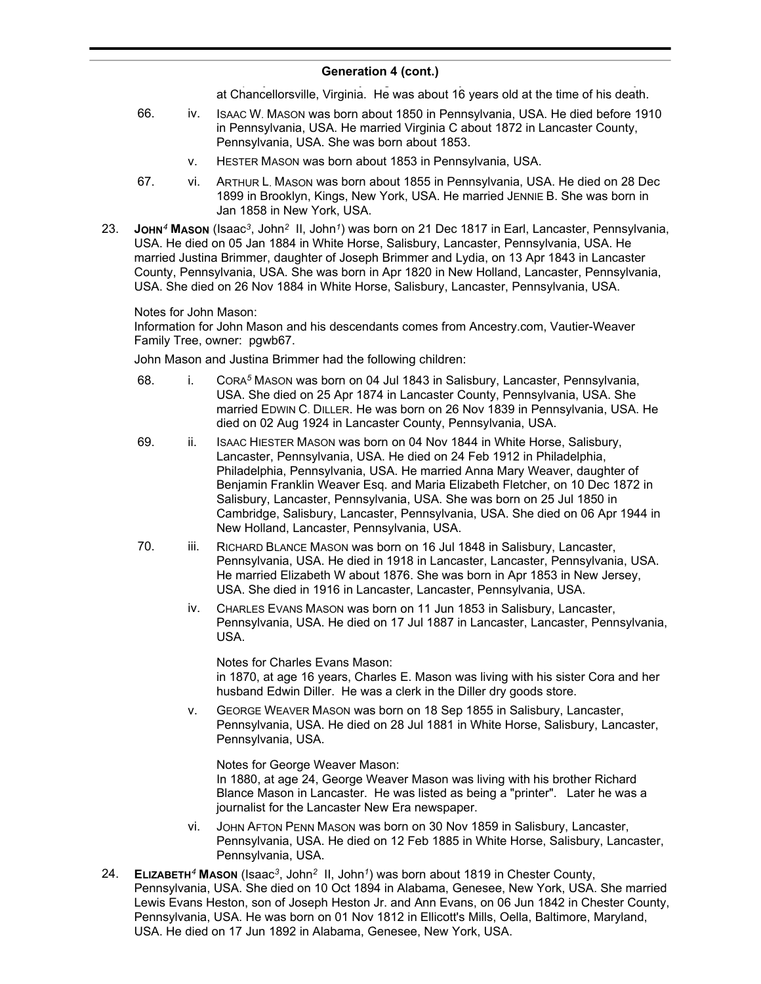at Chancellorsville, Virginia. He was about 16 years old at the time of his death.

- 66. iv. ISAAC W. MASON was born about 1850 in Pennsylvania, USA. He died before 1910 in Pennsylvania, USA. He married Virginia C about 1872 in Lancaster County, Pennsylvania, USA. She was born about 1853.
	- v. HESTER MASON was born about 1853 in Pennsylvania, USA.
- 67. vi. ARTHUR L. MASON was born about 1855 in Pennsylvania, USA. He died on 28 Dec 1899 in Brooklyn, Kings, New York, USA. He married JENNIE B. She was born in Jan 1858 in New York, USA.
- 23. **JOHN***<sup>4</sup>* **MASON** (Isaac*<sup>3</sup>* , John*<sup>2</sup>* II, John*<sup>1</sup>* ) was born on 21 Dec 1817 in Earl, Lancaster, Pennsylvania, USA. He died on 05 Jan 1884 in White Horse, Salisbury, Lancaster, Pennsylvania, USA. He married Justina Brimmer, daughter of Joseph Brimmer and Lydia, on 13 Apr 1843 in Lancaster County, Pennsylvania, USA. She was born in Apr 1820 in New Holland, Lancaster, Pennsylvania, USA. She died on 26 Nov 1884 in White Horse, Salisbury, Lancaster, Pennsylvania, USA.

Notes for John Mason:

Information for John Mason and his descendants comes from Ancestry.com, Vautier-Weaver Family Tree, owner: pgwb67.

John Mason and Justina Brimmer had the following children:

- 68. i. CORA*<sup>5</sup>* MASON was born on 04 Jul 1843 in Salisbury, Lancaster, Pennsylvania, USA. She died on 25 Apr 1874 in Lancaster County, Pennsylvania, USA. She married EDWIN C. DILLER. He was born on 26 Nov 1839 in Pennsylvania, USA. He died on 02 Aug 1924 in Lancaster County, Pennsylvania, USA.
- 69. ii. ISAAC HIESTER MASON was born on 04 Nov 1844 in White Horse, Salisbury, Lancaster, Pennsylvania, USA. He died on 24 Feb 1912 in Philadelphia, Philadelphia, Pennsylvania, USA. He married Anna Mary Weaver, daughter of Benjamin Franklin Weaver Esq. and Maria Elizabeth Fletcher, on 10 Dec 1872 in Salisbury, Lancaster, Pennsylvania, USA. She was born on 25 Jul 1850 in Cambridge, Salisbury, Lancaster, Pennsylvania, USA. She died on 06 Apr 1944 in New Holland, Lancaster, Pennsylvania, USA.
- 70. iii. RICHARD BLANCE MASON was born on 16 Jul 1848 in Salisbury, Lancaster, Pennsylvania, USA. He died in 1918 in Lancaster, Lancaster, Pennsylvania, USA. He married Elizabeth W about 1876. She was born in Apr 1853 in New Jersey, USA. She died in 1916 in Lancaster, Lancaster, Pennsylvania, USA.
	- iv. CHARLES EVANS MASON was born on 11 Jun 1853 in Salisbury, Lancaster, Pennsylvania, USA. He died on 17 Jul 1887 in Lancaster, Lancaster, Pennsylvania, USA.

Notes for Charles Evans Mason: in 1870, at age 16 years, Charles E. Mason was living with his sister Cora and her husband Edwin Diller. He was a clerk in the Diller dry goods store.

v. GEORGE WEAVER MASON was born on 18 Sep 1855 in Salisbury, Lancaster, Pennsylvania, USA. He died on 28 Jul 1881 in White Horse, Salisbury, Lancaster, Pennsylvania, USA.

Notes for George Weaver Mason: In 1880, at age 24, George Weaver Mason was living with his brother Richard Blance Mason in Lancaster. He was listed as being a "printer". Later he was a journalist for the Lancaster New Era newspaper.

- vi. JOHN AFTON PENN MASON was born on 30 Nov 1859 in Salisbury, Lancaster, Pennsylvania, USA. He died on 12 Feb 1885 in White Horse, Salisbury, Lancaster, Pennsylvania, USA.
- 24. **ELIZABETH***<sup>4</sup>* **MASON** (Isaac*<sup>3</sup>* , John*<sup>2</sup>* II, John*<sup>1</sup>* ) was born about 1819 in Chester County, Pennsylvania, USA. She died on 10 Oct 1894 in Alabama, Genesee, New York, USA. She married Lewis Evans Heston, son of Joseph Heston Jr. and Ann Evans, on 06 Jun 1842 in Chester County, Pennsylvania, USA. He was born on 01 Nov 1812 in Ellicott's Mills, Oella, Baltimore, Maryland, USA. He died on 17 Jun 1892 in Alabama, Genesee, New York, USA.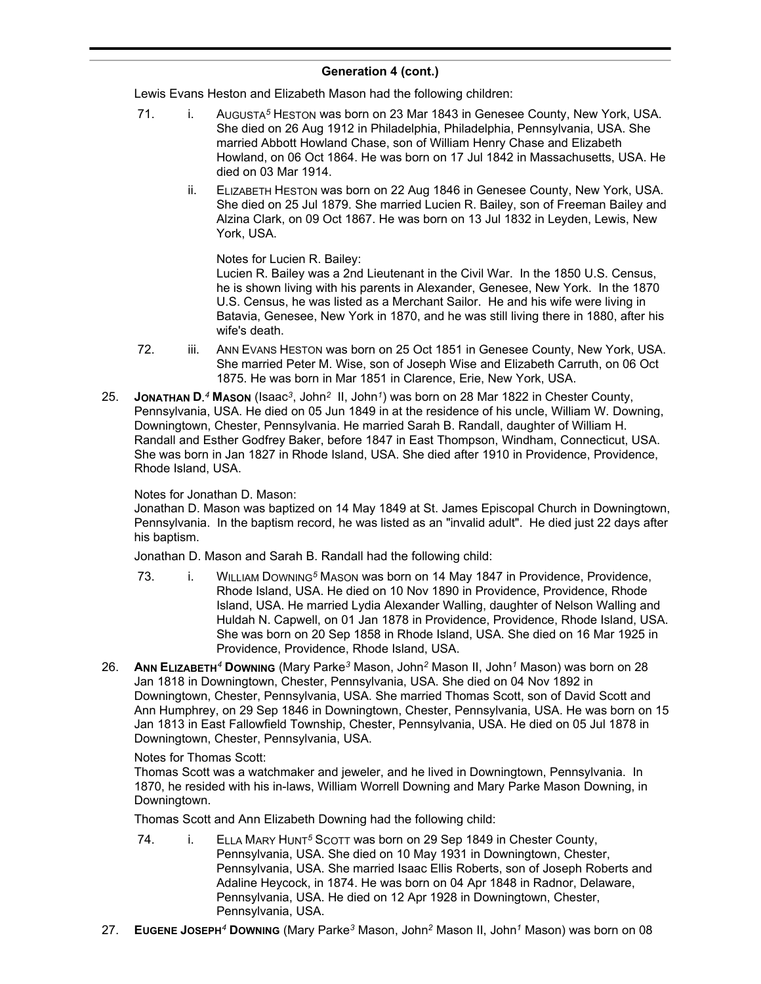Lewis Evans Heston and Elizabeth Mason had the following children:

- 71. i. AUGUSTA*<sup>5</sup>* HESTON was born on 23 Mar 1843 in Genesee County, New York, USA. She died on 26 Aug 1912 in Philadelphia, Philadelphia, Pennsylvania, USA. She married Abbott Howland Chase, son of William Henry Chase and Elizabeth Howland, on 06 Oct 1864. He was born on 17 Jul 1842 in Massachusetts, USA. He died on 03 Mar 1914.
	- ii. ELIZABETH HESTON was born on 22 Aug 1846 in Genesee County, New York, USA. She died on 25 Jul 1879. She married Lucien R. Bailey, son of Freeman Bailey and Alzina Clark, on 09 Oct 1867. He was born on 13 Jul 1832 in Leyden, Lewis, New York, USA.

Notes for Lucien R. Bailey:

Lucien R. Bailey was a 2nd Lieutenant in the Civil War. In the 1850 U.S. Census, he is shown living with his parents in Alexander, Genesee, New York. In the 1870 U.S. Census, he was listed as a Merchant Sailor. He and his wife were living in Batavia, Genesee, New York in 1870, and he was still living there in 1880, after his wife's death.

- 72. iii. ANN EVANS HESTON was born on 25 Oct 1851 in Genesee County, New York, USA. She married Peter M. Wise, son of Joseph Wise and Elizabeth Carruth, on 06 Oct 1875. He was born in Mar 1851 in Clarence, Erie, New York, USA.
- 25. **JONATHAN D.** *<sup>4</sup>* **MASON** (Isaac*<sup>3</sup>* , John*<sup>2</sup>* II, John*<sup>1</sup>* ) was born on 28 Mar 1822 in Chester County, Pennsylvania, USA. He died on 05 Jun 1849 in at the residence of his uncle, William W. Downing, Downingtown, Chester, Pennsylvania. He married Sarah B. Randall, daughter of William H. Randall and Esther Godfrey Baker, before 1847 in East Thompson, Windham, Connecticut, USA. She was born in Jan 1827 in Rhode Island, USA. She died after 1910 in Providence, Providence, Rhode Island, USA.

# Notes for Jonathan D. Mason:

Jonathan D. Mason was baptized on 14 May 1849 at St. James Episcopal Church in Downingtown, Pennsylvania. In the baptism record, he was listed as an "invalid adult". He died just 22 days after his baptism.

Jonathan D. Mason and Sarah B. Randall had the following child:

- 73. i. WILLIAM DOWNING*<sup>5</sup>* MASON was born on 14 May 1847 in Providence, Providence, Rhode Island, USA. He died on 10 Nov 1890 in Providence, Providence, Rhode Island, USA. He married Lydia Alexander Walling, daughter of Nelson Walling and Huldah N. Capwell, on 01 Jan 1878 in Providence, Providence, Rhode Island, USA. She was born on 20 Sep 1858 in Rhode Island, USA. She died on 16 Mar 1925 in Providence, Providence, Rhode Island, USA.
- 26. **ANN ELIZABETH***<sup>4</sup>* **DOWNING** (Mary Parke*<sup>3</sup>* Mason, John*<sup>2</sup>* Mason II, John*<sup>1</sup>* Mason) was born on 28 Jan 1818 in Downingtown, Chester, Pennsylvania, USA. She died on 04 Nov 1892 in Downingtown, Chester, Pennsylvania, USA. She married Thomas Scott, son of David Scott and Ann Humphrey, on 29 Sep 1846 in Downingtown, Chester, Pennsylvania, USA. He was born on 15 Jan 1813 in East Fallowfield Township, Chester, Pennsylvania, USA. He died on 05 Jul 1878 in Downingtown, Chester, Pennsylvania, USA.

### Notes for Thomas Scott:

Thomas Scott was a watchmaker and jeweler, and he lived in Downingtown, Pennsylvania. In 1870, he resided with his in-laws, William Worrell Downing and Mary Parke Mason Downing, in Downingtown.

Thomas Scott and Ann Elizabeth Downing had the following child:

- 74. i. ELLA MARY HUNT<sup>5</sup> SCOTT was born on 29 Sep 1849 in Chester County, Pennsylvania, USA. She died on 10 May 1931 in Downingtown, Chester, Pennsylvania, USA. She married Isaac Ellis Roberts, son of Joseph Roberts and Adaline Heycock, in 1874. He was born on 04 Apr 1848 in Radnor, Delaware, Pennsylvania, USA. He died on 12 Apr 1928 in Downingtown, Chester, Pennsylvania, USA.
- 27. **EUGENE JOSEPH***<sup>4</sup>* **DOWNING** (Mary Parke*<sup>3</sup>* Mason, John*<sup>2</sup>* Mason II, John*<sup>1</sup>* Mason) was born on 08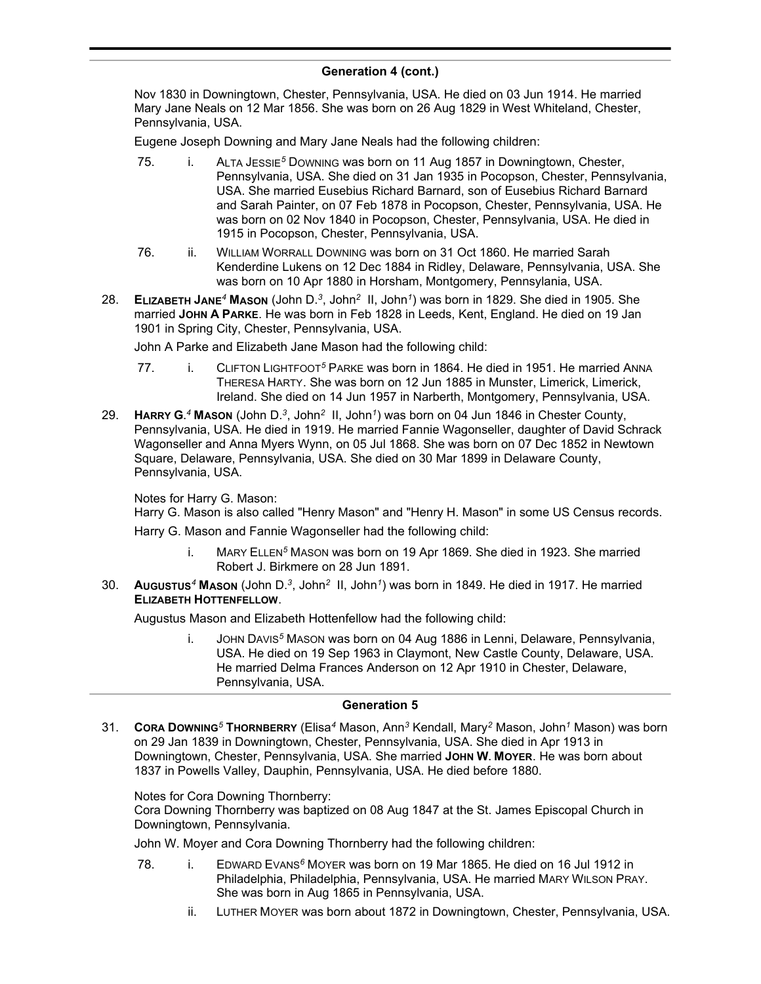Nov 1830 in Downingtown, Chester, Pennsylvania, USA. He died on 03 Jun 1914. He married Mary Jane Neals on 12 Mar 1856. She was born on 26 Aug 1829 in West Whiteland, Chester, Pennsylvania, USA.

Eugene Joseph Downing and Mary Jane Neals had the following children:

- 75. i. ALTA JESSIE*<sup>5</sup>* DOWNING was born on 11 Aug 1857 in Downingtown, Chester, Pennsylvania, USA. She died on 31 Jan 1935 in Pocopson, Chester, Pennsylvania, USA. She married Eusebius Richard Barnard, son of Eusebius Richard Barnard and Sarah Painter, on 07 Feb 1878 in Pocopson, Chester, Pennsylvania, USA. He was born on 02 Nov 1840 in Pocopson, Chester, Pennsylvania, USA. He died in 1915 in Pocopson, Chester, Pennsylvania, USA.
- 76. ii. WILLIAM WORRALL DOWNING was born on 31 Oct 1860. He married Sarah Kenderdine Lukens on 12 Dec 1884 in Ridley, Delaware, Pennsylvania, USA. She was born on 10 Apr 1880 in Horsham, Montgomery, Pennsylania, USA.
- 28. **ELIZABETH JANE***<sup>4</sup>* **MASON** (John D.*<sup>3</sup>* , John*<sup>2</sup>* II, John*<sup>1</sup>* ) was born in 1829. She died in 1905. She married **JOHN A PARKE**. He was born in Feb 1828 in Leeds, Kent, England. He died on 19 Jan 1901 in Spring City, Chester, Pennsylvania, USA.

John A Parke and Elizabeth Jane Mason had the following child:

- 77. i. CLIFTON LIGHTFOOT*<sup>5</sup>* PARKE was born in 1864. He died in 1951. He married ANNA THERESA HARTY. She was born on 12 Jun 1885 in Munster, Limerick, Limerick, Ireland. She died on 14 Jun 1957 in Narberth, Montgomery, Pennsylvania, USA.
- 29. **HARRY G.** *<sup>4</sup>* **MASON** (John D.*<sup>3</sup>* , John*<sup>2</sup>* II, John*<sup>1</sup>* ) was born on 04 Jun 1846 in Chester County, Pennsylvania, USA. He died in 1919. He married Fannie Wagonseller, daughter of David Schrack Wagonseller and Anna Myers Wynn, on 05 Jul 1868. She was born on 07 Dec 1852 in Newtown Square, Delaware, Pennsylvania, USA. She died on 30 Mar 1899 in Delaware County, Pennsylvania, USA.

Notes for Harry G. Mason:

Harry G. Mason is also called "Henry Mason" and "Henry H. Mason" in some US Census records. Harry G. Mason and Fannie Wagonseller had the following child:

- i. MARY ELLEN*<sup>5</sup>* MASON was born on 19 Apr 1869. She died in 1923. She married Robert J. Birkmere on 28 Jun 1891.
- 30. **AUGUSTUS***<sup>4</sup>* **MASON** (John D.*<sup>3</sup>* , John*<sup>2</sup>* II, John*<sup>1</sup>* ) was born in 1849. He died in 1917. He married **ELIZABETH HOTTENFELLOW**.

Augustus Mason and Elizabeth Hottenfellow had the following child:

i. JOHN DAVIS*<sup>5</sup>* MASON was born on 04 Aug 1886 in Lenni, Delaware, Pennsylvania, USA. He died on 19 Sep 1963 in Claymont, New Castle County, Delaware, USA. He married Delma Frances Anderson on 12 Apr 1910 in Chester, Delaware, Pennsylvania, USA.

### **Generation 5**

31. **CORA DOWNING***<sup>5</sup>* **THORNBERRY** (Elisa*<sup>4</sup>* Mason, Ann*<sup>3</sup>* Kendall, Mary*<sup>2</sup>* Mason, John*<sup>1</sup>* Mason) was born on 29 Jan 1839 in Downingtown, Chester, Pennsylvania, USA. She died in Apr 1913 in Downingtown, Chester, Pennsylvania, USA. She married **JOHN W. MOYER**. He was born about 1837 in Powells Valley, Dauphin, Pennsylvania, USA. He died before 1880.

### Notes for Cora Downing Thornberry:

Cora Downing Thornberry was baptized on 08 Aug 1847 at the St. James Episcopal Church in Downingtown, Pennsylvania.

John W. Moyer and Cora Downing Thornberry had the following children:

- 78. i. EDWARD EVANS*<sup>6</sup>* MOYER was born on 19 Mar 1865. He died on 16 Jul 1912 in Philadelphia, Philadelphia, Pennsylvania, USA. He married MARY WILSON PRAY. She was born in Aug 1865 in Pennsylvania, USA.
	- ii. LUTHER MOYER was born about 1872 in Downingtown, Chester, Pennsylvania, USA.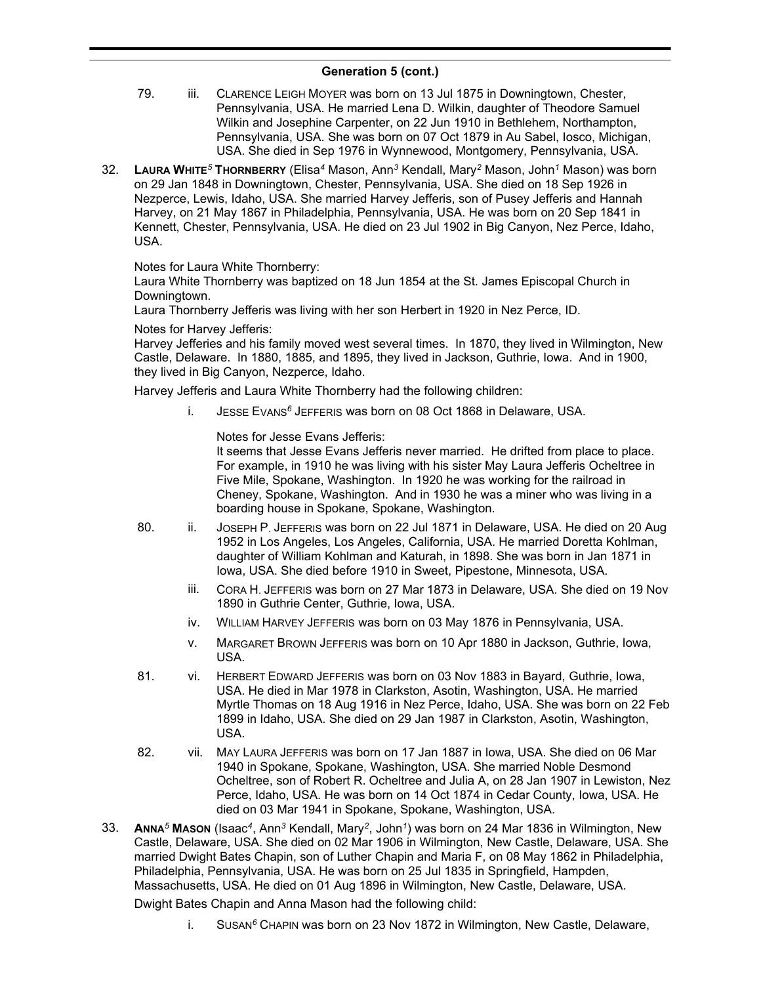- 79. iii. CLARENCE LEIGH MOYER was born on 13 Jul 1875 in Downingtown, Chester, Pennsylvania, USA. He married Lena D. Wilkin, daughter of Theodore Samuel Wilkin and Josephine Carpenter, on 22 Jun 1910 in Bethlehem, Northampton, Pennsylvania, USA. She was born on 07 Oct 1879 in Au Sabel, Iosco, Michigan, USA. She died in Sep 1976 in Wynnewood, Montgomery, Pennsylvania, USA.
- 32. **LAURA WHITE***<sup>5</sup>* **THORNBERRY** (Elisa*<sup>4</sup>* Mason, Ann*<sup>3</sup>* Kendall, Mary*<sup>2</sup>* Mason, John*<sup>1</sup>* Mason) was born on 29 Jan 1848 in Downingtown, Chester, Pennsylvania, USA. She died on 18 Sep 1926 in Nezperce, Lewis, Idaho, USA. She married Harvey Jefferis, son of Pusey Jefferis and Hannah Harvey, on 21 May 1867 in Philadelphia, Pennsylvania, USA. He was born on 20 Sep 1841 in Kennett, Chester, Pennsylvania, USA. He died on 23 Jul 1902 in Big Canyon, Nez Perce, Idaho, USA.

Notes for Laura White Thornberry:

Laura White Thornberry was baptized on 18 Jun 1854 at the St. James Episcopal Church in Downingtown.

Laura Thornberry Jefferis was living with her son Herbert in 1920 in Nez Perce, ID.

Notes for Harvey Jefferis:

Harvey Jefferies and his family moved west several times. In 1870, they lived in Wilmington, New Castle, Delaware. In 1880, 1885, and 1895, they lived in Jackson, Guthrie, Iowa. And in 1900, they lived in Big Canyon, Nezperce, Idaho.

Harvey Jefferis and Laura White Thornberry had the following children:

i. JESSE EVANS*<sup>6</sup>* JEFFERIS was born on 08 Oct 1868 in Delaware, USA.

Notes for Jesse Evans Jefferis:

It seems that Jesse Evans Jefferis never married. He drifted from place to place. For example, in 1910 he was living with his sister May Laura Jefferis Ocheltree in Five Mile, Spokane, Washington. In 1920 he was working for the railroad in Cheney, Spokane, Washington. And in 1930 he was a miner who was living in a boarding house in Spokane, Spokane, Washington.

- 80. ii. JOSEPH P. JEFFERIS was born on 22 Jul 1871 in Delaware, USA. He died on 20 Aug 1952 in Los Angeles, Los Angeles, California, USA. He married Doretta Kohlman, daughter of William Kohlman and Katurah, in 1898. She was born in Jan 1871 in Iowa, USA. She died before 1910 in Sweet, Pipestone, Minnesota, USA.
	- iii. CORA H. JEFFERIS was born on 27 Mar 1873 in Delaware, USA. She died on 19 Nov 1890 in Guthrie Center, Guthrie, Iowa, USA.
	- iv. WILLIAM HARVEY JEFFERIS was born on 03 May 1876 in Pennsylvania, USA.
	- v. MARGARET BROWN JEFFERIS was born on 10 Apr 1880 in Jackson, Guthrie, Iowa, USA.
- 81. vi. HERBERT EDWARD JEFFERIS was born on 03 Nov 1883 in Bayard, Guthrie, Iowa, USA. He died in Mar 1978 in Clarkston, Asotin, Washington, USA. He married Myrtle Thomas on 18 Aug 1916 in Nez Perce, Idaho, USA. She was born on 22 Feb 1899 in Idaho, USA. She died on 29 Jan 1987 in Clarkston, Asotin, Washington, USA.
- 82. vii. MAY LAURA JEFFERIS was born on 17 Jan 1887 in Iowa, USA. She died on 06 Mar 1940 in Spokane, Spokane, Washington, USA. She married Noble Desmond Ocheltree, son of Robert R. Ocheltree and Julia A, on 28 Jan 1907 in Lewiston, Nez Perce, Idaho, USA. He was born on 14 Oct 1874 in Cedar County, Iowa, USA. He died on 03 Mar 1941 in Spokane, Spokane, Washington, USA.
- 33. **ANNA***<sup>5</sup>* **MASON** (Isaac*<sup>4</sup>* , Ann*<sup>3</sup>* Kendall, Mary*<sup>2</sup>* , John*<sup>1</sup>* ) was born on 24 Mar 1836 in Wilmington, New Castle, Delaware, USA. She died on 02 Mar 1906 in Wilmington, New Castle, Delaware, USA. She married Dwight Bates Chapin, son of Luther Chapin and Maria F, on 08 May 1862 in Philadelphia, Philadelphia, Pennsylvania, USA. He was born on 25 Jul 1835 in Springfield, Hampden, Massachusetts, USA. He died on 01 Aug 1896 in Wilmington, New Castle, Delaware, USA.

Dwight Bates Chapin and Anna Mason had the following child:

i. SUSAN*<sup>6</sup>* CHAPIN was born on 23 Nov 1872 in Wilmington, New Castle, Delaware,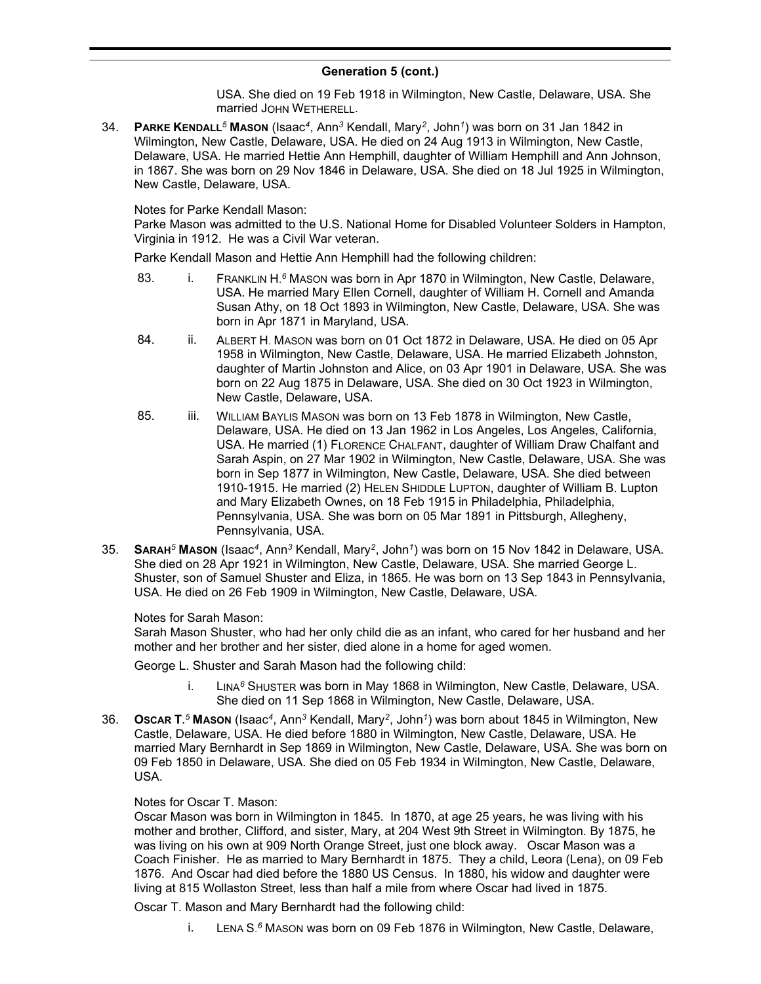USA. She died on 19 Feb 1918 in Wilmington, New Castle, Delaware, USA. She married JOHN WETHERELL.

34. **PARKE KENDALL***<sup>5</sup>* **MASON** (Isaac*<sup>4</sup>* , Ann*<sup>3</sup>* Kendall, Mary*<sup>2</sup>* , John*<sup>1</sup>* ) was born on 31 Jan 1842 in Wilmington, New Castle, Delaware, USA. He died on 24 Aug 1913 in Wilmington, New Castle, Delaware, USA. He married Hettie Ann Hemphill, daughter of William Hemphill and Ann Johnson, in 1867. She was born on 29 Nov 1846 in Delaware, USA. She died on 18 Jul 1925 in Wilmington, New Castle, Delaware, USA.

Notes for Parke Kendall Mason:

Parke Mason was admitted to the U.S. National Home for Disabled Volunteer Solders in Hampton, Virginia in 1912. He was a Civil War veteran.

Parke Kendall Mason and Hettie Ann Hemphill had the following children:

- 83. **i.** FRANKLIN H.<sup>6</sup> MASON was born in Apr 1870 in Wilmington, New Castle, Delaware, USA. He married Mary Ellen Cornell, daughter of William H. Cornell and Amanda Susan Athy, on 18 Oct 1893 in Wilmington, New Castle, Delaware, USA. She was born in Apr 1871 in Maryland, USA.
- 84. ii. ALBERT H. MASON was born on 01 Oct 1872 in Delaware, USA. He died on 05 Apr 1958 in Wilmington, New Castle, Delaware, USA. He married Elizabeth Johnston, daughter of Martin Johnston and Alice, on 03 Apr 1901 in Delaware, USA. She was born on 22 Aug 1875 in Delaware, USA. She died on 30 Oct 1923 in Wilmington, New Castle, Delaware, USA.
- 85. iii. WILLIAM BAYLIS MASON was born on 13 Feb 1878 in Wilmington, New Castle, Delaware, USA. He died on 13 Jan 1962 in Los Angeles, Los Angeles, California, USA. He married (1) FLORENCE CHALFANT, daughter of William Draw Chalfant and Sarah Aspin, on 27 Mar 1902 in Wilmington, New Castle, Delaware, USA. She was born in Sep 1877 in Wilmington, New Castle, Delaware, USA. She died between 1910-1915. He married (2) HELEN SHIDDLE LUPTON, daughter of William B. Lupton and Mary Elizabeth Ownes, on 18 Feb 1915 in Philadelphia, Philadelphia, Pennsylvania, USA. She was born on 05 Mar 1891 in Pittsburgh, Allegheny, Pennsylvania, USA.
- 35. **SARAH***<sup>5</sup>* **MASON** (Isaac*<sup>4</sup>* , Ann*<sup>3</sup>* Kendall, Mary*<sup>2</sup>* , John*<sup>1</sup>* ) was born on 15 Nov 1842 in Delaware, USA. She died on 28 Apr 1921 in Wilmington, New Castle, Delaware, USA. She married George L. Shuster, son of Samuel Shuster and Eliza, in 1865. He was born on 13 Sep 1843 in Pennsylvania, USA. He died on 26 Feb 1909 in Wilmington, New Castle, Delaware, USA.

Notes for Sarah Mason:

Sarah Mason Shuster, who had her only child die as an infant, who cared for her husband and her mother and her brother and her sister, died alone in a home for aged women.

George L. Shuster and Sarah Mason had the following child:

- i. LINA*<sup>6</sup>* SHUSTER was born in May 1868 in Wilmington, New Castle, Delaware, USA. She died on 11 Sep 1868 in Wilmington, New Castle, Delaware, USA.
- 36. **OSCAR T.** *<sup>5</sup>* **MASON** (Isaac*<sup>4</sup>* , Ann*<sup>3</sup>* Kendall, Mary*<sup>2</sup>* , John*<sup>1</sup>* ) was born about 1845 in Wilmington, New Castle, Delaware, USA. He died before 1880 in Wilmington, New Castle, Delaware, USA. He married Mary Bernhardt in Sep 1869 in Wilmington, New Castle, Delaware, USA. She was born on 09 Feb 1850 in Delaware, USA. She died on 05 Feb 1934 in Wilmington, New Castle, Delaware, USA.

### Notes for Oscar T. Mason:

Oscar Mason was born in Wilmington in 1845. In 1870, at age 25 years, he was living with his mother and brother, Clifford, and sister, Mary, at 204 West 9th Street in Wilmington. By 1875, he was living on his own at 909 North Orange Street, just one block away. Oscar Mason was a Coach Finisher. He as married to Mary Bernhardt in 1875. They a child, Leora (Lena), on 09 Feb 1876. And Oscar had died before the 1880 US Census. In 1880, his widow and daughter were living at 815 Wollaston Street, less than half a mile from where Oscar had lived in 1875.

Oscar T. Mason and Mary Bernhardt had the following child:

i. LENA S. *<sup>6</sup>* MASON was born on 09 Feb 1876 in Wilmington, New Castle, Delaware,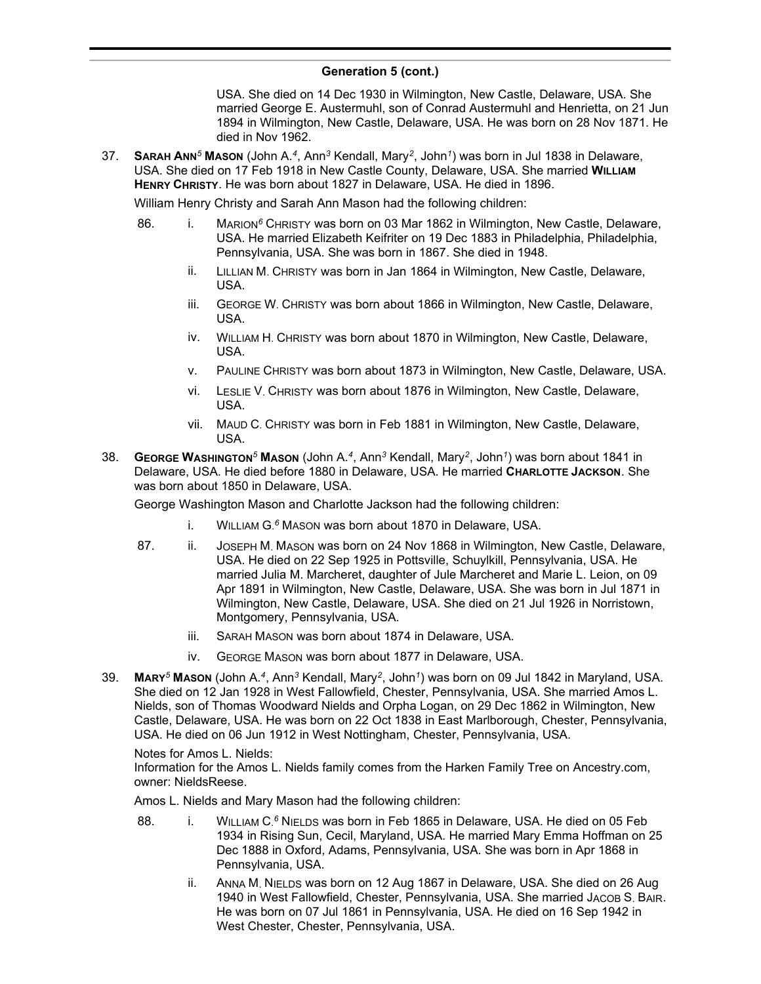#### **Generation 5 (cont.) Februarie:**  $\sqrt{6}$  **February, New York on Operation, New York on Operation, New York on New York on New York on New York on New York on New York on New York on New York on New York on New York on New York on New York on Ne**

USA. She died on 14 Dec 1930 in Wilmington, New Castle, Delaware, USA. She married George E. Austermuhl, son of Conrad Austermuhl and Henrietta, on 21 Jun 1894 in Wilmington, New Castle, Delaware, USA. He was born on 28 Nov 1871. He died in Nov 1962.

37. **SARAH ANN***<sup>5</sup>* **MASON** (John A.*<sup>4</sup>* , Ann*<sup>3</sup>* Kendall, Mary*<sup>2</sup>* , John*<sup>1</sup>* ) was born in Jul 1838 in Delaware, USA. She died on 17 Feb 1918 in New Castle County, Delaware, USA. She married **WILLIAM HENRY CHRISTY**. He was born about 1827 in Delaware, USA. He died in 1896.

William Henry Christy and Sarah Ann Mason had the following children:

- 86. i. MARION*<sup>6</sup>* CHRISTY was born on 03 Mar 1862 in Wilmington, New Castle, Delaware, USA. He married Elizabeth Keifriter on 19 Dec 1883 in Philadelphia, Philadelphia, Pennsylvania, USA. She was born in 1867. She died in 1948.
	- ii. LILLIAN M. CHRISTY was born in Jan 1864 in Wilmington, New Castle, Delaware, USA.
	- iii. GEORGE W. CHRISTY was born about 1866 in Wilmington, New Castle, Delaware, USA.
	- iv. WILLIAM H. CHRISTY was born about 1870 in Wilmington, New Castle, Delaware, USA.
	- v. PAULINE CHRISTY was born about 1873 in Wilmington, New Castle, Delaware, USA.
	- vi. LESLIE V. CHRISTY was born about 1876 in Wilmington, New Castle, Delaware, USA.
	- vii. MAUD C. CHRISTY was born in Feb 1881 in Wilmington, New Castle, Delaware, USA.
- 38. **GEORGE WASHINGTON***<sup>5</sup>* **MASON** (John A.*<sup>4</sup>* , Ann*<sup>3</sup>* Kendall, Mary*<sup>2</sup>* , John*<sup>1</sup>* ) was born about 1841 in Delaware, USA. He died before 1880 in Delaware, USA. He married **CHARLOTTE JACKSON**. She was born about 1850 in Delaware, USA.

George Washington Mason and Charlotte Jackson had the following children:

- i. WILLIAM G. *<sup>6</sup>* MASON was born about 1870 in Delaware, USA.
- 87. ii. JOSEPH M. MASON was born on 24 Nov 1868 in Wilmington, New Castle, Delaware, USA. He died on 22 Sep 1925 in Pottsville, Schuylkill, Pennsylvania, USA. He married Julia M. Marcheret, daughter of Jule Marcheret and Marie L. Leion, on 09 Apr 1891 in Wilmington, New Castle, Delaware, USA. She was born in Jul 1871 in Wilmington, New Castle, Delaware, USA. She died on 21 Jul 1926 in Norristown, Montgomery, Pennsylvania, USA.
	- iii. SARAH MASON was born about 1874 in Delaware, USA.
	- iv. GEORGE MASON was born about 1877 in Delaware, USA.
- 39. **MARY***<sup>5</sup>* **MASON** (John A.*<sup>4</sup>* , Ann*<sup>3</sup>* Kendall, Mary*<sup>2</sup>* , John*<sup>1</sup>* ) was born on 09 Jul 1842 in Maryland, USA. She died on 12 Jan 1928 in West Fallowfield, Chester, Pennsylvania, USA. She married Amos L. Nields, son of Thomas Woodward Nields and Orpha Logan, on 29 Dec 1862 in Wilmington, New Castle, Delaware, USA. He was born on 22 Oct 1838 in East Marlborough, Chester, Pennsylvania, USA. He died on 06 Jun 1912 in West Nottingham, Chester, Pennsylvania, USA.

### Notes for Amos L. Nields:

Information for the Amos L. Nields family comes from the Harken Family Tree on Ancestry.com, owner: NieldsReese.

Amos L. Nields and Mary Mason had the following children:

- 88. **i.** WILLIAM C.<sup>6</sup> NIELDS was born in Feb 1865 in Delaware, USA. He died on 05 Feb 1934 in Rising Sun, Cecil, Maryland, USA. He married Mary Emma Hoffman on 25 Dec 1888 in Oxford, Adams, Pennsylvania, USA. She was born in Apr 1868 in Pennsylvania, USA.
	- ii. ANNA M. NIELDS was born on 12 Aug 1867 in Delaware, USA. She died on 26 Aug 1940 in West Fallowfield, Chester, Pennsylvania, USA. She married JACOB S. BAIR. He was born on 07 Jul 1861 in Pennsylvania, USA. He died on 16 Sep 1942 in West Chester, Chester, Pennsylvania, USA.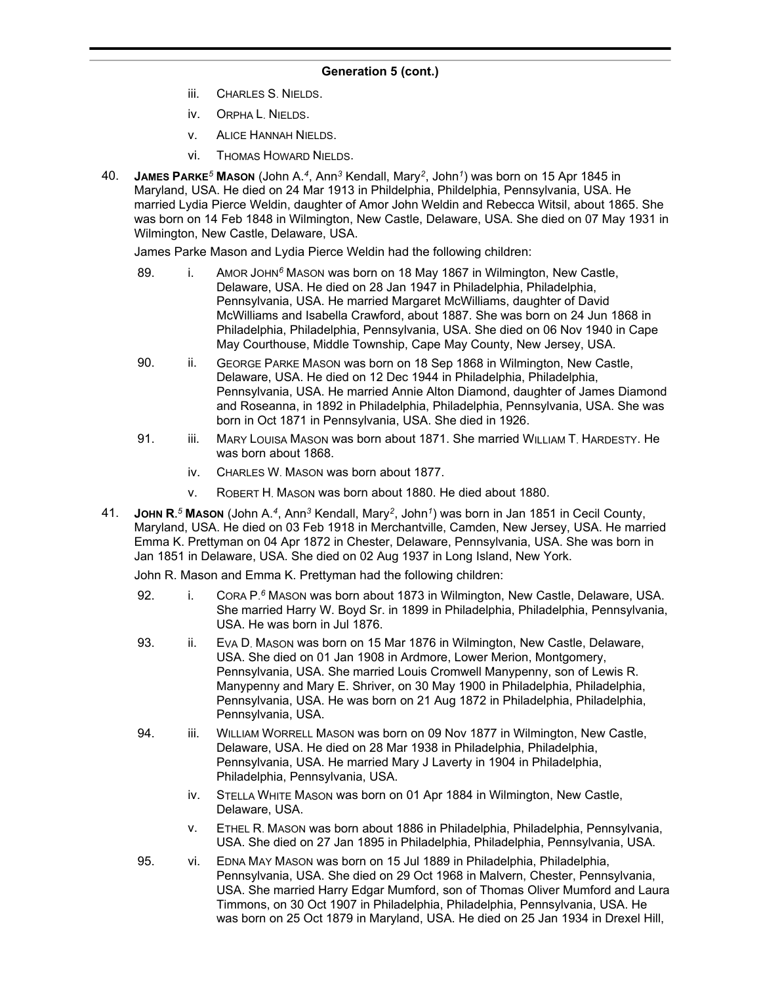- iii. CHARLES S. NIELDS.
- iv. ORPHA L. NIELDS.
- v. ALICE HANNAH NIELDS.
- vi. THOMAS HOWARD NIELDS.
- 40. **JAMES PARKE***<sup>5</sup>* **MASON** (John A.*<sup>4</sup>* , Ann*<sup>3</sup>* Kendall, Mary*<sup>2</sup>* , John*<sup>1</sup>* ) was born on 15 Apr 1845 in Maryland, USA. He died on 24 Mar 1913 in Phildelphia, Phildelphia, Pennsylvania, USA. He married Lydia Pierce Weldin, daughter of Amor John Weldin and Rebecca Witsil, about 1865. She was born on 14 Feb 1848 in Wilmington, New Castle, Delaware, USA. She died on 07 May 1931 in Wilmington, New Castle, Delaware, USA.

James Parke Mason and Lydia Pierce Weldin had the following children:

- 89. i. AMOR JOHN<sup>6</sup> MASON was born on 18 May 1867 in Wilmington, New Castle, Delaware, USA. He died on 28 Jan 1947 in Philadelphia, Philadelphia, Pennsylvania, USA. He married Margaret McWilliams, daughter of David McWilliams and Isabella Crawford, about 1887. She was born on 24 Jun 1868 in Philadelphia, Philadelphia, Pennsylvania, USA. She died on 06 Nov 1940 in Cape May Courthouse, Middle Township, Cape May County, New Jersey, USA.
- 90. ii. GEORGE PARKE MASON was born on 18 Sep 1868 in Wilmington, New Castle, Delaware, USA. He died on 12 Dec 1944 in Philadelphia, Philadelphia, Pennsylvania, USA. He married Annie Alton Diamond, daughter of James Diamond and Roseanna, in 1892 in Philadelphia, Philadelphia, Pennsylvania, USA. She was born in Oct 1871 in Pennsylvania, USA. She died in 1926.
- 91. iii. MARY LOUISA MASON was born about 1871. She married WILLIAM T. HARDESTY. He was born about 1868.
	- iv. CHARLES W. MASON was born about 1877.
	- v. ROBERT H. MASON was born about 1880. He died about 1880.
- 41. **JOHN R.** *<sup>5</sup>* **MASON** (John A.*<sup>4</sup>* , Ann*<sup>3</sup>* Kendall, Mary*<sup>2</sup>* , John*<sup>1</sup>* ) was born in Jan 1851 in Cecil County, Maryland, USA. He died on 03 Feb 1918 in Merchantville, Camden, New Jersey, USA. He married Emma K. Prettyman on 04 Apr 1872 in Chester, Delaware, Pennsylvania, USA. She was born in Jan 1851 in Delaware, USA. She died on 02 Aug 1937 in Long Island, New York.

John R. Mason and Emma K. Prettyman had the following children:

- 92. **i.** CORA P.<sup>6</sup> MASON was born about 1873 in Wilmington, New Castle, Delaware, USA. She married Harry W. Boyd Sr. in 1899 in Philadelphia, Philadelphia, Pennsylvania, USA. He was born in Jul 1876.
- 93. ii. EVA D. MASON was born on 15 Mar 1876 in Wilmington, New Castle, Delaware, USA. She died on 01 Jan 1908 in Ardmore, Lower Merion, Montgomery, Pennsylvania, USA. She married Louis Cromwell Manypenny, son of Lewis R. Manypenny and Mary E. Shriver, on 30 May 1900 in Philadelphia, Philadelphia, Pennsylvania, USA. He was born on 21 Aug 1872 in Philadelphia, Philadelphia, Pennsylvania, USA.
- 94. iii. WILLIAM WORRELL MASON was born on 09 Nov 1877 in Wilmington, New Castle, Delaware, USA. He died on 28 Mar 1938 in Philadelphia, Philadelphia, Pennsylvania, USA. He married Mary J Laverty in 1904 in Philadelphia, Philadelphia, Pennsylvania, USA.
	- iv. STELLA WHITE MASON was born on 01 Apr 1884 in Wilmington, New Castle, Delaware, USA.
	- v. ETHEL R. MASON was born about 1886 in Philadelphia, Philadelphia, Pennsylvania, USA. She died on 27 Jan 1895 in Philadelphia, Philadelphia, Pennsylvania, USA.
- 95. vi. EDNA MAY MASON was born on 15 Jul 1889 in Philadelphia, Philadelphia, Pennsylvania, USA. She died on 29 Oct 1968 in Malvern, Chester, Pennsylvania, USA. She married Harry Edgar Mumford, son of Thomas Oliver Mumford and Laura Timmons, on 30 Oct 1907 in Philadelphia, Philadelphia, Pennsylvania, USA. He was born on 25 Oct 1879 in Maryland, USA. He died on 25 Jan 1934 in Drexel Hill,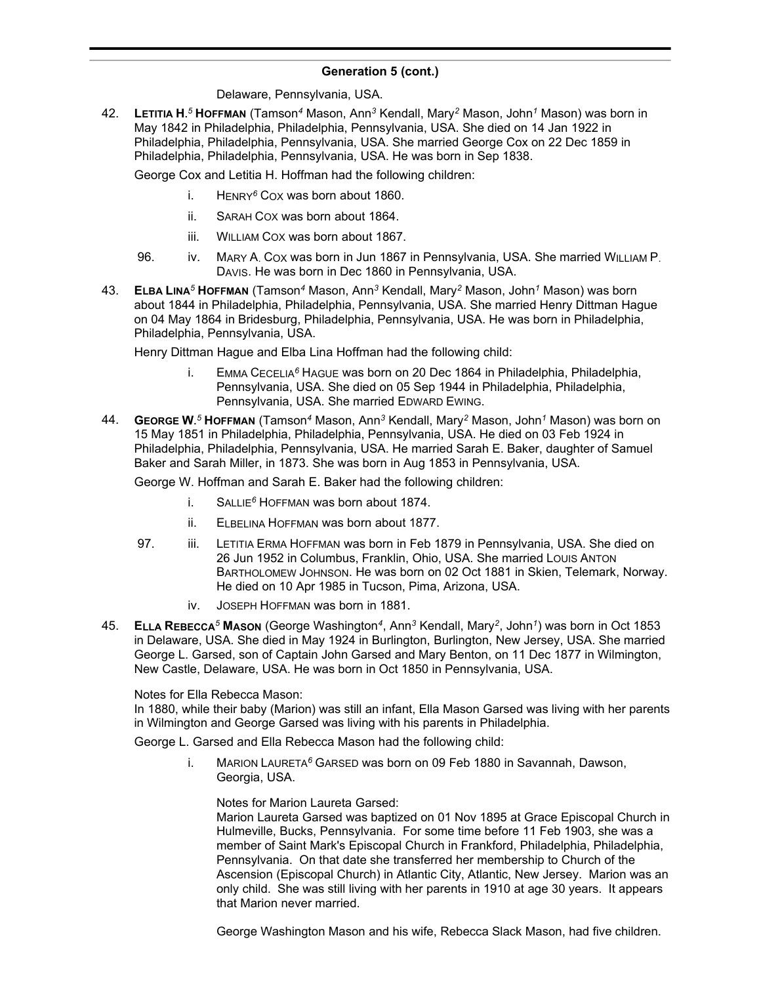#### **Generation 5 (cont.)**  $\sum_{i=1}^{n}$

Delaware, Pennsylvania, USA.

42. **LETITIA H.** *<sup>5</sup>* **HOFFMAN** (Tamson*<sup>4</sup>* Mason, Ann*<sup>3</sup>* Kendall, Mary*<sup>2</sup>* Mason, John*<sup>1</sup>* Mason) was born in May 1842 in Philadelphia, Philadelphia, Pennsylvania, USA. She died on 14 Jan 1922 in Philadelphia, Philadelphia, Pennsylvania, USA. She married George Cox on 22 Dec 1859 in Philadelphia, Philadelphia, Pennsylvania, USA. He was born in Sep 1838.

George Cox and Letitia H. Hoffman had the following children:

- i. HENRY*<sup>6</sup>* COX was born about 1860.
- ii. SARAH COX was born about 1864.
- iii. WILLIAM COX was born about 1867.
- 96. iv. MARY A. COX was born in Jun 1867 in Pennsylvania, USA. She married WILLIAM P. DAVIS. He was born in Dec 1860 in Pennsylvania, USA.
- 43. **ELBA LINA***<sup>5</sup>* **HOFFMAN** (Tamson*<sup>4</sup>* Mason, Ann*<sup>3</sup>* Kendall, Mary*<sup>2</sup>* Mason, John*<sup>1</sup>* Mason) was born about 1844 in Philadelphia, Philadelphia, Pennsylvania, USA. She married Henry Dittman Hague on 04 May 1864 in Bridesburg, Philadelphia, Pennsylvania, USA. He was born in Philadelphia, Philadelphia, Pennsylvania, USA.

Henry Dittman Hague and Elba Lina Hoffman had the following child:

- i. EMMA CECELIA*<sup>6</sup>* HAGUE was born on 20 Dec 1864 in Philadelphia, Philadelphia, Pennsylvania, USA. She died on 05 Sep 1944 in Philadelphia, Philadelphia, Pennsylvania, USA. She married EDWARD EWING.
- 44. **GEORGE W.** *<sup>5</sup>* **HOFFMAN** (Tamson*<sup>4</sup>* Mason, Ann*<sup>3</sup>* Kendall, Mary*<sup>2</sup>* Mason, John*<sup>1</sup>* Mason) was born on 15 May 1851 in Philadelphia, Philadelphia, Pennsylvania, USA. He died on 03 Feb 1924 in Philadelphia, Philadelphia, Pennsylvania, USA. He married Sarah E. Baker, daughter of Samuel Baker and Sarah Miller, in 1873. She was born in Aug 1853 in Pennsylvania, USA.

George W. Hoffman and Sarah E. Baker had the following children:

- i. SALLIE*<sup>6</sup>* HOFFMAN was born about 1874.
- ii. ELBELINA HOFFMAN was born about 1877.
- 97. iii. LETITIA ERMA HOFFMAN was born in Feb 1879 in Pennsylvania, USA. She died on 26 Jun 1952 in Columbus, Franklin, Ohio, USA. She married LOUIS ANTON BARTHOLOMEW JOHNSON. He was born on 02 Oct 1881 in Skien, Telemark, Norway. He died on 10 Apr 1985 in Tucson, Pima, Arizona, USA.
	- iv. JOSEPH HOFFMAN was born in 1881.
- 45. **ELLA REBECCA***<sup>5</sup>* **MASON** (George Washington*<sup>4</sup>* , Ann*<sup>3</sup>* Kendall, Mary*<sup>2</sup>* , John*<sup>1</sup>* ) was born in Oct 1853 in Delaware, USA. She died in May 1924 in Burlington, Burlington, New Jersey, USA. She married George L. Garsed, son of Captain John Garsed and Mary Benton, on 11 Dec 1877 in Wilmington, New Castle, Delaware, USA. He was born in Oct 1850 in Pennsylvania, USA.

### Notes for Ella Rebecca Mason:

In 1880, while their baby (Marion) was still an infant, Ella Mason Garsed was living with her parents in Wilmington and George Garsed was living with his parents in Philadelphia.

George L. Garsed and Ella Rebecca Mason had the following child:

i. MARION LAURETA*<sup>6</sup>* GARSED was born on 09 Feb 1880 in Savannah, Dawson, Georgia, USA.

Notes for Marion Laureta Garsed:

Marion Laureta Garsed was baptized on 01 Nov 1895 at Grace Episcopal Church in Hulmeville, Bucks, Pennsylvania. For some time before 11 Feb 1903, she was a member of Saint Mark's Episcopal Church in Frankford, Philadelphia, Philadelphia, Pennsylvania. On that date she transferred her membership to Church of the Ascension (Episcopal Church) in Atlantic City, Atlantic, New Jersey. Marion was an only child. She was still living with her parents in 1910 at age 30 years. It appears that Marion never married.

George Washington Mason and his wife, Rebecca Slack Mason, had five children.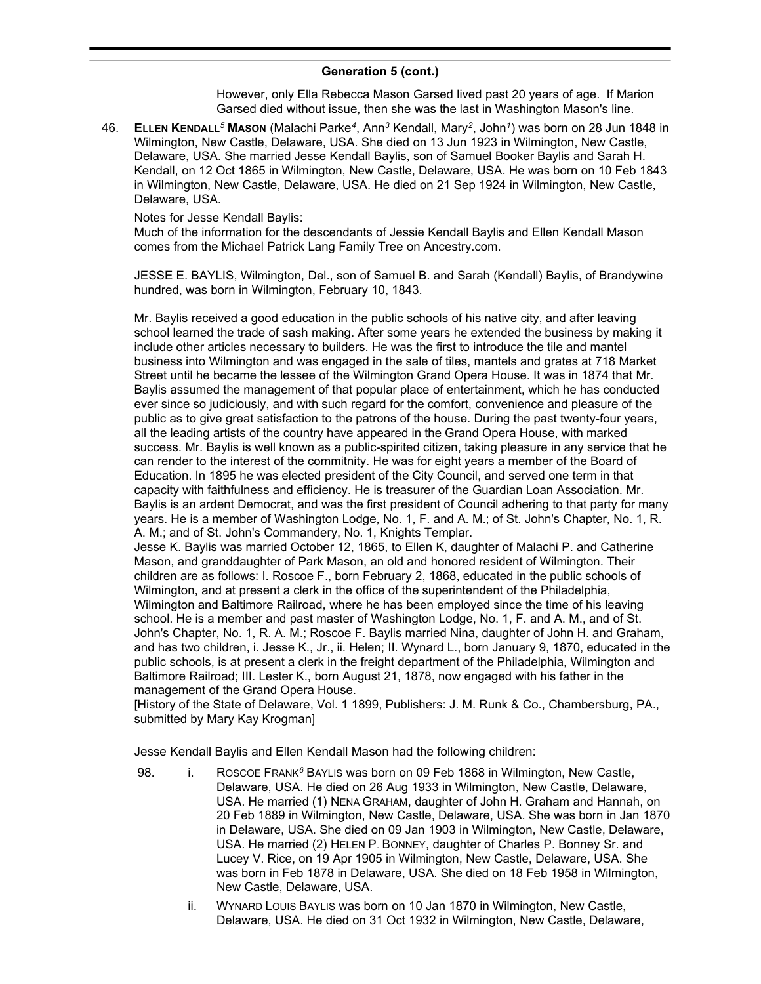However, only Ella Rebecca Mason Garsed lived past 20 years of age. If Marion Garsed died without issue, then she was the last in Washington Mason's line.

46. **ELLEN KENDALL***<sup>5</sup>* **MASON** (Malachi Parke*<sup>4</sup>* , Ann*<sup>3</sup>* Kendall, Mary*<sup>2</sup>* , John*<sup>1</sup>* ) was born on 28 Jun 1848 in Wilmington, New Castle, Delaware, USA. She died on 13 Jun 1923 in Wilmington, New Castle, Delaware, USA. She married Jesse Kendall Baylis, son of Samuel Booker Baylis and Sarah H. Kendall, on 12 Oct 1865 in Wilmington, New Castle, Delaware, USA. He was born on 10 Feb 1843 in Wilmington, New Castle, Delaware, USA. He died on 21 Sep 1924 in Wilmington, New Castle, Delaware, USA.

### Notes for Jesse Kendall Baylis:

Much of the information for the descendants of Jessie Kendall Baylis and Ellen Kendall Mason comes from the Michael Patrick Lang Family Tree on Ancestry.com.

JESSE E. BAYLIS, Wilmington, Del., son of Samuel B. and Sarah (Kendall) Baylis, of Brandywine hundred, was born in Wilmington, February 10, 1843.

Mr. Baylis received a good education in the public schools of his native city, and after leaving school learned the trade of sash making. After some years he extended the business by making it include other articles necessary to builders. He was the first to introduce the tile and mantel business into Wilmington and was engaged in the sale of tiles, mantels and grates at 718 Market Street until he became the lessee of the Wilmington Grand Opera House. It was in 1874 that Mr. Baylis assumed the management of that popular place of entertainment, which he has conducted ever since so judiciously, and with such regard for the comfort, convenience and pleasure of the public as to give great satisfaction to the patrons of the house. During the past twenty-four years, all the leading artists of the country have appeared in the Grand Opera House, with marked success. Mr. Baylis is well known as a public-spirited citizen, taking pleasure in any service that he can render to the interest of the commitnity. He was for eight years a member of the Board of Education. In 1895 he was elected president of the City Council, and served one term in that capacity with faithfulness and efficiency. He is treasurer of the Guardian Loan Association. Mr. Baylis is an ardent Democrat, and was the first president of Council adhering to that party for many years. He is a member of Washington Lodge, No. 1, F. and A. M.; of St. John's Chapter, No. 1, R. A. M.; and of St. John's Commandery, No. 1, Knights Templar.

Jesse K. Baylis was married October 12, 1865, to Ellen K, daughter of Malachi P. and Catherine Mason, and granddaughter of Park Mason, an old and honored resident of Wilmington. Their children are as follows: I. Roscoe F., born February 2, 1868, educated in the public schools of Wilmington, and at present a clerk in the office of the superintendent of the Philadelphia, Wilmington and Baltimore Railroad, where he has been employed since the time of his leaving school. He is a member and past master of Washington Lodge, No. 1, F. and A. M., and of St. John's Chapter, No. 1, R. A. M.; Roscoe F. Baylis married Nina, daughter of John H. and Graham, and has two children, i. Jesse K., Jr., ii. Helen; II. Wynard L., born January 9, 1870, educated in the public schools, is at present a clerk in the freight department of the Philadelphia, Wilmington and Baltimore Railroad; III. Lester K., born August 21, 1878, now engaged with his father in the management of the Grand Opera House.

[History of the State of Delaware, Vol. 1 1899, Publishers: J. M. Runk & Co., Chambersburg, PA., submitted by Mary Kay Krogman]

Jesse Kendall Baylis and Ellen Kendall Mason had the following children:

- 98. i. ROSCOE FRANK<sup>6</sup> BAYLIS was born on 09 Feb 1868 in Wilmington, New Castle, Delaware, USA. He died on 26 Aug 1933 in Wilmington, New Castle, Delaware, USA. He married (1) NENA GRAHAM, daughter of John H. Graham and Hannah, on 20 Feb 1889 in Wilmington, New Castle, Delaware, USA. She was born in Jan 1870 in Delaware, USA. She died on 09 Jan 1903 in Wilmington, New Castle, Delaware, USA. He married (2) HELEN P. BONNEY, daughter of Charles P. Bonney Sr. and Lucey V. Rice, on 19 Apr 1905 in Wilmington, New Castle, Delaware, USA. She was born in Feb 1878 in Delaware, USA. She died on 18 Feb 1958 in Wilmington, New Castle, Delaware, USA.
	- ii. WYNARD LOUIS BAYLIS was born on 10 Jan 1870 in Wilmington, New Castle, Delaware, USA. He died on 31 Oct 1932 in Wilmington, New Castle, Delaware,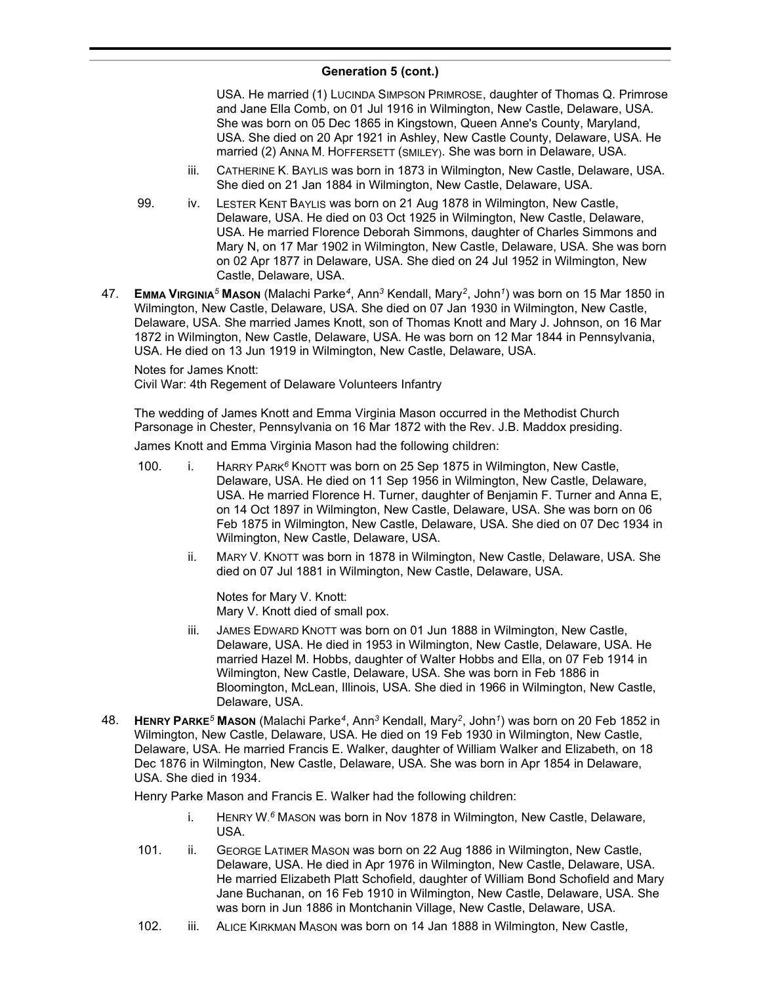USA. He married (1) LUCINDA SIMPSON PRIMROSE, daughter of Thomas Q. Primrose and Jane Ella Comb, on 01 Jul 1916 in Wilmington, New Castle, Delaware, USA. She was born on 05 Dec 1865 in Kingstown, Queen Anne's County, Maryland, USA. She died on 20 Apr 1921 in Ashley, New Castle County, Delaware, USA. He married (2) ANNA M. HOFFERSETT (SMILEY). She was born in Delaware, USA.

- iii. CATHERINE K. BAYLIS was born in 1873 in Wilmington, New Castle, Delaware, USA. She died on 21 Jan 1884 in Wilmington, New Castle, Delaware, USA.
- 99. iv. LESTER KENT BAYLIS was born on 21 Aug 1878 in Wilmington, New Castle, Delaware, USA. He died on 03 Oct 1925 in Wilmington, New Castle, Delaware, USA. He married Florence Deborah Simmons, daughter of Charles Simmons and Mary N, on 17 Mar 1902 in Wilmington, New Castle, Delaware, USA. She was born on 02 Apr 1877 in Delaware, USA. She died on 24 Jul 1952 in Wilmington, New Castle, Delaware, USA.
- 47. **EMMA VIRGINIA***<sup>5</sup>* **MASON** (Malachi Parke*<sup>4</sup>* , Ann*<sup>3</sup>* Kendall, Mary*<sup>2</sup>* , John*<sup>1</sup>* ) was born on 15 Mar 1850 in Wilmington, New Castle, Delaware, USA. She died on 07 Jan 1930 in Wilmington, New Castle, Delaware, USA. She married James Knott, son of Thomas Knott and Mary J. Johnson, on 16 Mar 1872 in Wilmington, New Castle, Delaware, USA. He was born on 12 Mar 1844 in Pennsylvania, USA. He died on 13 Jun 1919 in Wilmington, New Castle, Delaware, USA.

Notes for James Knott:

Civil War: 4th Regement of Delaware Volunteers Infantry

The wedding of James Knott and Emma Virginia Mason occurred in the Methodist Church Parsonage in Chester, Pennsylvania on 16 Mar 1872 with the Rev. J.B. Maddox presiding.

James Knott and Emma Virginia Mason had the following children:

- 100. i. HARRY PARK*<sup>6</sup>* KNOTT was born on 25 Sep 1875 in Wilmington, New Castle, Delaware, USA. He died on 11 Sep 1956 in Wilmington, New Castle, Delaware, USA. He married Florence H. Turner, daughter of Benjamin F. Turner and Anna E, on 14 Oct 1897 in Wilmington, New Castle, Delaware, USA. She was born on 06 Feb 1875 in Wilmington, New Castle, Delaware, USA. She died on 07 Dec 1934 in Wilmington, New Castle, Delaware, USA.
	- ii. MARY V. KNOTT was born in 1878 in Wilmington, New Castle, Delaware, USA. She died on 07 Jul 1881 in Wilmington, New Castle, Delaware, USA.

Notes for Mary V. Knott: Mary V. Knott died of small pox.

- iii. JAMES EDWARD KNOTT was born on 01 Jun 1888 in Wilmington, New Castle, Delaware, USA. He died in 1953 in Wilmington, New Castle, Delaware, USA. He married Hazel M. Hobbs, daughter of Walter Hobbs and Ella, on 07 Feb 1914 in Wilmington, New Castle, Delaware, USA. She was born in Feb 1886 in Bloomington, McLean, Illinois, USA. She died in 1966 in Wilmington, New Castle, Delaware, USA.
- 48. **HENRY PARKE***<sup>5</sup>* **MASON** (Malachi Parke*<sup>4</sup>* , Ann*<sup>3</sup>* Kendall, Mary*<sup>2</sup>* , John*<sup>1</sup>* ) was born on 20 Feb 1852 in Wilmington, New Castle, Delaware, USA. He died on 19 Feb 1930 in Wilmington, New Castle, Delaware, USA. He married Francis E. Walker, daughter of William Walker and Elizabeth, on 18 Dec 1876 in Wilmington, New Castle, Delaware, USA. She was born in Apr 1854 in Delaware, USA. She died in 1934.

Henry Parke Mason and Francis E. Walker had the following children:

- i. HENRY W. *<sup>6</sup>* MASON was born in Nov 1878 in Wilmington, New Castle, Delaware, USA.
- 101. ii. GEORGE LATIMER MASON was born on 22 Aug 1886 in Wilmington, New Castle, Delaware, USA. He died in Apr 1976 in Wilmington, New Castle, Delaware, USA. He married Elizabeth Platt Schofield, daughter of William Bond Schofield and Mary Jane Buchanan, on 16 Feb 1910 in Wilmington, New Castle, Delaware, USA. She was born in Jun 1886 in Montchanin Village, New Castle, Delaware, USA.
- 102. iii. ALICE KIRKMAN MASON was born on 14 Jan 1888 in Wilmington, New Castle,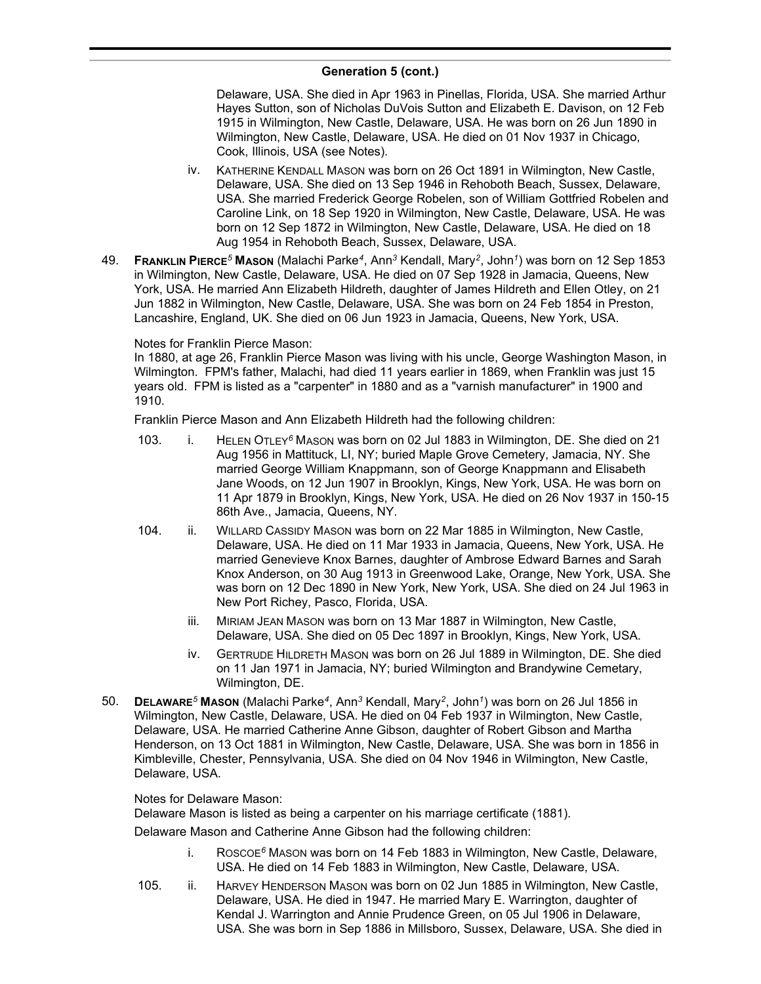Delaware, USA. She died in Apr 1963 in Pinellas, Florida, USA. She married Arthur Hayes Sutton, son of Nicholas DuVois Sutton and Elizabeth E. Davison, on 12 Feb 1915 in Wilmington, New Castle, Delaware, USA. He was born on 26 Jun 1890 in Wilmington, New Castle, Delaware, USA. He died on 01 Nov 1937 in Chicago, Cook, Illinois, USA (see Notes).

- iv. KATHERINE KENDALL MASON was born on 26 Oct 1891 in Wilmington, New Castle, Delaware, USA. She died on 13 Sep 1946 in Rehoboth Beach, Sussex, Delaware, USA. She married Frederick George Robelen, son of William Gottfried Robelen and Caroline Link, on 18 Sep 1920 in Wilmington, New Castle, Delaware, USA. He was born on 12 Sep 1872 in Wilmington, New Castle, Delaware, USA. He died on 18 Aug 1954 in Rehoboth Beach, Sussex, Delaware, USA.
- 49. **FRANKLIN PIERCE***<sup>5</sup>* **MASON** (Malachi Parke*<sup>4</sup>* , Ann*<sup>3</sup>* Kendall, Mary*<sup>2</sup>* , John*<sup>1</sup>* ) was born on 12 Sep 1853 in Wilmington, New Castle, Delaware, USA. He died on 07 Sep 1928 in Jamacia, Queens, New York, USA. He married Ann Elizabeth Hildreth, daughter of James Hildreth and Ellen Otley, on 21 Jun 1882 in Wilmington, New Castle, Delaware, USA. She was born on 24 Feb 1854 in Preston, Lancashire, England, UK. She died on 06 Jun 1923 in Jamacia, Queens, New York, USA.

### Notes for Franklin Pierce Mason:

In 1880, at age 26, Franklin Pierce Mason was living with his uncle, George Washington Mason, in Wilmington. FPM's father, Malachi, had died 11 years earlier in 1869, when Franklin was just 15 years old. FPM is listed as a "carpenter" in 1880 and as a "varnish manufacturer" in 1900 and 1910.

Franklin Pierce Mason and Ann Elizabeth Hildreth had the following children:

- 103. i. HELEN OTLEY*<sup>6</sup>* MASON was born on 02 Jul 1883 in Wilmington, DE. She died on 21 Aug 1956 in Mattituck, LI, NY; buried Maple Grove Cemetery, Jamacia, NY. She married George William Knappmann, son of George Knappmann and Elisabeth Jane Woods, on 12 Jun 1907 in Brooklyn, Kings, New York, USA. He was born on 11 Apr 1879 in Brooklyn, Kings, New York, USA. He died on 26 Nov 1937 in 150-15 86th Ave., Jamacia, Queens, NY.
- 104. ii. WILLARD CASSIDY MASON was born on 22 Mar 1885 in Wilmington, New Castle, Delaware, USA. He died on 11 Mar 1933 in Jamacia, Queens, New York, USA. He married Genevieve Knox Barnes, daughter of Ambrose Edward Barnes and Sarah Knox Anderson, on 30 Aug 1913 in Greenwood Lake, Orange, New York, USA. She was born on 12 Dec 1890 in New York, New York, USA. She died on 24 Jul 1963 in New Port Richey, Pasco, Florida, USA.
	- iii. MIRIAM JEAN MASON was born on 13 Mar 1887 in Wilmington, New Castle, Delaware, USA. She died on 05 Dec 1897 in Brooklyn, Kings, New York, USA.
	- iv. GERTRUDE HILDRETH MASON was born on 26 Jul 1889 in Wilmington, DE. She died on 11 Jan 1971 in Jamacia, NY; buried Wilmington and Brandywine Cemetary, Wilmington, DE.
- 50. **DELAWARE***<sup>5</sup>* **MASON** (Malachi Parke*<sup>4</sup>* , Ann*<sup>3</sup>* Kendall, Mary*<sup>2</sup>* , John*<sup>1</sup>* ) was born on 26 Jul 1856 in Wilmington, New Castle, Delaware, USA. He died on 04 Feb 1937 in Wilmington, New Castle, Delaware, USA. He married Catherine Anne Gibson, daughter of Robert Gibson and Martha Henderson, on 13 Oct 1881 in Wilmington, New Castle, Delaware, USA. She was born in 1856 in Kimbleville, Chester, Pennsylvania, USA. She died on 04 Nov 1946 in Wilmington, New Castle, Delaware, USA.

### Notes for Delaware Mason:

Delaware Mason is listed as being a carpenter on his marriage certificate (1881).

Delaware Mason and Catherine Anne Gibson had the following children:

- i. ROSCOE*<sup>6</sup>* MASON was born on 14 Feb 1883 in Wilmington, New Castle, Delaware, USA. He died on 14 Feb 1883 in Wilmington, New Castle, Delaware, USA.
- 105. ii. HARVEY HENDERSON MASON was born on 02 Jun 1885 in Wilmington, New Castle, Delaware, USA. He died in 1947. He married Mary E. Warrington, daughter of Kendal J. Warrington and Annie Prudence Green, on 05 Jul 1906 in Delaware, USA. She was born in Sep 1886 in Millsboro, Sussex, Delaware, USA. She died in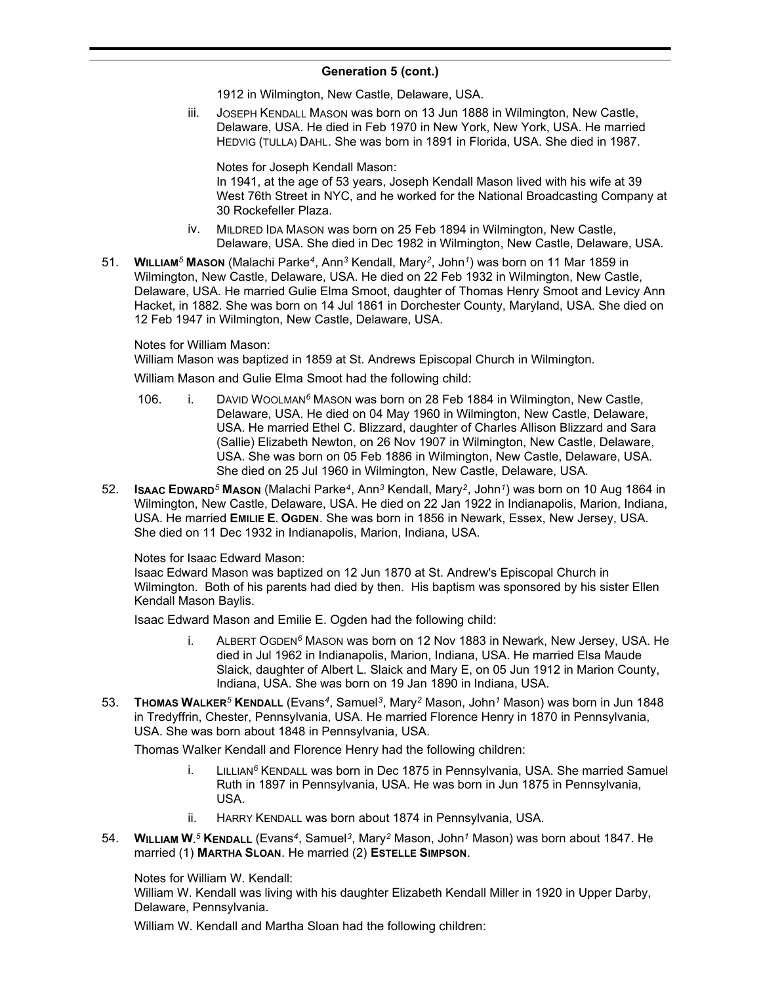1912 in Wilmington, New Castle, Delaware, USA.

iii. JOSEPH KENDALL MASON was born on 13 Jun 1888 in Wilmington, New Castle, Delaware, USA. He died in Feb 1970 in New York, New York, USA. He married HEDVIG (TULLA) DAHL. She was born in 1891 in Florida, USA. She died in 1987.

Notes for Joseph Kendall Mason: In 1941, at the age of 53 years, Joseph Kendall Mason lived with his wife at 39 West 76th Street in NYC, and he worked for the National Broadcasting Company at 30 Rockefeller Plaza.

- iv. MILDRED IDA MASON was born on 25 Feb 1894 in Wilmington, New Castle, Delaware, USA. She died in Dec 1982 in Wilmington, New Castle, Delaware, USA.
- 51. **WILLIAM***<sup>5</sup>* **MASON** (Malachi Parke*<sup>4</sup>* , Ann*<sup>3</sup>* Kendall, Mary*<sup>2</sup>* , John*<sup>1</sup>* ) was born on 11 Mar 1859 in Wilmington, New Castle, Delaware, USA. He died on 22 Feb 1932 in Wilmington, New Castle, Delaware, USA. He married Gulie Elma Smoot, daughter of Thomas Henry Smoot and Levicy Ann Hacket, in 1882. She was born on 14 Jul 1861 in Dorchester County, Maryland, USA. She died on 12 Feb 1947 in Wilmington, New Castle, Delaware, USA.

### Notes for William Mason:

William Mason was baptized in 1859 at St. Andrews Episcopal Church in Wilmington.

William Mason and Gulie Elma Smoot had the following child:

- 106. i. DAVID WOOLMAN*<sup>6</sup>* MASON was born on 28 Feb 1884 in Wilmington, New Castle, Delaware, USA. He died on 04 May 1960 in Wilmington, New Castle, Delaware, USA. He married Ethel C. Blizzard, daughter of Charles Allison Blizzard and Sara (Sallie) Elizabeth Newton, on 26 Nov 1907 in Wilmington, New Castle, Delaware, USA. She was born on 05 Feb 1886 in Wilmington, New Castle, Delaware, USA. She died on 25 Jul 1960 in Wilmington, New Castle, Delaware, USA.
- 52. **ISAAC EDWARD***<sup>5</sup>* **MASON** (Malachi Parke*<sup>4</sup>* , Ann*<sup>3</sup>* Kendall, Mary*<sup>2</sup>* , John*<sup>1</sup>* ) was born on 10 Aug 1864 in Wilmington, New Castle, Delaware, USA. He died on 22 Jan 1922 in Indianapolis, Marion, Indiana, USA. He married **EMILIE E. OGDEN**. She was born in 1856 in Newark, Essex, New Jersey, USA. She died on 11 Dec 1932 in Indianapolis, Marion, Indiana, USA.

### Notes for Isaac Edward Mason:

Isaac Edward Mason was baptized on 12 Jun 1870 at St. Andrew's Episcopal Church in Wilmington. Both of his parents had died by then. His baptism was sponsored by his sister Ellen Kendall Mason Baylis.

Isaac Edward Mason and Emilie E. Ogden had the following child:

- i. ALBERT OGDEN*<sup>6</sup>* MASON was born on 12 Nov 1883 in Newark, New Jersey, USA. He died in Jul 1962 in Indianapolis, Marion, Indiana, USA. He married Elsa Maude Slaick, daughter of Albert L. Slaick and Mary E, on 05 Jun 1912 in Marion County, Indiana, USA. She was born on 19 Jan 1890 in Indiana, USA.
- 53. **THOMAS WALKER***<sup>5</sup>* **KENDALL** (Evans*<sup>4</sup>* , Samuel*<sup>3</sup>* , Mary*<sup>2</sup>* Mason, John*<sup>1</sup>* Mason) was born in Jun 1848 in Tredyffrin, Chester, Pennsylvania, USA. He married Florence Henry in 1870 in Pennsylvania, USA. She was born about 1848 in Pennsylvania, USA.

Thomas Walker Kendall and Florence Henry had the following children:

- i. LILLIAN*<sup>6</sup>* KENDALL was born in Dec 1875 in Pennsylvania, USA. She married Samuel Ruth in 1897 in Pennsylvania, USA. He was born in Jun 1875 in Pennsylvania, USA.
- ii. HARRY KENDALL was born about 1874 in Pennsylvania, USA.
- 54. **WILLIAM W.** *<sup>5</sup>* **KENDALL** (Evans*<sup>4</sup>* , Samuel*<sup>3</sup>* , Mary*<sup>2</sup>* Mason, John*<sup>1</sup>* Mason) was born about 1847. He married (1) **MARTHA SLOAN**. He married (2) **ESTELLE SIMPSON**.

Notes for William W. Kendall:

William W. Kendall was living with his daughter Elizabeth Kendall Miller in 1920 in Upper Darby, Delaware, Pennsylvania.

William W. Kendall and Martha Sloan had the following children: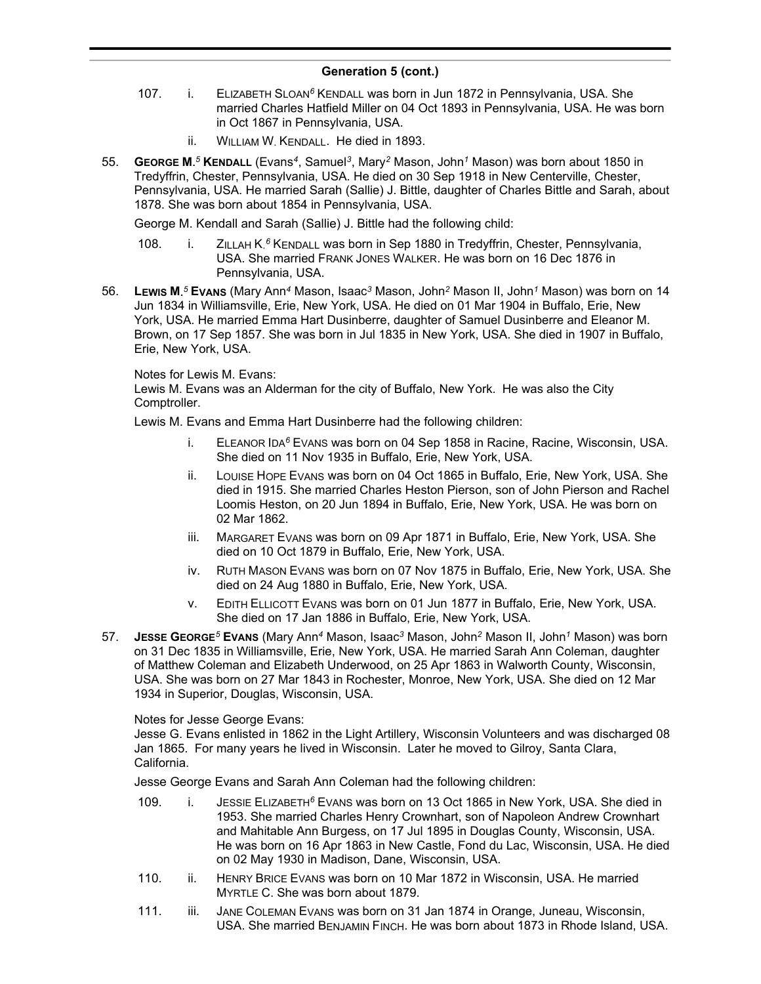- 107. i. ELIZABETH SLOAN*<sup>6</sup>* KENDALL was born in Jun 1872 in Pennsylvania, USA. She married Charles Hatfield Miller on 04 Oct 1893 in Pennsylvania, USA. He was born in Oct 1867 in Pennsylvania, USA.
	- ii. WILLIAM W. KENDALL. He died in 1893.
- 55. **GEORGE M.** *<sup>5</sup>* **KENDALL** (Evans*<sup>4</sup>* , Samuel*<sup>3</sup>* , Mary*<sup>2</sup>* Mason, John*<sup>1</sup>* Mason) was born about 1850 in Tredyffrin, Chester, Pennsylvania, USA. He died on 30 Sep 1918 in New Centerville, Chester, Pennsylvania, USA. He married Sarah (Sallie) J. Bittle, daughter of Charles Bittle and Sarah, about 1878. She was born about 1854 in Pennsylvania, USA.

George M. Kendall and Sarah (Sallie) J. Bittle had the following child:

- 108. i. ZILLAH K.<sup>6</sup> KENDALL was born in Sep 1880 in Tredyffrin, Chester, Pennsylvania, USA. She married FRANK JONES WALKER. He was born on 16 Dec 1876 in Pennsylvania, USA.
- 56. **LEWIS M.** *<sup>5</sup>* **EVANS** (Mary Ann*<sup>4</sup>* Mason, Isaac*<sup>3</sup>* Mason, John*<sup>2</sup>* Mason II, John*<sup>1</sup>* Mason) was born on 14 Jun 1834 in Williamsville, Erie, New York, USA. He died on 01 Mar 1904 in Buffalo, Erie, New York, USA. He married Emma Hart Dusinberre, daughter of Samuel Dusinberre and Eleanor M. Brown, on 17 Sep 1857. She was born in Jul 1835 in New York, USA. She died in 1907 in Buffalo, Erie, New York, USA.

Notes for Lewis M. Evans:

Lewis M. Evans was an Alderman for the city of Buffalo, New York. He was also the City Comptroller.

Lewis M. Evans and Emma Hart Dusinberre had the following children:

- i. ELEANOR IDA*<sup>6</sup>* EVANS was born on 04 Sep 1858 in Racine, Racine, Wisconsin, USA. She died on 11 Nov 1935 in Buffalo, Erie, New York, USA.
- ii. LOUISE HOPE EVANS was born on 04 Oct 1865 in Buffalo, Erie, New York, USA. She died in 1915. She married Charles Heston Pierson, son of John Pierson and Rachel Loomis Heston, on 20 Jun 1894 in Buffalo, Erie, New York, USA. He was born on 02 Mar 1862.
- iii. MARGARET EVANS was born on 09 Apr 1871 in Buffalo, Erie, New York, USA. She died on 10 Oct 1879 in Buffalo, Erie, New York, USA.
- iv. RUTH MASON EVANS was born on 07 Nov 1875 in Buffalo, Erie, New York, USA. She died on 24 Aug 1880 in Buffalo, Erie, New York, USA.
- v. EDITH ELLICOTT EVANS was born on 01 Jun 1877 in Buffalo, Erie, New York, USA. She died on 17 Jan 1886 in Buffalo, Erie, New York, USA.
- 57. **JESSE GEORGE***<sup>5</sup>* **EVANS** (Mary Ann*<sup>4</sup>* Mason, Isaac*<sup>3</sup>* Mason, John*<sup>2</sup>* Mason II, John*<sup>1</sup>* Mason) was born on 31 Dec 1835 in Williamsville, Erie, New York, USA. He married Sarah Ann Coleman, daughter of Matthew Coleman and Elizabeth Underwood, on 25 Apr 1863 in Walworth County, Wisconsin, USA. She was born on 27 Mar 1843 in Rochester, Monroe, New York, USA. She died on 12 Mar 1934 in Superior, Douglas, Wisconsin, USA.

Notes for Jesse George Evans:

Jesse G. Evans enlisted in 1862 in the Light Artillery, Wisconsin Volunteers and was discharged 08 Jan 1865. For many years he lived in Wisconsin. Later he moved to Gilroy, Santa Clara, California.

Jesse George Evans and Sarah Ann Coleman had the following children:

- 109. i. JESSIE ELIZABETH*<sup>6</sup>* EVANS was born on 13 Oct 1865 in New York, USA. She died in 1953. She married Charles Henry Crownhart, son of Napoleon Andrew Crownhart and Mahitable Ann Burgess, on 17 Jul 1895 in Douglas County, Wisconsin, USA. He was born on 16 Apr 1863 in New Castle, Fond du Lac, Wisconsin, USA. He died on 02 May 1930 in Madison, Dane, Wisconsin, USA.
- 110. ii. HENRY BRICE EVANS was born on 10 Mar 1872 in Wisconsin, USA. He married MYRTLE C. She was born about 1879.
- 111. iii. JANE COLEMAN EVANS was born on 31 Jan 1874 in Orange, Juneau, Wisconsin, USA. She married BENJAMIN FINCH. He was born about 1873 in Rhode Island, USA.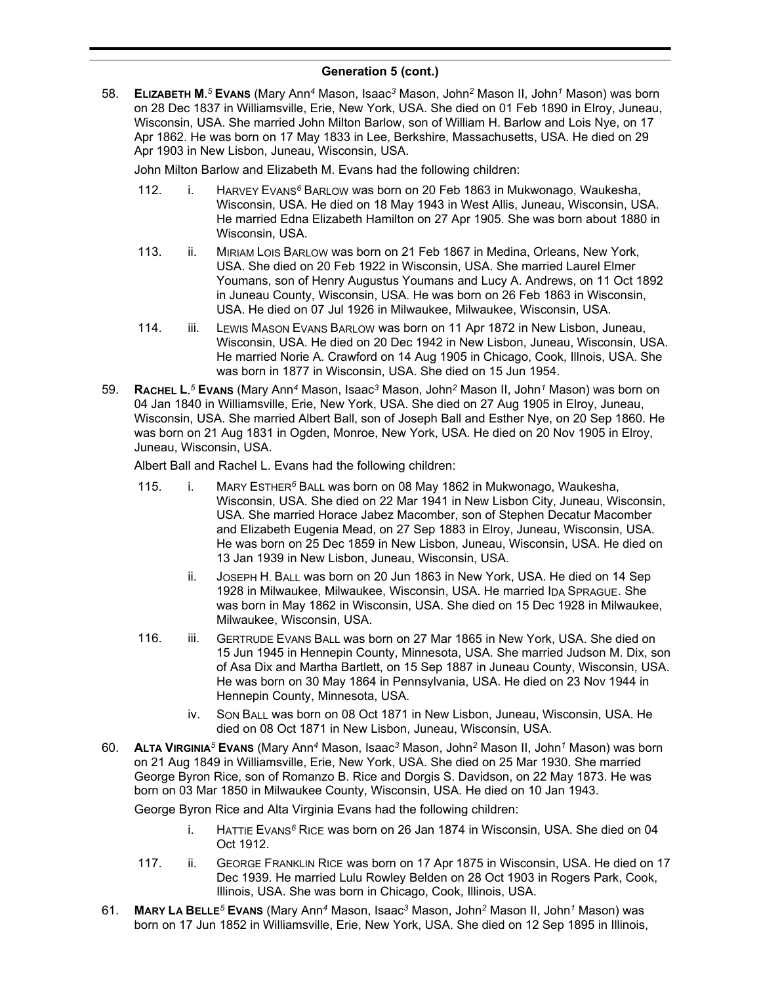58. **ELIZABETH M.** *<sup>5</sup>* **EVANS** (Mary Ann*<sup>4</sup>* Mason, Isaac*<sup>3</sup>* Mason, John*<sup>2</sup>* Mason II, John*<sup>1</sup>* Mason) was born on 28 Dec 1837 in Williamsville, Erie, New York, USA. She died on 01 Feb 1890 in Elroy, Juneau, Wisconsin, USA. She married John Milton Barlow, son of William H. Barlow and Lois Nye, on 17 Apr 1862. He was born on 17 May 1833 in Lee, Berkshire, Massachusetts, USA. He died on 29 Apr 1903 in New Lisbon, Juneau, Wisconsin, USA.

John Milton Barlow and Elizabeth M. Evans had the following children:

- 112. i. HARVEY EVANS*<sup>6</sup>* BARLOW was born on 20 Feb 1863 in Mukwonago, Waukesha, Wisconsin, USA. He died on 18 May 1943 in West Allis, Juneau, Wisconsin, USA. He married Edna Elizabeth Hamilton on 27 Apr 1905. She was born about 1880 in Wisconsin, USA.
- 113. ii. MIRIAM LOIS BARLOW was born on 21 Feb 1867 in Medina, Orleans, New York, USA. She died on 20 Feb 1922 in Wisconsin, USA. She married Laurel Elmer Youmans, son of Henry Augustus Youmans and Lucy A. Andrews, on 11 Oct 1892 in Juneau County, Wisconsin, USA. He was born on 26 Feb 1863 in Wisconsin, USA. He died on 07 Jul 1926 in Milwaukee, Milwaukee, Wisconsin, USA.
- 114. iii. LEWIS MASON EVANS BARLOW was born on 11 Apr 1872 in New Lisbon, Juneau, Wisconsin, USA. He died on 20 Dec 1942 in New Lisbon, Juneau, Wisconsin, USA. He married Norie A. Crawford on 14 Aug 1905 in Chicago, Cook, Illnois, USA. She was born in 1877 in Wisconsin, USA. She died on 15 Jun 1954.
- 59. **RACHEL L.** *<sup>5</sup>* **EVANS** (Mary Ann*<sup>4</sup>* Mason, Isaac*<sup>3</sup>* Mason, John*<sup>2</sup>* Mason II, John*<sup>1</sup>* Mason) was born on 04 Jan 1840 in Williamsville, Erie, New York, USA. She died on 27 Aug 1905 in Elroy, Juneau, Wisconsin, USA. She married Albert Ball, son of Joseph Ball and Esther Nye, on 20 Sep 1860. He was born on 21 Aug 1831 in Ogden, Monroe, New York, USA. He died on 20 Nov 1905 in Elroy, Juneau, Wisconsin, USA.

Albert Ball and Rachel L. Evans had the following children:

- 115. i. MARY ESTHER*<sup>6</sup>* BALL was born on 08 May 1862 in Mukwonago, Waukesha, Wisconsin, USA. She died on 22 Mar 1941 in New Lisbon City, Juneau, Wisconsin, USA. She married Horace Jabez Macomber, son of Stephen Decatur Macomber and Elizabeth Eugenia Mead, on 27 Sep 1883 in Elroy, Juneau, Wisconsin, USA. He was born on 25 Dec 1859 in New Lisbon, Juneau, Wisconsin, USA. He died on 13 Jan 1939 in New Lisbon, Juneau, Wisconsin, USA.
	- ii. JOSEPH H. BALL was born on 20 Jun 1863 in New York, USA. He died on 14 Sep 1928 in Milwaukee, Milwaukee, Wisconsin, USA. He married IDA SPRAGUE. She was born in May 1862 in Wisconsin, USA. She died on 15 Dec 1928 in Milwaukee, Milwaukee, Wisconsin, USA.
- 116. iii. GERTRUDE EVANS BALL was born on 27 Mar 1865 in New York, USA. She died on 15 Jun 1945 in Hennepin County, Minnesota, USA. She married Judson M. Dix, son of Asa Dix and Martha Bartlett, on 15 Sep 1887 in Juneau County, Wisconsin, USA. He was born on 30 May 1864 in Pennsylvania, USA. He died on 23 Nov 1944 in Hennepin County, Minnesota, USA.
	- iv. SON BALL was born on 08 Oct 1871 in New Lisbon, Juneau, Wisconsin, USA. He died on 08 Oct 1871 in New Lisbon, Juneau, Wisconsin, USA.
- 60. **ALTA VIRGINIA***<sup>5</sup>* **EVANS** (Mary Ann*<sup>4</sup>* Mason, Isaac*<sup>3</sup>* Mason, John*<sup>2</sup>* Mason II, John*<sup>1</sup>* Mason) was born on 21 Aug 1849 in Williamsville, Erie, New York, USA. She died on 25 Mar 1930. She married George Byron Rice, son of Romanzo B. Rice and Dorgis S. Davidson, on 22 May 1873. He was born on 03 Mar 1850 in Milwaukee County, Wisconsin, USA. He died on 10 Jan 1943.

George Byron Rice and Alta Virginia Evans had the following children:

- i. HATTIE EVANS*<sup>6</sup>* RICE was born on 26 Jan 1874 in Wisconsin, USA. She died on 04 Oct 1912.
- 117. ii. GEORGE FRANKLIN RICE was born on 17 Apr 1875 in Wisconsin, USA. He died on 17 Dec 1939. He married Lulu Rowley Belden on 28 Oct 1903 in Rogers Park, Cook, Illinois, USA. She was born in Chicago, Cook, Illinois, USA.
- 61. **MARY LA BELLE***<sup>5</sup>* **EVANS** (Mary Ann*<sup>4</sup>* Mason, Isaac*<sup>3</sup>* Mason, John*<sup>2</sup>* Mason II, John*<sup>1</sup>* Mason) was born on 17 Jun 1852 in Williamsville, Erie, New York, USA. She died on 12 Sep 1895 in Illinois,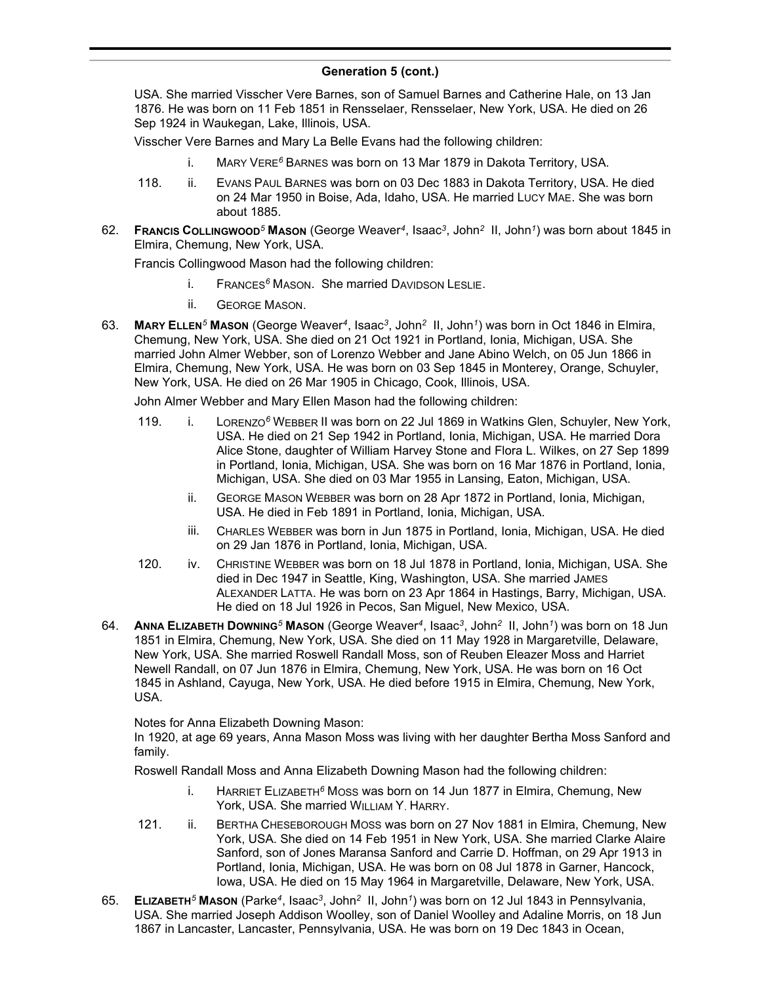USA. She married Visscher Vere Barnes, son of Samuel Barnes and Catherine Hale, on 13 Jan 1876. He was born on 11 Feb 1851 in Rensselaer, Rensselaer, New York, USA. He died on 26 Sep 1924 in Waukegan, Lake, Illinois, USA.

Visscher Vere Barnes and Mary La Belle Evans had the following children:

- i. MARY VERE*<sup>6</sup>* BARNES was born on 13 Mar 1879 in Dakota Territory, USA.
- 118. ii. EVANS PAUL BARNES was born on 03 Dec 1883 in Dakota Territory, USA. He died on 24 Mar 1950 in Boise, Ada, Idaho, USA. He married LUCY MAE. She was born about 1885.
- 62. **FRANCIS COLLINGWOOD***<sup>5</sup>* **MASON** (George Weaver*<sup>4</sup>* , Isaac*<sup>3</sup>* , John*<sup>2</sup>* II, John*<sup>1</sup>* ) was born about 1845 in Elmira, Chemung, New York, USA.

Francis Collingwood Mason had the following children:

- i. FRANCES*<sup>6</sup>* MASON. She married DAVIDSON LESLIE.
- ii. GEORGE MASON.
- 63. **MARY ELLEN***<sup>5</sup>* **MASON** (George Weaver*<sup>4</sup>* , Isaac*<sup>3</sup>* , John*<sup>2</sup>* II, John*<sup>1</sup>* ) was born in Oct 1846 in Elmira, Chemung, New York, USA. She died on 21 Oct 1921 in Portland, Ionia, Michigan, USA. She married John Almer Webber, son of Lorenzo Webber and Jane Abino Welch, on 05 Jun 1866 in Elmira, Chemung, New York, USA. He was born on 03 Sep 1845 in Monterey, Orange, Schuyler, New York, USA. He died on 26 Mar 1905 in Chicago, Cook, Illinois, USA.

John Almer Webber and Mary Ellen Mason had the following children:

- 119. i. LORENZO*<sup>6</sup>* WEBBER II was born on 22 Jul 1869 in Watkins Glen, Schuyler, New York, USA. He died on 21 Sep 1942 in Portland, Ionia, Michigan, USA. He married Dora Alice Stone, daughter of William Harvey Stone and Flora L. Wilkes, on 27 Sep 1899 in Portland, Ionia, Michigan, USA. She was born on 16 Mar 1876 in Portland, Ionia, Michigan, USA. She died on 03 Mar 1955 in Lansing, Eaton, Michigan, USA.
	- ii. GEORGE MASON WEBBER was born on 28 Apr 1872 in Portland, Ionia, Michigan, USA. He died in Feb 1891 in Portland, Ionia, Michigan, USA.
	- iii. CHARLES WEBBER was born in Jun 1875 in Portland, Ionia, Michigan, USA. He died on 29 Jan 1876 in Portland, Ionia, Michigan, USA.
- 120. iv. CHRISTINE WEBBER was born on 18 Jul 1878 in Portland, Ionia, Michigan, USA. She died in Dec 1947 in Seattle, King, Washington, USA. She married JAMES ALEXANDER LATTA. He was born on 23 Apr 1864 in Hastings, Barry, Michigan, USA. He died on 18 Jul 1926 in Pecos, San Miguel, New Mexico, USA.
- 64. **ANNA ELIZABETH DOWNING***<sup>5</sup>* **MASON** (George Weaver*<sup>4</sup>* , Isaac*<sup>3</sup>* , John*<sup>2</sup>* II, John*<sup>1</sup>* ) was born on 18 Jun 1851 in Elmira, Chemung, New York, USA. She died on 11 May 1928 in Margaretville, Delaware, New York, USA. She married Roswell Randall Moss, son of Reuben Eleazer Moss and Harriet Newell Randall, on 07 Jun 1876 in Elmira, Chemung, New York, USA. He was born on 16 Oct 1845 in Ashland, Cayuga, New York, USA. He died before 1915 in Elmira, Chemung, New York, USA.

Notes for Anna Elizabeth Downing Mason:

In 1920, at age 69 years, Anna Mason Moss was living with her daughter Bertha Moss Sanford and family.

Roswell Randall Moss and Anna Elizabeth Downing Mason had the following children:

- i. HARRIET ELIZABETH*<sup>6</sup>* MOSS was born on 14 Jun 1877 in Elmira, Chemung, New York, USA. She married WILLIAM Y. HARRY.
- 121. ii. BERTHA CHESEBOROUGH MOSS was born on 27 Nov 1881 in Elmira, Chemung, New York, USA. She died on 14 Feb 1951 in New York, USA. She married Clarke Alaire Sanford, son of Jones Maransa Sanford and Carrie D. Hoffman, on 29 Apr 1913 in Portland, Ionia, Michigan, USA. He was born on 08 Jul 1878 in Garner, Hancock, Iowa, USA. He died on 15 May 1964 in Margaretville, Delaware, New York, USA.
- 65. **ELIZABETH***<sup>5</sup>* **MASON** (Parke*<sup>4</sup>* , Isaac*<sup>3</sup>* , John*<sup>2</sup>* II, John*<sup>1</sup>* ) was born on 12 Jul 1843 in Pennsylvania, USA. She married Joseph Addison Woolley, son of Daniel Woolley and Adaline Morris, on 18 Jun 1867 in Lancaster, Lancaster, Pennsylvania, USA. He was born on 19 Dec 1843 in Ocean,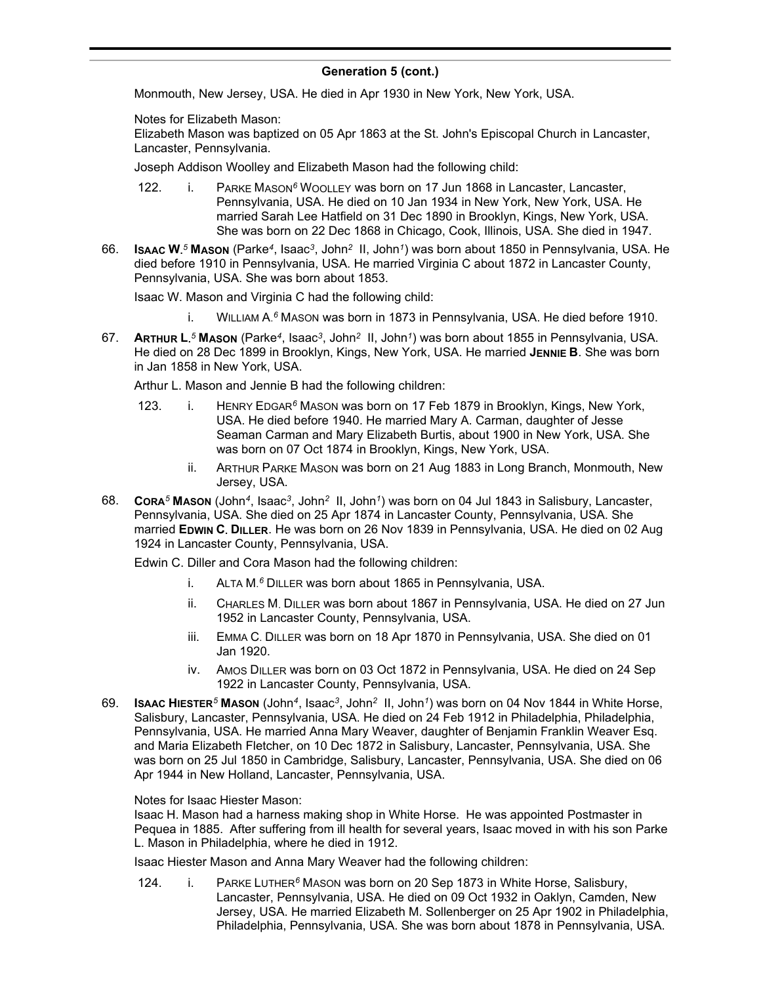Monmouth, New Jersey, USA. He died in Apr 1930 in New York, New York, USA.

Notes for Elizabeth Mason:

Elizabeth Mason was baptized on 05 Apr 1863 at the St. John's Episcopal Church in Lancaster, Lancaster, Pennsylvania.

Joseph Addison Woolley and Elizabeth Mason had the following child:

- 122. i. PARKE MASON*<sup>6</sup>* WOOLLEY was born on 17 Jun 1868 in Lancaster, Lancaster, Pennsylvania, USA. He died on 10 Jan 1934 in New York, New York, USA. He married Sarah Lee Hatfield on 31 Dec 1890 in Brooklyn, Kings, New York, USA. She was born on 22 Dec 1868 in Chicago, Cook, Illinois, USA. She died in 1947.
- 66. **ISAAC W.** *<sup>5</sup>* **MASON** (Parke*<sup>4</sup>* , Isaac*<sup>3</sup>* , John*<sup>2</sup>* II, John*<sup>1</sup>* ) was born about 1850 in Pennsylvania, USA. He died before 1910 in Pennsylvania, USA. He married Virginia C about 1872 in Lancaster County, Pennsylvania, USA. She was born about 1853.

Isaac W. Mason and Virginia C had the following child:

- i. WILLIAM A. *<sup>6</sup>* MASON was born in 1873 in Pennsylvania, USA. He died before 1910.
- 67. **ARTHUR L.** *<sup>5</sup>* **MASON** (Parke*<sup>4</sup>* , Isaac*<sup>3</sup>* , John*<sup>2</sup>* II, John*<sup>1</sup>* ) was born about 1855 in Pennsylvania, USA. He died on 28 Dec 1899 in Brooklyn, Kings, New York, USA. He married **JENNIE B**. She was born in Jan 1858 in New York, USA.

Arthur L. Mason and Jennie B had the following children:

- 123. i. HENRY EDGAR*<sup>6</sup>* MASON was born on 17 Feb 1879 in Brooklyn, Kings, New York, USA. He died before 1940. He married Mary A. Carman, daughter of Jesse Seaman Carman and Mary Elizabeth Burtis, about 1900 in New York, USA. She was born on 07 Oct 1874 in Brooklyn, Kings, New York, USA.
	- ii. ARTHUR PARKE MASON was born on 21 Aug 1883 in Long Branch, Monmouth, New Jersey, USA.
- 68. **CORA***<sup>5</sup>* **MASON** (John*<sup>4</sup>* , Isaac*<sup>3</sup>* , John*<sup>2</sup>* II, John*<sup>1</sup>* ) was born on 04 Jul 1843 in Salisbury, Lancaster, Pennsylvania, USA. She died on 25 Apr 1874 in Lancaster County, Pennsylvania, USA. She married **EDWIN C. DILLER**. He was born on 26 Nov 1839 in Pennsylvania, USA. He died on 02 Aug 1924 in Lancaster County, Pennsylvania, USA.

Edwin C. Diller and Cora Mason had the following children:

- i. ALTA M. *<sup>6</sup>* DILLER was born about 1865 in Pennsylvania, USA.
- ii. CHARLES M. DILLER was born about 1867 in Pennsylvania, USA. He died on 27 Jun 1952 in Lancaster County, Pennsylvania, USA.
- iii. EMMA C. DILLER was born on 18 Apr 1870 in Pennsylvania, USA. She died on 01 Jan 1920.
- iv. AMOS DILLER was born on 03 Oct 1872 in Pennsylvania, USA. He died on 24 Sep 1922 in Lancaster County, Pennsylvania, USA.
- 69. **ISAAC HIESTER***<sup>5</sup>* **MASON** (John*<sup>4</sup>* , Isaac*<sup>3</sup>* , John*<sup>2</sup>* II, John*<sup>1</sup>* ) was born on 04 Nov 1844 in White Horse, Salisbury, Lancaster, Pennsylvania, USA. He died on 24 Feb 1912 in Philadelphia, Philadelphia, Pennsylvania, USA. He married Anna Mary Weaver, daughter of Benjamin Franklin Weaver Esq. and Maria Elizabeth Fletcher, on 10 Dec 1872 in Salisbury, Lancaster, Pennsylvania, USA. She was born on 25 Jul 1850 in Cambridge, Salisbury, Lancaster, Pennsylvania, USA. She died on 06 Apr 1944 in New Holland, Lancaster, Pennsylvania, USA.

Notes for Isaac Hiester Mason:

Isaac H. Mason had a harness making shop in White Horse. He was appointed Postmaster in Pequea in 1885. After suffering from ill health for several years, Isaac moved in with his son Parke L. Mason in Philadelphia, where he died in 1912.

Isaac Hiester Mason and Anna Mary Weaver had the following children:

124. i. PARKE LUTHER*<sup>6</sup>* MASON was born on 20 Sep 1873 in White Horse, Salisbury, Lancaster, Pennsylvania, USA. He died on 09 Oct 1932 in Oaklyn, Camden, New Jersey, USA. He married Elizabeth M. Sollenberger on 25 Apr 1902 in Philadelphia, Philadelphia, Pennsylvania, USA. She was born about 1878 in Pennsylvania, USA.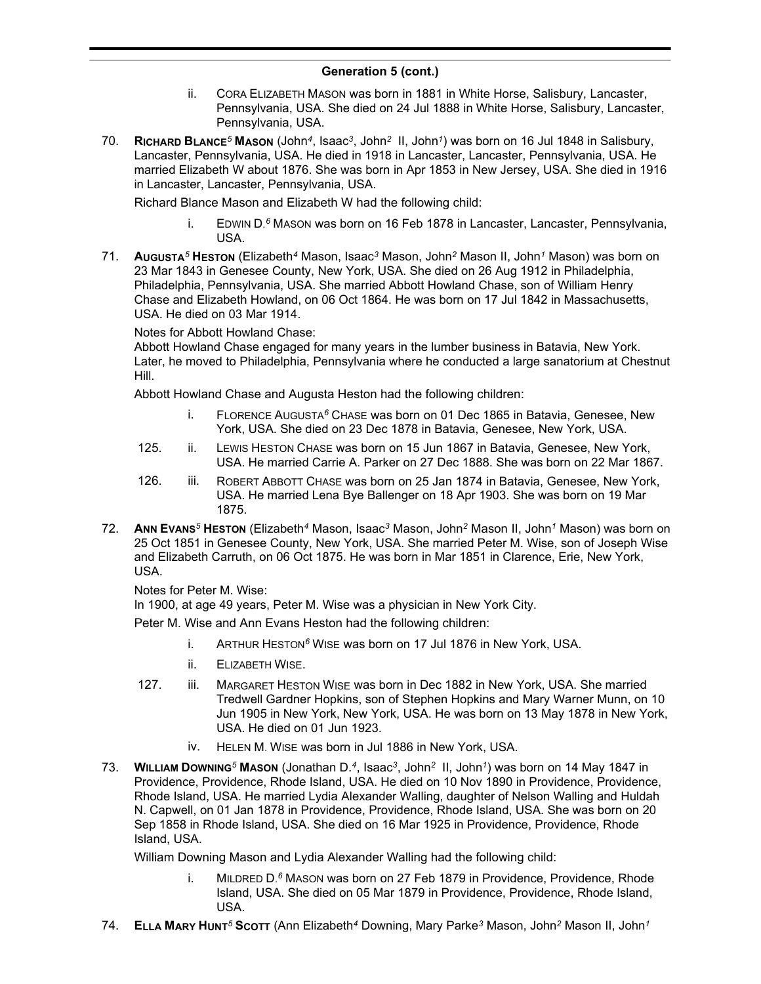- ii. CORA ELIZABETH MASON was born in 1881 in White Horse, Salisbury, Lancaster, Pennsylvania, USA. She died on 24 Jul 1888 in White Horse, Salisbury, Lancaster, Pennsylvania, USA.
- 70. **RICHARD BLANCE***<sup>5</sup>* **MASON** (John*<sup>4</sup>* , Isaac*<sup>3</sup>* , John*<sup>2</sup>* II, John*<sup>1</sup>* ) was born on 16 Jul 1848 in Salisbury, Lancaster, Pennsylvania, USA. He died in 1918 in Lancaster, Lancaster, Pennsylvania, USA. He married Elizabeth W about 1876. She was born in Apr 1853 in New Jersey, USA. She died in 1916 in Lancaster, Lancaster, Pennsylvania, USA.

Richard Blance Mason and Elizabeth W had the following child:

- i. EDWIN D. *<sup>6</sup>* MASON was born on 16 Feb 1878 in Lancaster, Lancaster, Pennsylvania, USA.
- 71. **AUGUSTA***<sup>5</sup>* **HESTON** (Elizabeth*<sup>4</sup>* Mason, Isaac*<sup>3</sup>* Mason, John*<sup>2</sup>* Mason II, John*<sup>1</sup>* Mason) was born on 23 Mar 1843 in Genesee County, New York, USA. She died on 26 Aug 1912 in Philadelphia, Philadelphia, Pennsylvania, USA. She married Abbott Howland Chase, son of William Henry Chase and Elizabeth Howland, on 06 Oct 1864. He was born on 17 Jul 1842 in Massachusetts, USA. He died on 03 Mar 1914.

# Notes for Abbott Howland Chase:

Abbott Howland Chase engaged for many years in the lumber business in Batavia, New York. Later, he moved to Philadelphia, Pennsylvania where he conducted a large sanatorium at Chestnut Hill.

Abbott Howland Chase and Augusta Heston had the following children:

- i. FLORENCE AUGUSTA*<sup>6</sup>* CHASE was born on 01 Dec 1865 in Batavia, Genesee, New York, USA. She died on 23 Dec 1878 in Batavia, Genesee, New York, USA.
- 125. ii. LEWIS HESTON CHASE was born on 15 Jun 1867 in Batavia, Genesee, New York, USA. He married Carrie A. Parker on 27 Dec 1888. She was born on 22 Mar 1867.
- 126. iii. ROBERT ABBOTT CHASE was born on 25 Jan 1874 in Batavia, Genesee, New York, USA. He married Lena Bye Ballenger on 18 Apr 1903. She was born on 19 Mar 1875.
- 72. **ANN EVANS***<sup>5</sup>* **HESTON** (Elizabeth*<sup>4</sup>* Mason, Isaac*<sup>3</sup>* Mason, John*<sup>2</sup>* Mason II, John*<sup>1</sup>* Mason) was born on 25 Oct 1851 in Genesee County, New York, USA. She married Peter M. Wise, son of Joseph Wise and Elizabeth Carruth, on 06 Oct 1875. He was born in Mar 1851 in Clarence, Erie, New York, USA.

Notes for Peter M. Wise:

In 1900, at age 49 years, Peter M. Wise was a physician in New York City.

Peter M. Wise and Ann Evans Heston had the following children:

- i. ARTHUR HESTON*<sup>6</sup>* WISE was born on 17 Jul 1876 in New York, USA.
- ii. ELIZABETH WISE.
- 127. iii. MARGARET HESTON WISE was born in Dec 1882 in New York, USA. She married Tredwell Gardner Hopkins, son of Stephen Hopkins and Mary Warner Munn, on 10 Jun 1905 in New York, New York, USA. He was born on 13 May 1878 in New York, USA. He died on 01 Jun 1923.
	- iv. HELEN M. WISE was born in Jul 1886 in New York, USA.
- 73. **WILLIAM DOWNING***<sup>5</sup>* **MASON** (Jonathan D.*<sup>4</sup>* , Isaac*<sup>3</sup>* , John*<sup>2</sup>* II, John*<sup>1</sup>* ) was born on 14 May 1847 in Providence, Providence, Rhode Island, USA. He died on 10 Nov 1890 in Providence, Providence, Rhode Island, USA. He married Lydia Alexander Walling, daughter of Nelson Walling and Huldah N. Capwell, on 01 Jan 1878 in Providence, Providence, Rhode Island, USA. She was born on 20 Sep 1858 in Rhode Island, USA. She died on 16 Mar 1925 in Providence, Providence, Rhode Island, USA.

William Downing Mason and Lydia Alexander Walling had the following child:

- i. MILDRED D. *<sup>6</sup>* MASON was born on 27 Feb 1879 in Providence, Providence, Rhode Island, USA. She died on 05 Mar 1879 in Providence, Providence, Rhode Island, USA.
- 74. **ELLA MARY HUNT***<sup>5</sup>* **SCOTT** (Ann Elizabeth*<sup>4</sup>* Downing, Mary Parke*<sup>3</sup>* Mason, John*<sup>2</sup>* Mason II, John*<sup>1</sup>*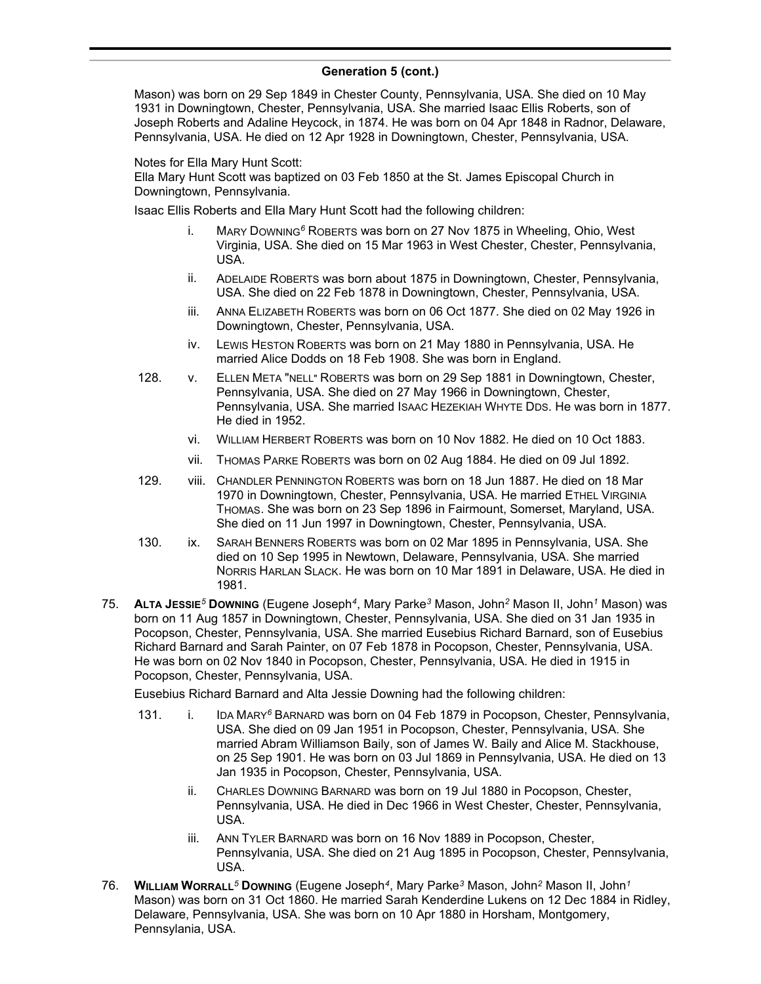Mason) was born on 29 Sep 1849 in Chester County, Pennsylvania, USA. She died on 10 May 1931 in Downingtown, Chester, Pennsylvania, USA. She married Isaac Ellis Roberts, son of Joseph Roberts and Adaline Heycock, in 1874. He was born on 04 Apr 1848 in Radnor, Delaware, Pennsylvania, USA. He died on 12 Apr 1928 in Downingtown, Chester, Pennsylvania, USA.

Notes for Ella Mary Hunt Scott:

Ella Mary Hunt Scott was baptized on 03 Feb 1850 at the St. James Episcopal Church in Downingtown, Pennsylvania.

Isaac Ellis Roberts and Ella Mary Hunt Scott had the following children:

- i. MARY DOWNING*<sup>6</sup>* ROBERTS was born on 27 Nov 1875 in Wheeling, Ohio, West Virginia, USA. She died on 15 Mar 1963 in West Chester, Chester, Pennsylvania, USA.
- ii. ADELAIDE ROBERTS was born about 1875 in Downingtown, Chester, Pennsylvania, USA. She died on 22 Feb 1878 in Downingtown, Chester, Pennsylvania, USA.
- iii. ANNA ELIZABETH ROBERTS was born on 06 Oct 1877. She died on 02 May 1926 in Downingtown, Chester, Pennsylvania, USA.
- iv. LEWIS HESTON ROBERTS was born on 21 May 1880 in Pennsylvania, USA. He married Alice Dodds on 18 Feb 1908. She was born in England.
- 128. v. ELLEN META "NELL" ROBERTS was born on 29 Sep 1881 in Downingtown, Chester, Pennsylvania, USA. She died on 27 May 1966 in Downingtown, Chester, Pennsylvania, USA. She married ISAAC HEZEKIAH WHYTE DDS. He was born in 1877. He died in 1952.
	- vi. WILLIAM HERBERT ROBERTS was born on 10 Nov 1882. He died on 10 Oct 1883.
	- vii. THOMAS PARKE ROBERTS was born on 02 Aug 1884. He died on 09 Jul 1892.
- 129. viii. CHANDLER PENNINGTON ROBERTS was born on 18 Jun 1887. He died on 18 Mar 1970 in Downingtown, Chester, Pennsylvania, USA. He married ETHEL VIRGINIA THOMAS. She was born on 23 Sep 1896 in Fairmount, Somerset, Maryland, USA. She died on 11 Jun 1997 in Downingtown, Chester, Pennsylvania, USA.
- 130. ix. SARAH BENNERS ROBERTS was born on 02 Mar 1895 in Pennsylvania, USA. She died on 10 Sep 1995 in Newtown, Delaware, Pennsylvania, USA. She married NORRIS HARLAN SLACK. He was born on 10 Mar 1891 in Delaware, USA. He died in 1981.
- 75. **ALTA JESSIE***<sup>5</sup>* **DOWNING** (Eugene Joseph*<sup>4</sup>* , Mary Parke*<sup>3</sup>* Mason, John*<sup>2</sup>* Mason II, John*<sup>1</sup>* Mason) was born on 11 Aug 1857 in Downingtown, Chester, Pennsylvania, USA. She died on 31 Jan 1935 in Pocopson, Chester, Pennsylvania, USA. She married Eusebius Richard Barnard, son of Eusebius Richard Barnard and Sarah Painter, on 07 Feb 1878 in Pocopson, Chester, Pennsylvania, USA. He was born on 02 Nov 1840 in Pocopson, Chester, Pennsylvania, USA. He died in 1915 in Pocopson, Chester, Pennsylvania, USA.

Eusebius Richard Barnard and Alta Jessie Downing had the following children:

- 131. i. IDA MARY*<sup>6</sup>* BARNARD was born on 04 Feb 1879 in Pocopson, Chester, Pennsylvania, USA. She died on 09 Jan 1951 in Pocopson, Chester, Pennsylvania, USA. She married Abram Williamson Baily, son of James W. Baily and Alice M. Stackhouse, on 25 Sep 1901. He was born on 03 Jul 1869 in Pennsylvania, USA. He died on 13 Jan 1935 in Pocopson, Chester, Pennsylvania, USA.
	- ii. CHARLES DOWNING BARNARD was born on 19 Jul 1880 in Pocopson, Chester, Pennsylvania, USA. He died in Dec 1966 in West Chester, Chester, Pennsylvania, USA.
	- iii. ANN TYLER BARNARD was born on 16 Nov 1889 in Pocopson, Chester, Pennsylvania, USA. She died on 21 Aug 1895 in Pocopson, Chester, Pennsylvania, USA.
- 76. **WILLIAM WORRALL***<sup>5</sup>* **DOWNING** (Eugene Joseph*<sup>4</sup>* , Mary Parke*<sup>3</sup>* Mason, John*<sup>2</sup>* Mason II, John*<sup>1</sup>* Mason) was born on 31 Oct 1860. He married Sarah Kenderdine Lukens on 12 Dec 1884 in Ridley, Delaware, Pennsylvania, USA. She was born on 10 Apr 1880 in Horsham, Montgomery, Pennsylania, USA.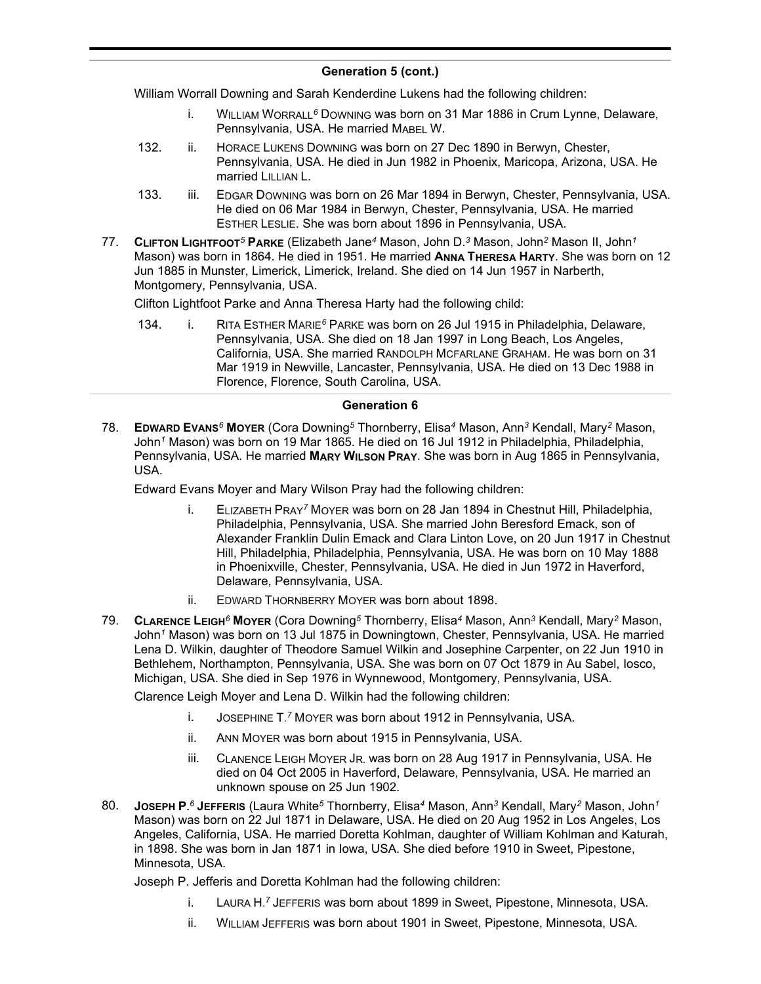William Worrall Downing and Sarah Kenderdine Lukens had the following children:

- i. WILLIAM WORRALL*<sup>6</sup>* DOWNING was born on 31 Mar 1886 in Crum Lynne, Delaware, Pennsylvania, USA. He married MABEL W.
- 132. ii. HORACE LUKENS DOWNING was born on 27 Dec 1890 in Berwyn, Chester, Pennsylvania, USA. He died in Jun 1982 in Phoenix, Maricopa, Arizona, USA. He married LILLIAN L.
- 133. iii. EDGAR DOWNING was born on 26 Mar 1894 in Berwyn, Chester, Pennsylvania, USA. He died on 06 Mar 1984 in Berwyn, Chester, Pennsylvania, USA. He married ESTHER LESLIE. She was born about 1896 in Pennsylvania, USA.
- 77. **CLIFTON LIGHTFOOT***<sup>5</sup>* **PARKE** (Elizabeth Jane*<sup>4</sup>* Mason, John D.*<sup>3</sup>* Mason, John*<sup>2</sup>* Mason II, John*<sup>1</sup>* Mason) was born in 1864. He died in 1951. He married **ANNA THERESA HARTY**. She was born on 12 Jun 1885 in Munster, Limerick, Limerick, Ireland. She died on 14 Jun 1957 in Narberth, Montgomery, Pennsylvania, USA.

Clifton Lightfoot Parke and Anna Theresa Harty had the following child:

134. i. RITA ESTHER MARIE*<sup>6</sup>* PARKE was born on 26 Jul 1915 in Philadelphia, Delaware, Pennsylvania, USA. She died on 18 Jan 1997 in Long Beach, Los Angeles, California, USA. She married RANDOLPH MCFARLANE GRAHAM. He was born on 31 Mar 1919 in Newville, Lancaster, Pennsylvania, USA. He died on 13 Dec 1988 in Florence, Florence, South Carolina, USA.

### **Generation 6**

78. **EDWARD EVANS***<sup>6</sup>* **MOYER** (Cora Downing*<sup>5</sup>* Thornberry, Elisa*<sup>4</sup>* Mason, Ann*<sup>3</sup>* Kendall, Mary*<sup>2</sup>* Mason, John*<sup>1</sup>* Mason) was born on 19 Mar 1865. He died on 16 Jul 1912 in Philadelphia, Philadelphia, Pennsylvania, USA. He married **MARY WILSON PRAY**. She was born in Aug 1865 in Pennsylvania, USA.

Edward Evans Moyer and Mary Wilson Pray had the following children:

- i. ELIZABETH PRAY*<sup>7</sup>* MOYER was born on 28 Jan 1894 in Chestnut Hill, Philadelphia, Philadelphia, Pennsylvania, USA. She married John Beresford Emack, son of Alexander Franklin Dulin Emack and Clara Linton Love, on 20 Jun 1917 in Chestnut Hill, Philadelphia, Philadelphia, Pennsylvania, USA. He was born on 10 May 1888 in Phoenixville, Chester, Pennsylvania, USA. He died in Jun 1972 in Haverford, Delaware, Pennsylvania, USA.
- ii. EDWARD THORNBERRY MOYER was born about 1898.
- 79. **CLARENCE LEIGH***<sup>6</sup>* **MOYER** (Cora Downing*<sup>5</sup>* Thornberry, Elisa*<sup>4</sup>* Mason, Ann*<sup>3</sup>* Kendall, Mary*<sup>2</sup>* Mason, John*<sup>1</sup>* Mason) was born on 13 Jul 1875 in Downingtown, Chester, Pennsylvania, USA. He married Lena D. Wilkin, daughter of Theodore Samuel Wilkin and Josephine Carpenter, on 22 Jun 1910 in Bethlehem, Northampton, Pennsylvania, USA. She was born on 07 Oct 1879 in Au Sabel, Iosco, Michigan, USA. She died in Sep 1976 in Wynnewood, Montgomery, Pennsylvania, USA.

Clarence Leigh Moyer and Lena D. Wilkin had the following children:

- i. JOSEPHINE T. *<sup>7</sup>* MOYER was born about 1912 in Pennsylvania, USA.
- ii. ANN MOYER was born about 1915 in Pennsylvania, USA.
- iii. CLANENCE LEIGH MOYER JR. was born on 28 Aug 1917 in Pennsylvania, USA. He died on 04 Oct 2005 in Haverford, Delaware, Pennsylvania, USA. He married an unknown spouse on 25 Jun 1902.
- 80. **JOSEPH P.** *<sup>6</sup>* **JEFFERIS** (Laura White*<sup>5</sup>* Thornberry, Elisa*<sup>4</sup>* Mason, Ann*<sup>3</sup>* Kendall, Mary*<sup>2</sup>* Mason, John*<sup>1</sup>* Mason) was born on 22 Jul 1871 in Delaware, USA. He died on 20 Aug 1952 in Los Angeles, Los Angeles, California, USA. He married Doretta Kohlman, daughter of William Kohlman and Katurah, in 1898. She was born in Jan 1871 in Iowa, USA. She died before 1910 in Sweet, Pipestone, Minnesota, USA.

Joseph P. Jefferis and Doretta Kohlman had the following children:

- i. LAURA H. *<sup>7</sup>* JEFFERIS was born about 1899 in Sweet, Pipestone, Minnesota, USA.
- ii. WILLIAM JEFFERIS was born about 1901 in Sweet, Pipestone, Minnesota, USA.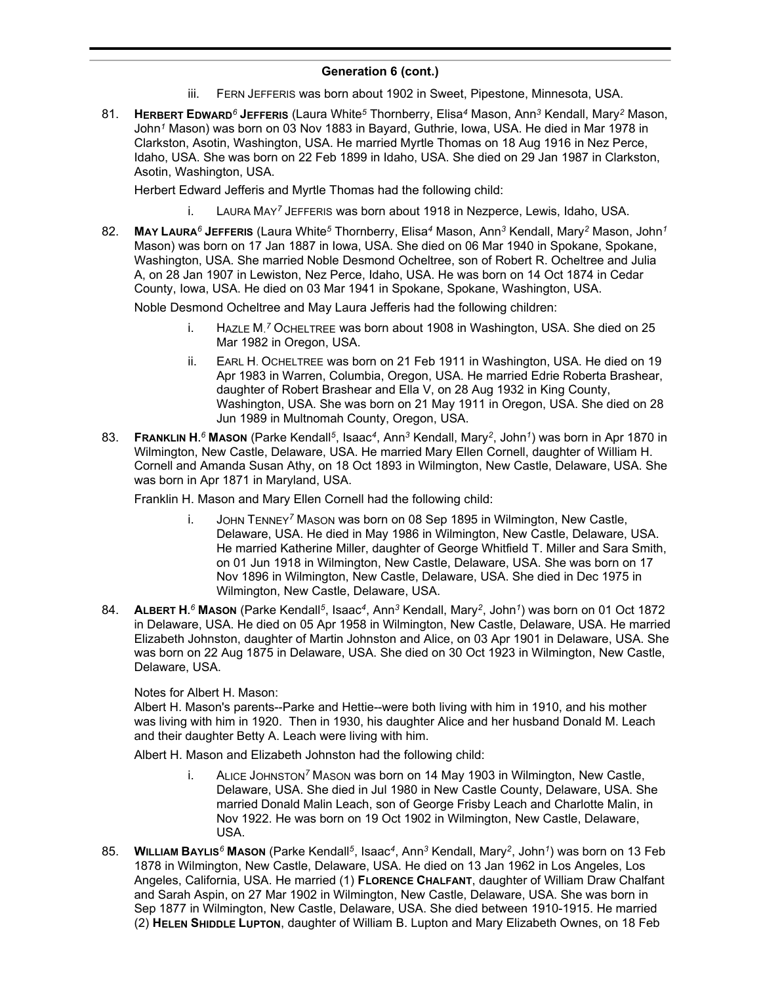- iii. FERN JEFFERIS was born about 1902 in Sweet, Pipestone, Minnesota, USA.
- 81. **HERBERT EDWARD***<sup>6</sup>* **JEFFERIS** (Laura White*<sup>5</sup>* Thornberry, Elisa*<sup>4</sup>* Mason, Ann*<sup>3</sup>* Kendall, Mary*<sup>2</sup>* Mason, John*<sup>1</sup>* Mason) was born on 03 Nov 1883 in Bayard, Guthrie, Iowa, USA. He died in Mar 1978 in Clarkston, Asotin, Washington, USA. He married Myrtle Thomas on 18 Aug 1916 in Nez Perce, Idaho, USA. She was born on 22 Feb 1899 in Idaho, USA. She died on 29 Jan 1987 in Clarkston, Asotin, Washington, USA.

Herbert Edward Jefferis and Myrtle Thomas had the following child:

- i. LAURA MAY*<sup>7</sup>* JEFFERIS was born about 1918 in Nezperce, Lewis, Idaho, USA.
- 82. **MAY LAURA***<sup>6</sup>* **JEFFERIS** (Laura White*<sup>5</sup>* Thornberry, Elisa*<sup>4</sup>* Mason, Ann*<sup>3</sup>* Kendall, Mary*<sup>2</sup>* Mason, John*<sup>1</sup>* Mason) was born on 17 Jan 1887 in Iowa, USA. She died on 06 Mar 1940 in Spokane, Spokane, Washington, USA. She married Noble Desmond Ocheltree, son of Robert R. Ocheltree and Julia A, on 28 Jan 1907 in Lewiston, Nez Perce, Idaho, USA. He was born on 14 Oct 1874 in Cedar County, Iowa, USA. He died on 03 Mar 1941 in Spokane, Spokane, Washington, USA.

Noble Desmond Ocheltree and May Laura Jefferis had the following children:

- i. HAZLE M. *<sup>7</sup>* OCHELTREE was born about 1908 in Washington, USA. She died on 25 Mar 1982 in Oregon, USA.
- ii. EARL H. OCHELTREE was born on 21 Feb 1911 in Washington, USA. He died on 19 Apr 1983 in Warren, Columbia, Oregon, USA. He married Edrie Roberta Brashear, daughter of Robert Brashear and Ella V, on 28 Aug 1932 in King County, Washington, USA. She was born on 21 May 1911 in Oregon, USA. She died on 28 Jun 1989 in Multnomah County, Oregon, USA.
- 83. **FRANKLIN H.** *<sup>6</sup>* **MASON** (Parke Kendall*<sup>5</sup>* , Isaac*<sup>4</sup>* , Ann*<sup>3</sup>* Kendall, Mary*<sup>2</sup>* , John*<sup>1</sup>* ) was born in Apr 1870 in Wilmington, New Castle, Delaware, USA. He married Mary Ellen Cornell, daughter of William H. Cornell and Amanda Susan Athy, on 18 Oct 1893 in Wilmington, New Castle, Delaware, USA. She was born in Apr 1871 in Maryland, USA.

Franklin H. Mason and Mary Ellen Cornell had the following child:

- i. JOHN TENNEY*<sup>7</sup>* MASON was born on 08 Sep 1895 in Wilmington, New Castle, Delaware, USA. He died in May 1986 in Wilmington, New Castle, Delaware, USA. He married Katherine Miller, daughter of George Whitfield T. Miller and Sara Smith, on 01 Jun 1918 in Wilmington, New Castle, Delaware, USA. She was born on 17 Nov 1896 in Wilmington, New Castle, Delaware, USA. She died in Dec 1975 in Wilmington, New Castle, Delaware, USA.
- 84. **ALBERT H.** *<sup>6</sup>* **MASON** (Parke Kendall*<sup>5</sup>* , Isaac*<sup>4</sup>* , Ann*<sup>3</sup>* Kendall, Mary*<sup>2</sup>* , John*<sup>1</sup>* ) was born on 01 Oct 1872 in Delaware, USA. He died on 05 Apr 1958 in Wilmington, New Castle, Delaware, USA. He married Elizabeth Johnston, daughter of Martin Johnston and Alice, on 03 Apr 1901 in Delaware, USA. She was born on 22 Aug 1875 in Delaware, USA. She died on 30 Oct 1923 in Wilmington, New Castle, Delaware, USA.

Notes for Albert H. Mason:

Albert H. Mason's parents--Parke and Hettie--were both living with him in 1910, and his mother was living with him in 1920. Then in 1930, his daughter Alice and her husband Donald M. Leach and their daughter Betty A. Leach were living with him.

Albert H. Mason and Elizabeth Johnston had the following child:

- i. ALICE JOHNSTON*<sup>7</sup>* MASON was born on 14 May 1903 in Wilmington, New Castle, Delaware, USA. She died in Jul 1980 in New Castle County, Delaware, USA. She married Donald Malin Leach, son of George Frisby Leach and Charlotte Malin, in Nov 1922. He was born on 19 Oct 1902 in Wilmington, New Castle, Delaware, USA.
- 85. **WILLIAM BAYLIS***<sup>6</sup>* **MASON** (Parke Kendall*<sup>5</sup>* , Isaac*<sup>4</sup>* , Ann*<sup>3</sup>* Kendall, Mary*<sup>2</sup>* , John*<sup>1</sup>* ) was born on 13 Feb 1878 in Wilmington, New Castle, Delaware, USA. He died on 13 Jan 1962 in Los Angeles, Los Angeles, California, USA. He married (1) **FLORENCE CHALFANT**, daughter of William Draw Chalfant and Sarah Aspin, on 27 Mar 1902 in Wilmington, New Castle, Delaware, USA. She was born in Sep 1877 in Wilmington, New Castle, Delaware, USA. She died between 1910-1915. He married (2) **HELEN SHIDDLE LUPTON**, daughter of William B. Lupton and Mary Elizabeth Ownes, on 18 Feb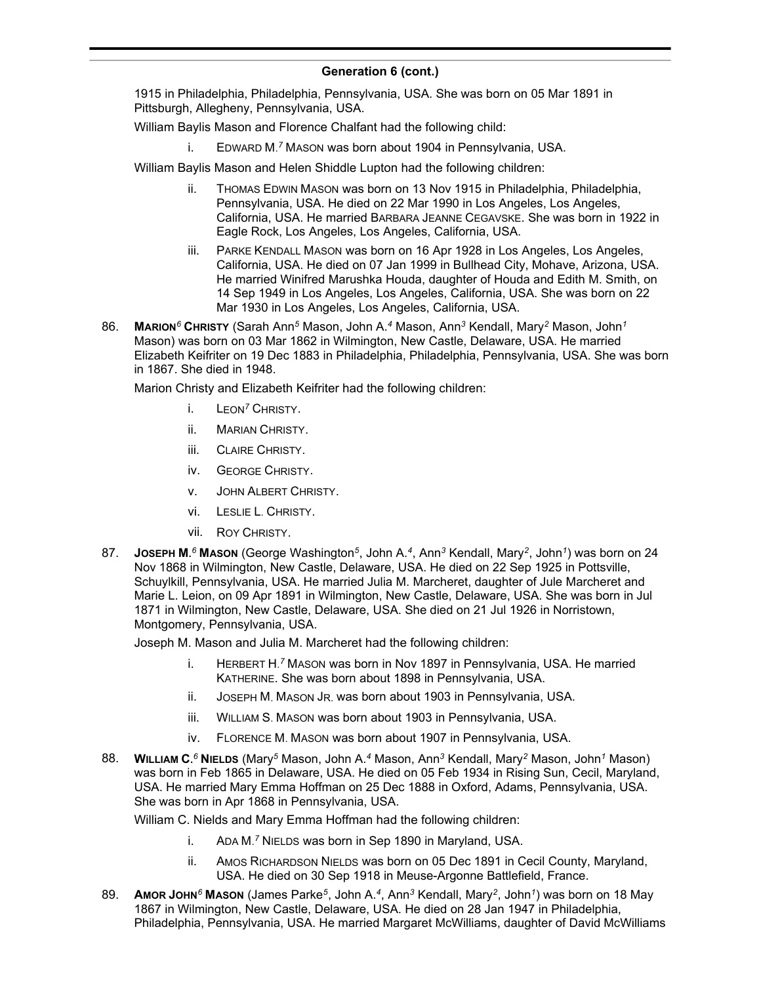1915 in Philadelphia, Philadelphia, Pennsylvania, USA. She was born on 05 Mar 1891 in Pittsburgh, Allegheny, Pennsylvania, USA.

William Baylis Mason and Florence Chalfant had the following child:

i. EDWARD M. *<sup>7</sup>* MASON was born about 1904 in Pennsylvania, USA.

William Baylis Mason and Helen Shiddle Lupton had the following children:

- ii. THOMAS EDWIN MASON was born on 13 Nov 1915 in Philadelphia, Philadelphia, Pennsylvania, USA. He died on 22 Mar 1990 in Los Angeles, Los Angeles, California, USA. He married BARBARA JEANNE CEGAVSKE. She was born in 1922 in Eagle Rock, Los Angeles, Los Angeles, California, USA.
- iii. PARKE KENDALL MASON was born on 16 Apr 1928 in Los Angeles, Los Angeles, California, USA. He died on 07 Jan 1999 in Bullhead City, Mohave, Arizona, USA. He married Winifred Marushka Houda, daughter of Houda and Edith M. Smith, on 14 Sep 1949 in Los Angeles, Los Angeles, California, USA. She was born on 22 Mar 1930 in Los Angeles, Los Angeles, California, USA.
- 86. **MARION***<sup>6</sup>* **CHRISTY** (Sarah Ann*<sup>5</sup>* Mason, John A.*<sup>4</sup>* Mason, Ann*<sup>3</sup>* Kendall, Mary*<sup>2</sup>* Mason, John*<sup>1</sup>* Mason) was born on 03 Mar 1862 in Wilmington, New Castle, Delaware, USA. He married Elizabeth Keifriter on 19 Dec 1883 in Philadelphia, Philadelphia, Pennsylvania, USA. She was born in 1867. She died in 1948.

Marion Christy and Elizabeth Keifriter had the following children:

- i. LEON*<sup>7</sup>* CHRISTY.
- ii. MARIAN CHRISTY.
- iii. CLAIRE CHRISTY.
- iv. GEORGE CHRISTY.
- v. JOHN ALBERT CHRISTY.
- vi. LESLIE L. CHRISTY.
- vii. ROY CHRISTY.
- 87. **JOSEPH M.** *<sup>6</sup>* **MASON** (George Washington*<sup>5</sup>* , John A.*<sup>4</sup>* , Ann*<sup>3</sup>* Kendall, Mary*<sup>2</sup>* , John*<sup>1</sup>* ) was born on 24 Nov 1868 in Wilmington, New Castle, Delaware, USA. He died on 22 Sep 1925 in Pottsville, Schuylkill, Pennsylvania, USA. He married Julia M. Marcheret, daughter of Jule Marcheret and Marie L. Leion, on 09 Apr 1891 in Wilmington, New Castle, Delaware, USA. She was born in Jul 1871 in Wilmington, New Castle, Delaware, USA. She died on 21 Jul 1926 in Norristown, Montgomery, Pennsylvania, USA.

Joseph M. Mason and Julia M. Marcheret had the following children:

- i. HERBERT H. *<sup>7</sup>* MASON was born in Nov 1897 in Pennsylvania, USA. He married KATHERINE. She was born about 1898 in Pennsylvania, USA.
- ii. JOSEPH M. MASON JR. was born about 1903 in Pennsylvania, USA.
- iii. WILLIAM S. MASON was born about 1903 in Pennsylvania, USA.
- iv. FLORENCE M. MASON was born about 1907 in Pennsylvania, USA.
- 88. **WILLIAM C.** *<sup>6</sup>* **NIELDS** (Mary*<sup>5</sup>* Mason, John A.*<sup>4</sup>* Mason, Ann*<sup>3</sup>* Kendall, Mary*<sup>2</sup>* Mason, John*<sup>1</sup>* Mason) was born in Feb 1865 in Delaware, USA. He died on 05 Feb 1934 in Rising Sun, Cecil, Maryland, USA. He married Mary Emma Hoffman on 25 Dec 1888 in Oxford, Adams, Pennsylvania, USA. She was born in Apr 1868 in Pennsylvania, USA.

William C. Nields and Mary Emma Hoffman had the following children:

- i. ADA M. *<sup>7</sup>* NIELDS was born in Sep 1890 in Maryland, USA.
- ii. AMOS RICHARDSON NIELDS was born on 05 Dec 1891 in Cecil County, Maryland, USA. He died on 30 Sep 1918 in Meuse-Argonne Battlefield, France.
- 89. **AMOR JOHN***<sup>6</sup>* **MASON** (James Parke*<sup>5</sup>* , John A.*<sup>4</sup>* , Ann*<sup>3</sup>* Kendall, Mary*<sup>2</sup>* , John*<sup>1</sup>* ) was born on 18 May 1867 in Wilmington, New Castle, Delaware, USA. He died on 28 Jan 1947 in Philadelphia, Philadelphia, Pennsylvania, USA. He married Margaret McWilliams, daughter of David McWilliams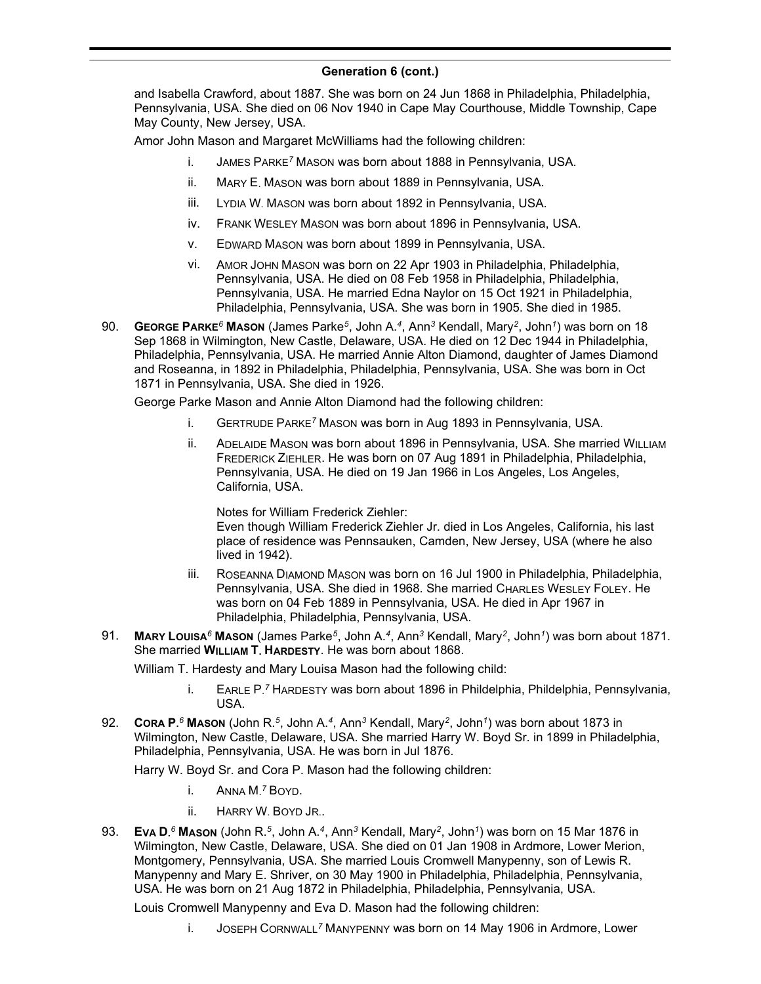and Isabella Crawford, about 1887. She was born on 24 Jun 1868 in Philadelphia, Philadelphia, Pennsylvania, USA. She died on 06 Nov 1940 in Cape May Courthouse, Middle Township, Cape May County, New Jersey, USA.

Amor John Mason and Margaret McWilliams had the following children:

- i. JAMES PARKE*<sup>7</sup>* MASON was born about 1888 in Pennsylvania, USA.
- ii. MARY E. MASON was born about 1889 in Pennsylvania, USA.
- iii. LYDIA W. MASON was born about 1892 in Pennsylvania, USA.
- iv. FRANK WESLEY MASON was born about 1896 in Pennsylvania, USA.
- v. EDWARD MASON was born about 1899 in Pennsylvania, USA.
- vi. AMOR JOHN MASON was born on 22 Apr 1903 in Philadelphia, Philadelphia, Pennsylvania, USA. He died on 08 Feb 1958 in Philadelphia, Philadelphia, Pennsylvania, USA. He married Edna Naylor on 15 Oct 1921 in Philadelphia, Philadelphia, Pennsylvania, USA. She was born in 1905. She died in 1985.
- 90. **GEORGE PARKE***<sup>6</sup>* **MASON** (James Parke*<sup>5</sup>* , John A.*<sup>4</sup>* , Ann*<sup>3</sup>* Kendall, Mary*<sup>2</sup>* , John*<sup>1</sup>* ) was born on 18 Sep 1868 in Wilmington, New Castle, Delaware, USA. He died on 12 Dec 1944 in Philadelphia, Philadelphia, Pennsylvania, USA. He married Annie Alton Diamond, daughter of James Diamond and Roseanna, in 1892 in Philadelphia, Philadelphia, Pennsylvania, USA. She was born in Oct 1871 in Pennsylvania, USA. She died in 1926.

George Parke Mason and Annie Alton Diamond had the following children:

- i. GERTRUDE PARKE*<sup>7</sup>* MASON was born in Aug 1893 in Pennsylvania, USA.
- ii. ADELAIDE MASON was born about 1896 in Pennsylvania, USA. She married WILLIAM FREDERICK ZIEHLER. He was born on 07 Aug 1891 in Philadelphia, Philadelphia, Pennsylvania, USA. He died on 19 Jan 1966 in Los Angeles, Los Angeles, California, USA.

Notes for William Frederick Ziehler:

Even though William Frederick Ziehler Jr. died in Los Angeles, California, his last place of residence was Pennsauken, Camden, New Jersey, USA (where he also lived in 1942).

- iii. ROSEANNA DIAMOND MASON was born on 16 Jul 1900 in Philadelphia, Philadelphia, Pennsylvania, USA. She died in 1968. She married CHARLES WESLEY FOLEY. He was born on 04 Feb 1889 in Pennsylvania, USA. He died in Apr 1967 in Philadelphia, Philadelphia, Pennsylvania, USA.
- 91. **MARY LOUISA***<sup>6</sup>* **MASON** (James Parke*<sup>5</sup>* , John A.*<sup>4</sup>* , Ann*<sup>3</sup>* Kendall, Mary*<sup>2</sup>* , John*<sup>1</sup>* ) was born about 1871. She married **WILLIAM T. HARDESTY**. He was born about 1868.

William T. Hardesty and Mary Louisa Mason had the following child:

- i. EARLE P. *<sup>7</sup>* HARDESTY was born about 1896 in Phildelphia, Phildelphia, Pennsylvania, USA.
- 92. **CORA P.** *<sup>6</sup>* **MASON** (John R.*<sup>5</sup>* , John A.*<sup>4</sup>* , Ann*<sup>3</sup>* Kendall, Mary*<sup>2</sup>* , John*<sup>1</sup>* ) was born about 1873 in Wilmington, New Castle, Delaware, USA. She married Harry W. Boyd Sr. in 1899 in Philadelphia, Philadelphia, Pennsylvania, USA. He was born in Jul 1876.

Harry W. Boyd Sr. and Cora P. Mason had the following children:

- i. ANNA M. *<sup>7</sup>* BOYD.
- ii. HARRY W. BOYD JR..
- 93. **EVA D.** *<sup>6</sup>* **MASON** (John R.*<sup>5</sup>* , John A.*<sup>4</sup>* , Ann*<sup>3</sup>* Kendall, Mary*<sup>2</sup>* , John*<sup>1</sup>* ) was born on 15 Mar 1876 in Wilmington, New Castle, Delaware, USA. She died on 01 Jan 1908 in Ardmore, Lower Merion, Montgomery, Pennsylvania, USA. She married Louis Cromwell Manypenny, son of Lewis R. Manypenny and Mary E. Shriver, on 30 May 1900 in Philadelphia, Philadelphia, Pennsylvania, USA. He was born on 21 Aug 1872 in Philadelphia, Philadelphia, Pennsylvania, USA.

Louis Cromwell Manypenny and Eva D. Mason had the following children:

i. JOSEPH CORNWALL*<sup>7</sup>* MANYPENNY was born on 14 May 1906 in Ardmore, Lower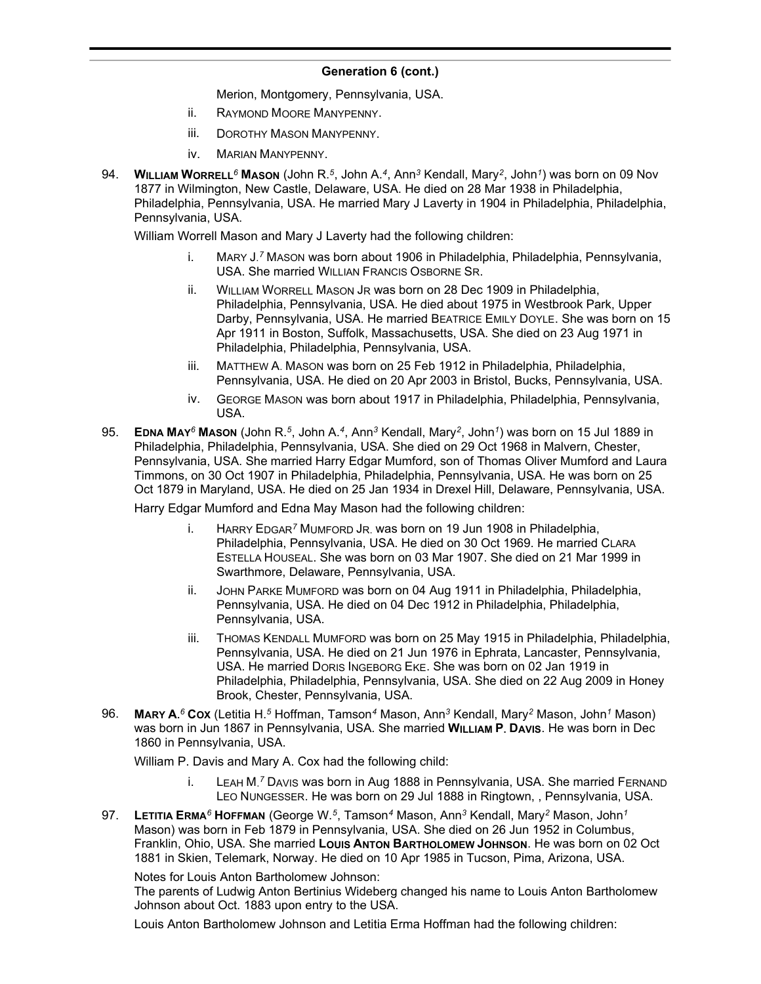Merion, Montgomery, Pennsylvania, USA.

- ii. RAYMOND MOORE MANYPENNY.
- iii. DOROTHY MASON MANYPENNY.
- iv. MARIAN MANYPENNY.
- 94. **WILLIAM WORRELL***<sup>6</sup>* **MASON** (John R.*<sup>5</sup>* , John A.*<sup>4</sup>* , Ann*<sup>3</sup>* Kendall, Mary*<sup>2</sup>* , John*<sup>1</sup>* ) was born on 09 Nov 1877 in Wilmington, New Castle, Delaware, USA. He died on 28 Mar 1938 in Philadelphia, Philadelphia, Pennsylvania, USA. He married Mary J Laverty in 1904 in Philadelphia, Philadelphia, Pennsylvania, USA.

William Worrell Mason and Mary J Laverty had the following children:

- i. MARY J.<sup>7</sup> MASON was born about 1906 in Philadelphia, Philadelphia, Pennsylvania, USA. She married WILLIAN FRANCIS OSBORNE SR.
- ii. WILLIAM WORRELL MASON JR was born on 28 Dec 1909 in Philadelphia, Philadelphia, Pennsylvania, USA. He died about 1975 in Westbrook Park, Upper Darby, Pennsylvania, USA. He married BEATRICE EMILY DOYLE. She was born on 15 Apr 1911 in Boston, Suffolk, Massachusetts, USA. She died on 23 Aug 1971 in Philadelphia, Philadelphia, Pennsylvania, USA.
- iii. MATTHEW A. MASON was born on 25 Feb 1912 in Philadelphia, Philadelphia, Pennsylvania, USA. He died on 20 Apr 2003 in Bristol, Bucks, Pennsylvania, USA.
- iv. GEORGE MASON was born about 1917 in Philadelphia, Philadelphia, Pennsylvania, USA.
- 95. **EDNA MAY***<sup>6</sup>* **MASON** (John R.*<sup>5</sup>* , John A.*<sup>4</sup>* , Ann*<sup>3</sup>* Kendall, Mary*<sup>2</sup>* , John*<sup>1</sup>* ) was born on 15 Jul 1889 in Philadelphia, Philadelphia, Pennsylvania, USA. She died on 29 Oct 1968 in Malvern, Chester, Pennsylvania, USA. She married Harry Edgar Mumford, son of Thomas Oliver Mumford and Laura Timmons, on 30 Oct 1907 in Philadelphia, Philadelphia, Pennsylvania, USA. He was born on 25 Oct 1879 in Maryland, USA. He died on 25 Jan 1934 in Drexel Hill, Delaware, Pennsylvania, USA.

Harry Edgar Mumford and Edna May Mason had the following children:

- i. HARRY EDGAR*<sup>7</sup>* MUMFORD JR. was born on 19 Jun 1908 in Philadelphia, Philadelphia, Pennsylvania, USA. He died on 30 Oct 1969. He married CLARA ESTELLA HOUSEAL. She was born on 03 Mar 1907. She died on 21 Mar 1999 in Swarthmore, Delaware, Pennsylvania, USA.
- ii. JOHN PARKE MUMFORD was born on 04 Aug 1911 in Philadelphia, Philadelphia, Pennsylvania, USA. He died on 04 Dec 1912 in Philadelphia, Philadelphia, Pennsylvania, USA.
- iii. THOMAS KENDALL MUMFORD was born on 25 May 1915 in Philadelphia, Philadelphia, Pennsylvania, USA. He died on 21 Jun 1976 in Ephrata, Lancaster, Pennsylvania, USA. He married DORIS INGEBORG EKE. She was born on 02 Jan 1919 in Philadelphia, Philadelphia, Pennsylvania, USA. She died on 22 Aug 2009 in Honey Brook, Chester, Pennsylvania, USA.
- 96. **MARY A.** *<sup>6</sup>* **COX** (Letitia H.*<sup>5</sup>* Hoffman, Tamson*<sup>4</sup>* Mason, Ann*<sup>3</sup>* Kendall, Mary*<sup>2</sup>* Mason, John*<sup>1</sup>* Mason) was born in Jun 1867 in Pennsylvania, USA. She married **WILLIAM P. DAVIS**. He was born in Dec 1860 in Pennsylvania, USA.

William P. Davis and Mary A. Cox had the following child:

- i. LEAH M.<sup>7</sup> DAVIS was born in Aug 1888 in Pennsylvania, USA. She married FERNAND LEO NUNGESSER. He was born on 29 Jul 1888 in Ringtown, , Pennsylvania, USA.
- 97. **LETITIA ERMA***<sup>6</sup>* **HOFFMAN** (George W.*<sup>5</sup>* , Tamson*<sup>4</sup>* Mason, Ann*<sup>3</sup>* Kendall, Mary*<sup>2</sup>* Mason, John*<sup>1</sup>* Mason) was born in Feb 1879 in Pennsylvania, USA. She died on 26 Jun 1952 in Columbus, Franklin, Ohio, USA. She married **LOUIS ANTON BARTHOLOMEW JOHNSON**. He was born on 02 Oct 1881 in Skien, Telemark, Norway. He died on 10 Apr 1985 in Tucson, Pima, Arizona, USA.

Notes for Louis Anton Bartholomew Johnson:

The parents of Ludwig Anton Bertinius Wideberg changed his name to Louis Anton Bartholomew Johnson about Oct. 1883 upon entry to the USA.

Louis Anton Bartholomew Johnson and Letitia Erma Hoffman had the following children: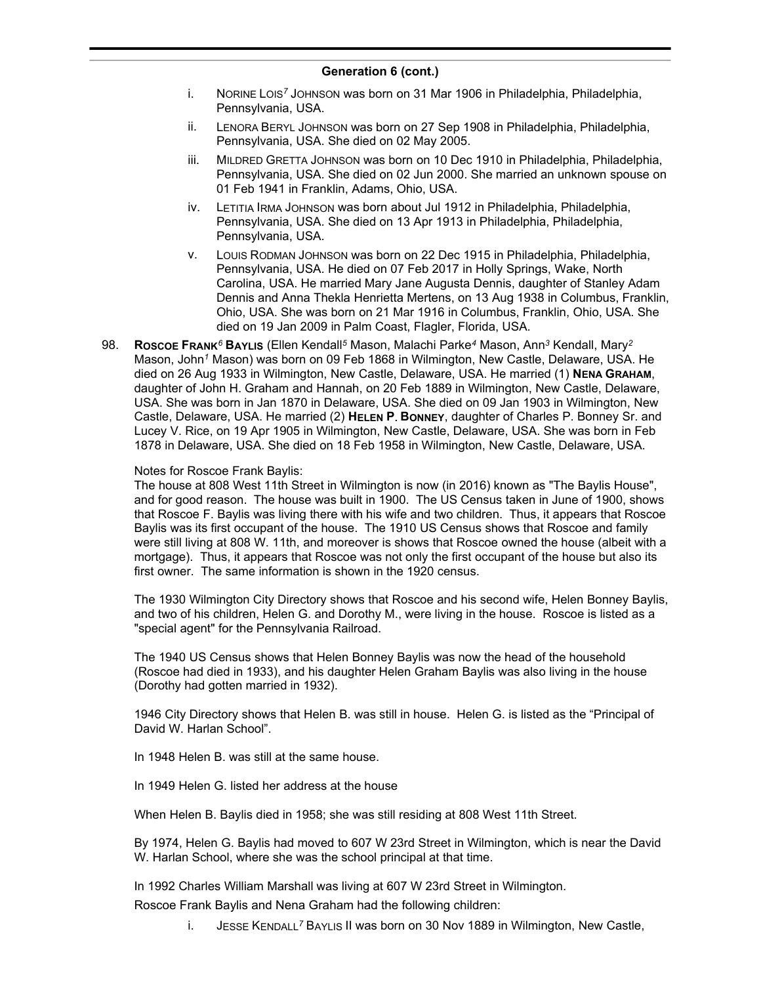- i. NORINE LOIS*<sup>7</sup>* JOHNSON was born on 31 Mar 1906 in Philadelphia, Philadelphia, Pennsylvania, USA.
- ii. LENORA BERYL JOHNSON was born on 27 Sep 1908 in Philadelphia, Philadelphia, Pennsylvania, USA. She died on 02 May 2005.
- iii. MILDRED GRETTA JOHNSON was born on 10 Dec 1910 in Philadelphia, Philadelphia, Pennsylvania, USA. She died on 02 Jun 2000. She married an unknown spouse on 01 Feb 1941 in Franklin, Adams, Ohio, USA.
- iv. LETITIA IRMA JOHNSON was born about Jul 1912 in Philadelphia, Philadelphia, Pennsylvania, USA. She died on 13 Apr 1913 in Philadelphia, Philadelphia, Pennsylvania, USA.
- v. LOUIS RODMAN JOHNSON was born on 22 Dec 1915 in Philadelphia, Philadelphia, Pennsylvania, USA. He died on 07 Feb 2017 in Holly Springs, Wake, North Carolina, USA. He married Mary Jane Augusta Dennis, daughter of Stanley Adam Dennis and Anna Thekla Henrietta Mertens, on 13 Aug 1938 in Columbus, Franklin, Ohio, USA. She was born on 21 Mar 1916 in Columbus, Franklin, Ohio, USA. She died on 19 Jan 2009 in Palm Coast, Flagler, Florida, USA.
- 98. **ROSCOE FRANK***<sup>6</sup>* **BAYLIS** (Ellen Kendall*<sup>5</sup>* Mason, Malachi Parke*<sup>4</sup>* Mason, Ann*<sup>3</sup>* Kendall, Mary*<sup>2</sup>* Mason, John*<sup>1</sup>* Mason) was born on 09 Feb 1868 in Wilmington, New Castle, Delaware, USA. He died on 26 Aug 1933 in Wilmington, New Castle, Delaware, USA. He married (1) **NENA GRAHAM**, daughter of John H. Graham and Hannah, on 20 Feb 1889 in Wilmington, New Castle, Delaware, USA. She was born in Jan 1870 in Delaware, USA. She died on 09 Jan 1903 in Wilmington, New Castle, Delaware, USA. He married (2) **HELEN P. BONNEY**, daughter of Charles P. Bonney Sr. and Lucey V. Rice, on 19 Apr 1905 in Wilmington, New Castle, Delaware, USA. She was born in Feb 1878 in Delaware, USA. She died on 18 Feb 1958 in Wilmington, New Castle, Delaware, USA.

### Notes for Roscoe Frank Baylis:

The house at 808 West 11th Street in Wilmington is now (in 2016) known as "The Baylis House", and for good reason. The house was built in 1900. The US Census taken in June of 1900, shows that Roscoe F. Baylis was living there with his wife and two children. Thus, it appears that Roscoe Baylis was its first occupant of the house. The 1910 US Census shows that Roscoe and family were still living at 808 W. 11th, and moreover is shows that Roscoe owned the house (albeit with a mortgage). Thus, it appears that Roscoe was not only the first occupant of the house but also its first owner. The same information is shown in the 1920 census.

The 1930 Wilmington City Directory shows that Roscoe and his second wife, Helen Bonney Baylis, and two of his children, Helen G. and Dorothy M., were living in the house. Roscoe is listed as a "special agent" for the Pennsylvania Railroad.

The 1940 US Census shows that Helen Bonney Baylis was now the head of the household (Roscoe had died in 1933), and his daughter Helen Graham Baylis was also living in the house (Dorothy had gotten married in 1932).

1946 City Directory shows that Helen B. was still in house. Helen G. is listed as the "Principal of David W. Harlan School".

In 1948 Helen B. was still at the same house.

In 1949 Helen G. listed her address at the house

When Helen B. Baylis died in 1958; she was still residing at 808 West 11th Street.

By 1974, Helen G. Baylis had moved to 607 W 23rd Street in Wilmington, which is near the David W. Harlan School, where she was the school principal at that time.

In 1992 Charles William Marshall was living at 607 W 23rd Street in Wilmington.

Roscoe Frank Baylis and Nena Graham had the following children:

i. JESSE KENDALL*<sup>7</sup>* BAYLIS II was born on 30 Nov 1889 in Wilmington, New Castle,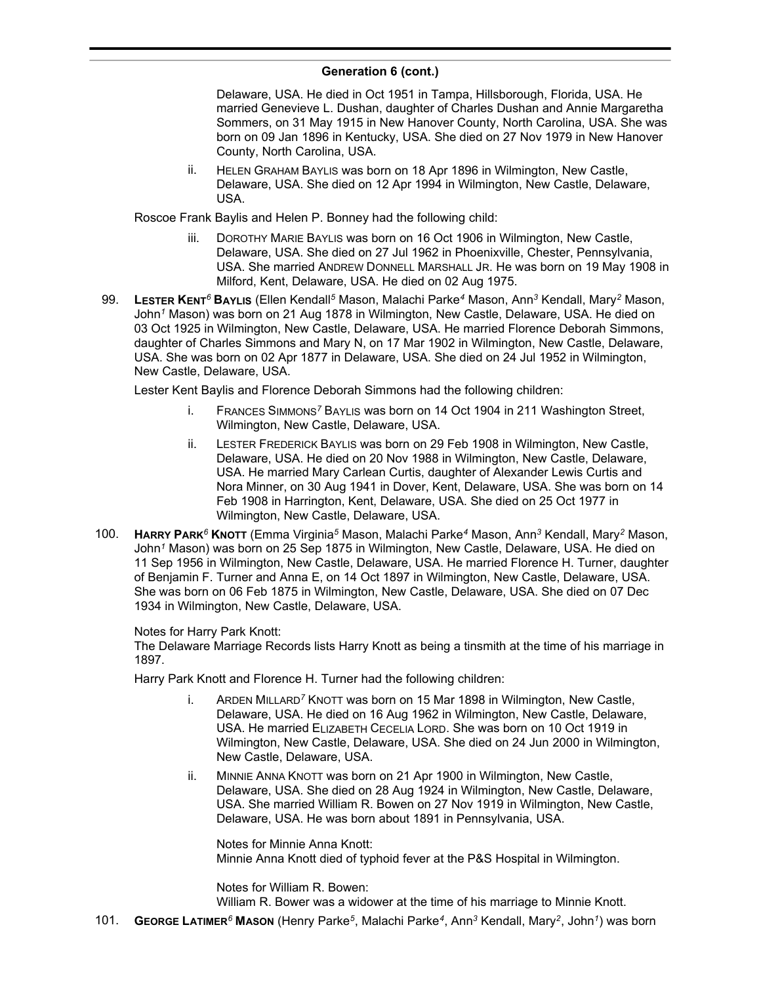Delaware, USA. He died in Oct 1951 in Tampa, Hillsborough, Florida, USA. He married Genevieve L. Dushan, daughter of Charles Dushan and Annie Margaretha Sommers, on 31 May 1915 in New Hanover County, North Carolina, USA. She was born on 09 Jan 1896 in Kentucky, USA. She died on 27 Nov 1979 in New Hanover County, North Carolina, USA.

ii. HELEN GRAHAM BAYLIS was born on 18 Apr 1896 in Wilmington, New Castle, Delaware, USA. She died on 12 Apr 1994 in Wilmington, New Castle, Delaware, USA.

Roscoe Frank Baylis and Helen P. Bonney had the following child:

- iii. DOROTHY MARIE BAYLIS was born on 16 Oct 1906 in Wilmington, New Castle, Delaware, USA. She died on 27 Jul 1962 in Phoenixville, Chester, Pennsylvania, USA. She married ANDREW DONNELL MARSHALL JR. He was born on 19 May 1908 in Milford, Kent, Delaware, USA. He died on 02 Aug 1975.
- 99. **LESTER KENT***<sup>6</sup>* **BAYLIS** (Ellen Kendall*<sup>5</sup>* Mason, Malachi Parke*<sup>4</sup>* Mason, Ann*<sup>3</sup>* Kendall, Mary*<sup>2</sup>* Mason, John*<sup>1</sup>* Mason) was born on 21 Aug 1878 in Wilmington, New Castle, Delaware, USA. He died on 03 Oct 1925 in Wilmington, New Castle, Delaware, USA. He married Florence Deborah Simmons, daughter of Charles Simmons and Mary N, on 17 Mar 1902 in Wilmington, New Castle, Delaware, USA. She was born on 02 Apr 1877 in Delaware, USA. She died on 24 Jul 1952 in Wilmington, New Castle, Delaware, USA.

Lester Kent Baylis and Florence Deborah Simmons had the following children:

- i. FRANCES SIMMONS*<sup>7</sup>* BAYLIS was born on 14 Oct 1904 in 211 Washington Street, Wilmington, New Castle, Delaware, USA.
- ii. LESTER FREDERICK BAYLIS was born on 29 Feb 1908 in Wilmington, New Castle, Delaware, USA. He died on 20 Nov 1988 in Wilmington, New Castle, Delaware, USA. He married Mary Carlean Curtis, daughter of Alexander Lewis Curtis and Nora Minner, on 30 Aug 1941 in Dover, Kent, Delaware, USA. She was born on 14 Feb 1908 in Harrington, Kent, Delaware, USA. She died on 25 Oct 1977 in Wilmington, New Castle, Delaware, USA.
- 100. **HARRY PARK***<sup>6</sup>* **KNOTT** (Emma Virginia*<sup>5</sup>* Mason, Malachi Parke*<sup>4</sup>* Mason, Ann*<sup>3</sup>* Kendall, Mary*<sup>2</sup>* Mason, John*<sup>1</sup>* Mason) was born on 25 Sep 1875 in Wilmington, New Castle, Delaware, USA. He died on 11 Sep 1956 in Wilmington, New Castle, Delaware, USA. He married Florence H. Turner, daughter of Benjamin F. Turner and Anna E, on 14 Oct 1897 in Wilmington, New Castle, Delaware, USA. She was born on 06 Feb 1875 in Wilmington, New Castle, Delaware, USA. She died on 07 Dec 1934 in Wilmington, New Castle, Delaware, USA.

### Notes for Harry Park Knott:

The Delaware Marriage Records lists Harry Knott as being a tinsmith at the time of his marriage in 1897.

Harry Park Knott and Florence H. Turner had the following children:

- i. ARDEN MILLARD<sup>7</sup> KNOTT was born on 15 Mar 1898 in Wilmington, New Castle, Delaware, USA. He died on 16 Aug 1962 in Wilmington, New Castle, Delaware, USA. He married ELIZABETH CECELIA LORD. She was born on 10 Oct 1919 in Wilmington, New Castle, Delaware, USA. She died on 24 Jun 2000 in Wilmington, New Castle, Delaware, USA.
- ii. MINNIE ANNA KNOTT was born on 21 Apr 1900 in Wilmington, New Castle, Delaware, USA. She died on 28 Aug 1924 in Wilmington, New Castle, Delaware, USA. She married William R. Bowen on 27 Nov 1919 in Wilmington, New Castle, Delaware, USA. He was born about 1891 in Pennsylvania, USA.

Notes for Minnie Anna Knott: Minnie Anna Knott died of typhoid fever at the P&S Hospital in Wilmington.

Notes for William R. Bowen: William R. Bower was a widower at the time of his marriage to Minnie Knott.

101. **GEORGE LATIMER***<sup>6</sup>* **MASON** (Henry Parke*<sup>5</sup>* , Malachi Parke*<sup>4</sup>* , Ann*<sup>3</sup>* Kendall, Mary*<sup>2</sup>* , John*<sup>1</sup>* ) was born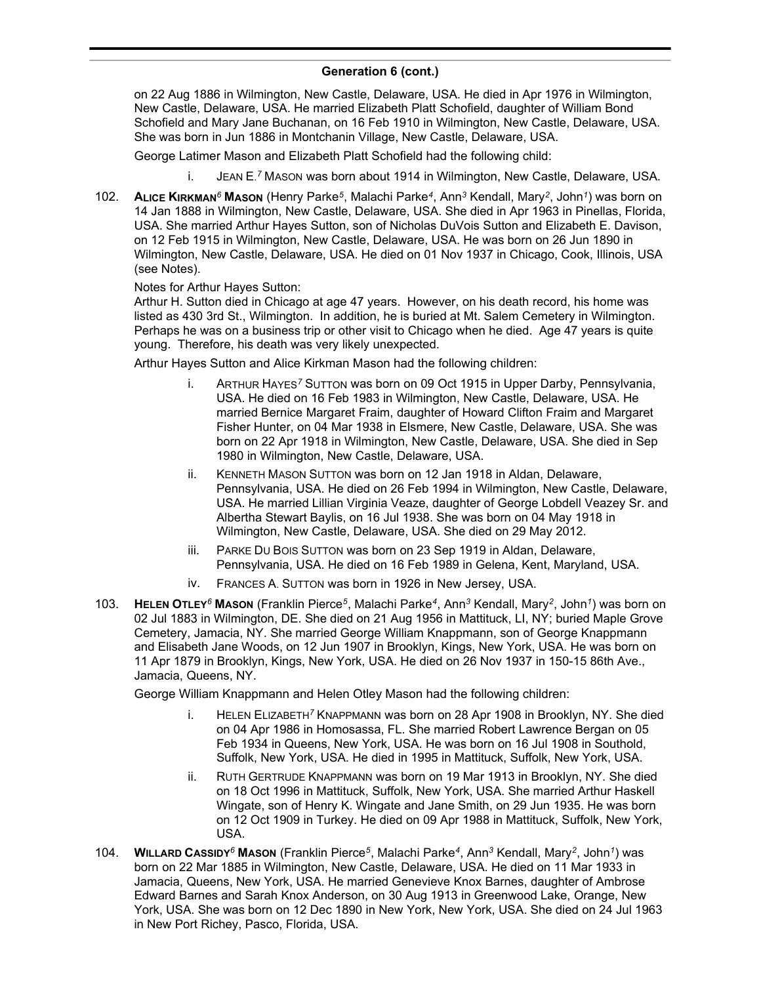on 22 Aug 1886 in Wilmington, New Castle, Delaware, USA. He died in Apr 1976 in Wilmington, New Castle, Delaware, USA. He married Elizabeth Platt Schofield, daughter of William Bond Schofield and Mary Jane Buchanan, on 16 Feb 1910 in Wilmington, New Castle, Delaware, USA. She was born in Jun 1886 in Montchanin Village, New Castle, Delaware, USA.

George Latimer Mason and Elizabeth Platt Schofield had the following child:

- i. JEAN E. *<sup>7</sup>* MASON was born about 1914 in Wilmington, New Castle, Delaware, USA.
- 102. **ALICE KIRKMAN***<sup>6</sup>* **MASON** (Henry Parke*<sup>5</sup>* , Malachi Parke*<sup>4</sup>* , Ann*<sup>3</sup>* Kendall, Mary*<sup>2</sup>* , John*<sup>1</sup>* ) was born on 14 Jan 1888 in Wilmington, New Castle, Delaware, USA. She died in Apr 1963 in Pinellas, Florida, USA. She married Arthur Hayes Sutton, son of Nicholas DuVois Sutton and Elizabeth E. Davison, on 12 Feb 1915 in Wilmington, New Castle, Delaware, USA. He was born on 26 Jun 1890 in Wilmington, New Castle, Delaware, USA. He died on 01 Nov 1937 in Chicago, Cook, Illinois, USA (see Notes).

### Notes for Arthur Hayes Sutton:

Arthur H. Sutton died in Chicago at age 47 years. However, on his death record, his home was listed as 430 3rd St., Wilmington. In addition, he is buried at Mt. Salem Cemetery in Wilmington. Perhaps he was on a business trip or other visit to Chicago when he died. Age 47 years is quite young. Therefore, his death was very likely unexpected.

Arthur Hayes Sutton and Alice Kirkman Mason had the following children:

- i. ARTHUR HAYES*<sup>7</sup>* SUTTON was born on 09 Oct 1915 in Upper Darby, Pennsylvania, USA. He died on 16 Feb 1983 in Wilmington, New Castle, Delaware, USA. He married Bernice Margaret Fraim, daughter of Howard Clifton Fraim and Margaret Fisher Hunter, on 04 Mar 1938 in Elsmere, New Castle, Delaware, USA. She was born on 22 Apr 1918 in Wilmington, New Castle, Delaware, USA. She died in Sep 1980 in Wilmington, New Castle, Delaware, USA.
- ii. KENNETH MASON SUTTON was born on 12 Jan 1918 in Aldan, Delaware, Pennsylvania, USA. He died on 26 Feb 1994 in Wilmington, New Castle, Delaware, USA. He married Lillian Virginia Veaze, daughter of George Lobdell Veazey Sr. and Albertha Stewart Baylis, on 16 Jul 1938. She was born on 04 May 1918 in Wilmington, New Castle, Delaware, USA. She died on 29 May 2012.
- iii. PARKE DU BOIS SUTTON was born on 23 Sep 1919 in Aldan, Delaware, Pennsylvania, USA. He died on 16 Feb 1989 in Gelena, Kent, Maryland, USA.
- iv. FRANCES A. SUTTON was born in 1926 in New Jersey, USA.
- 103. **HELEN OTLEY***<sup>6</sup>* **MASON** (Franklin Pierce*<sup>5</sup>* , Malachi Parke*<sup>4</sup>* , Ann*<sup>3</sup>* Kendall, Mary*<sup>2</sup>* , John*<sup>1</sup>* ) was born on 02 Jul 1883 in Wilmington, DE. She died on 21 Aug 1956 in Mattituck, LI, NY; buried Maple Grove Cemetery, Jamacia, NY. She married George William Knappmann, son of George Knappmann and Elisabeth Jane Woods, on 12 Jun 1907 in Brooklyn, Kings, New York, USA. He was born on 11 Apr 1879 in Brooklyn, Kings, New York, USA. He died on 26 Nov 1937 in 150-15 86th Ave., Jamacia, Queens, NY.

George William Knappmann and Helen Otley Mason had the following children:

- i. HELEN ELIZABETH*<sup>7</sup>* KNAPPMANN was born on 28 Apr 1908 in Brooklyn, NY. She died on 04 Apr 1986 in Homosassa, FL. She married Robert Lawrence Bergan on 05 Feb 1934 in Queens, New York, USA. He was born on 16 Jul 1908 in Southold, Suffolk, New York, USA. He died in 1995 in Mattituck, Suffolk, New York, USA.
- ii. RUTH GERTRUDE KNAPPMANN was born on 19 Mar 1913 in Brooklyn, NY. She died on 18 Oct 1996 in Mattituck, Suffolk, New York, USA. She married Arthur Haskell Wingate, son of Henry K. Wingate and Jane Smith, on 29 Jun 1935. He was born on 12 Oct 1909 in Turkey. He died on 09 Apr 1988 in Mattituck, Suffolk, New York, USA.
- 104. **WILLARD CASSIDY***<sup>6</sup>* **MASON** (Franklin Pierce*<sup>5</sup>* , Malachi Parke*<sup>4</sup>* , Ann*<sup>3</sup>* Kendall, Mary*<sup>2</sup>* , John*<sup>1</sup>* ) was born on 22 Mar 1885 in Wilmington, New Castle, Delaware, USA. He died on 11 Mar 1933 in Jamacia, Queens, New York, USA. He married Genevieve Knox Barnes, daughter of Ambrose Edward Barnes and Sarah Knox Anderson, on 30 Aug 1913 in Greenwood Lake, Orange, New York, USA. She was born on 12 Dec 1890 in New York, New York, USA. She died on 24 Jul 1963 in New Port Richey, Pasco, Florida, USA.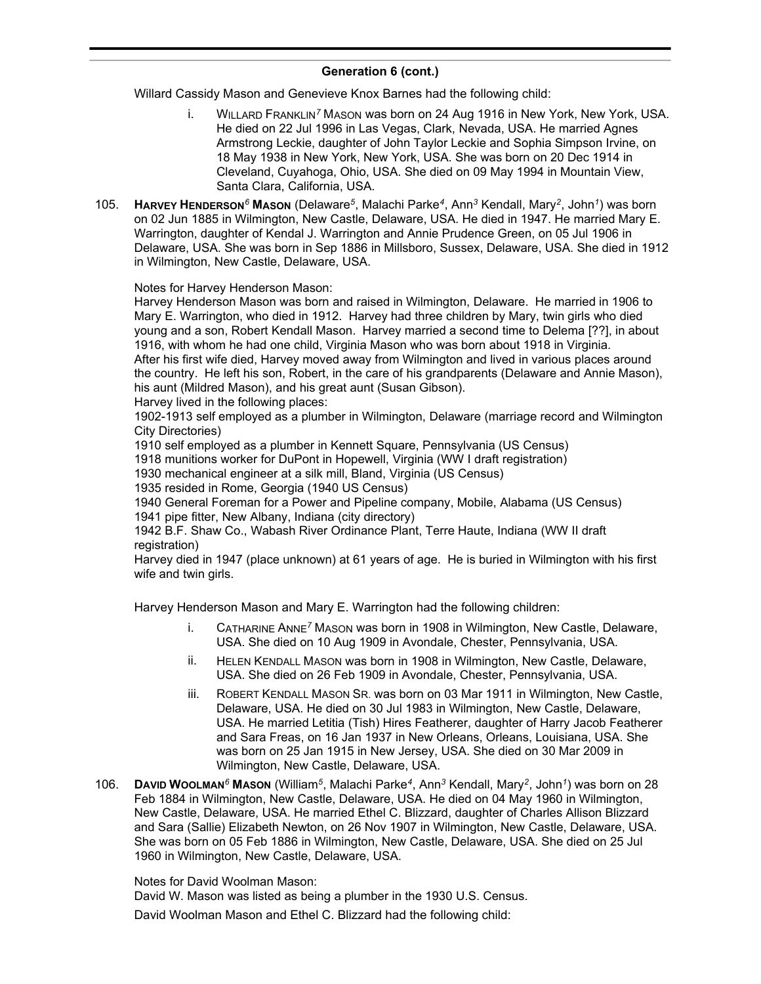Willard Cassidy Mason and Genevieve Knox Barnes had the following child:

- i. WILLARD FRANKLIN*<sup>7</sup>* MASON was born on 24 Aug 1916 in New York, New York, USA. He died on 22 Jul 1996 in Las Vegas, Clark, Nevada, USA. He married Agnes Armstrong Leckie, daughter of John Taylor Leckie and Sophia Simpson Irvine, on 18 May 1938 in New York, New York, USA. She was born on 20 Dec 1914 in Cleveland, Cuyahoga, Ohio, USA. She died on 09 May 1994 in Mountain View, Santa Clara, California, USA.
- 105. **HARVEY HENDERSON***<sup>6</sup>* **MASON** (Delaware*<sup>5</sup>* , Malachi Parke*<sup>4</sup>* , Ann*<sup>3</sup>* Kendall, Mary*<sup>2</sup>* , John*<sup>1</sup>* ) was born on 02 Jun 1885 in Wilmington, New Castle, Delaware, USA. He died in 1947. He married Mary E. Warrington, daughter of Kendal J. Warrington and Annie Prudence Green, on 05 Jul 1906 in Delaware, USA. She was born in Sep 1886 in Millsboro, Sussex, Delaware, USA. She died in 1912 in Wilmington, New Castle, Delaware, USA.

Notes for Harvey Henderson Mason:

Harvey Henderson Mason was born and raised in Wilmington, Delaware. He married in 1906 to Mary E. Warrington, who died in 1912. Harvey had three children by Mary, twin girls who died young and a son, Robert Kendall Mason. Harvey married a second time to Delema [??], in about 1916, with whom he had one child, Virginia Mason who was born about 1918 in Virginia. After his first wife died, Harvey moved away from Wilmington and lived in various places around the country. He left his son, Robert, in the care of his grandparents (Delaware and Annie Mason), his aunt (Mildred Mason), and his great aunt (Susan Gibson). Harvey lived in the following places:

1902-1913 self employed as a plumber in Wilmington, Delaware (marriage record and Wilmington City Directories)

1910 self employed as a plumber in Kennett Square, Pennsylvania (US Census)

1918 munitions worker for DuPont in Hopewell, Virginia (WW I draft registration)

1930 mechanical engineer at a silk mill, Bland, Virginia (US Census)

1935 resided in Rome, Georgia (1940 US Census)

1940 General Foreman for a Power and Pipeline company, Mobile, Alabama (US Census) 1941 pipe fitter, New Albany, Indiana (city directory)

1942 B.F. Shaw Co., Wabash River Ordinance Plant, Terre Haute, Indiana (WW II draft registration)

Harvey died in 1947 (place unknown) at 61 years of age. He is buried in Wilmington with his first wife and twin girls.

Harvey Henderson Mason and Mary E. Warrington had the following children:

- i. CATHARINE ANNE*<sup>7</sup>* MASON was born in 1908 in Wilmington, New Castle, Delaware, USA. She died on 10 Aug 1909 in Avondale, Chester, Pennsylvania, USA.
- ii. HELEN KENDALL MASON was born in 1908 in Wilmington, New Castle, Delaware, USA. She died on 26 Feb 1909 in Avondale, Chester, Pennsylvania, USA.
- iii. ROBERT KENDALL MASON SR. was born on 03 Mar 1911 in Wilmington, New Castle, Delaware, USA. He died on 30 Jul 1983 in Wilmington, New Castle, Delaware, USA. He married Letitia (Tish) Hires Featherer, daughter of Harry Jacob Featherer and Sara Freas, on 16 Jan 1937 in New Orleans, Orleans, Louisiana, USA. She was born on 25 Jan 1915 in New Jersey, USA. She died on 30 Mar 2009 in Wilmington, New Castle, Delaware, USA.
- 106. **DAVID WOOLMAN***<sup>6</sup>* **MASON** (William*<sup>5</sup>* , Malachi Parke*<sup>4</sup>* , Ann*<sup>3</sup>* Kendall, Mary*<sup>2</sup>* , John*<sup>1</sup>* ) was born on 28 Feb 1884 in Wilmington, New Castle, Delaware, USA. He died on 04 May 1960 in Wilmington, New Castle, Delaware, USA. He married Ethel C. Blizzard, daughter of Charles Allison Blizzard and Sara (Sallie) Elizabeth Newton, on 26 Nov 1907 in Wilmington, New Castle, Delaware, USA. She was born on 05 Feb 1886 in Wilmington, New Castle, Delaware, USA. She died on 25 Jul 1960 in Wilmington, New Castle, Delaware, USA.

Notes for David Woolman Mason:

David W. Mason was listed as being a plumber in the 1930 U.S. Census. David Woolman Mason and Ethel C. Blizzard had the following child: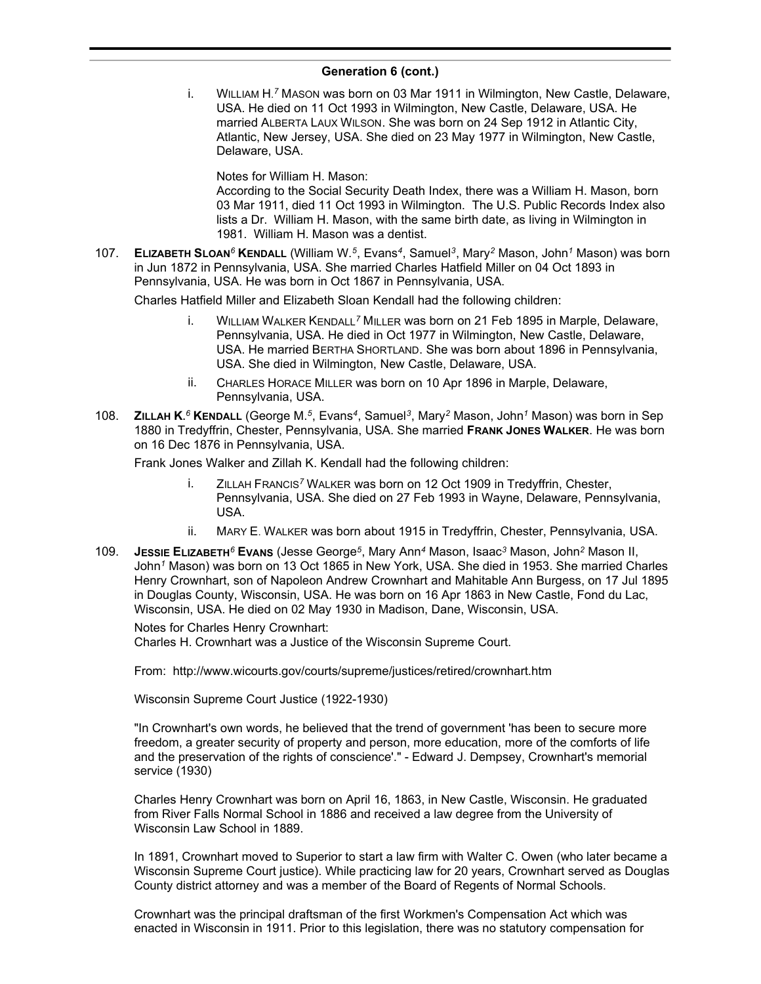i. WILLIAM H. *<sup>7</sup>* MASON was born on 03 Mar 1911 in Wilmington, New Castle, Delaware, USA. He died on 11 Oct 1993 in Wilmington, New Castle, Delaware, USA. He married ALBERTA LAUX WILSON. She was born on 24 Sep 1912 in Atlantic City, Atlantic, New Jersey, USA. She died on 23 May 1977 in Wilmington, New Castle, Delaware, USA.

Notes for William H. Mason:

According to the Social Security Death Index, there was a William H. Mason, born 03 Mar 1911, died 11 Oct 1993 in Wilmington. The U.S. Public Records Index also lists a Dr. William H. Mason, with the same birth date, as living in Wilmington in 1981. William H. Mason was a dentist.

107. **ELIZABETH SLOAN***<sup>6</sup>* **KENDALL** (William W.*<sup>5</sup>* , Evans*<sup>4</sup>* , Samuel*<sup>3</sup>* , Mary*<sup>2</sup>* Mason, John*<sup>1</sup>* Mason) was born in Jun 1872 in Pennsylvania, USA. She married Charles Hatfield Miller on 04 Oct 1893 in Pennsylvania, USA. He was born in Oct 1867 in Pennsylvania, USA.

Charles Hatfield Miller and Elizabeth Sloan Kendall had the following children:

- i. WILLIAM WALKER KENDALL*<sup>7</sup>* MILLER was born on 21 Feb 1895 in Marple, Delaware, Pennsylvania, USA. He died in Oct 1977 in Wilmington, New Castle, Delaware, USA. He married BERTHA SHORTLAND. She was born about 1896 in Pennsylvania, USA. She died in Wilmington, New Castle, Delaware, USA.
- ii. CHARLES HORACE MILLER was born on 10 Apr 1896 in Marple, Delaware, Pennsylvania, USA.
- 108. **ZILLAH K.** *<sup>6</sup>* **KENDALL** (George M.*<sup>5</sup>* , Evans*<sup>4</sup>* , Samuel*<sup>3</sup>* , Mary*<sup>2</sup>* Mason, John*<sup>1</sup>* Mason) was born in Sep 1880 in Tredyffrin, Chester, Pennsylvania, USA. She married **FRANK JONES WALKER**. He was born on 16 Dec 1876 in Pennsylvania, USA.

Frank Jones Walker and Zillah K. Kendall had the following children:

- i. ZILLAH FRANCIS*<sup>7</sup>* WALKER was born on 12 Oct 1909 in Tredyffrin, Chester, Pennsylvania, USA. She died on 27 Feb 1993 in Wayne, Delaware, Pennsylvania, USA.
- ii. MARY E. WALKER was born about 1915 in Tredyffrin, Chester, Pennsylvania, USA.
- 109. **JESSIE ELIZABETH***<sup>6</sup>* **EVANS** (Jesse George*<sup>5</sup>* , Mary Ann*<sup>4</sup>* Mason, Isaac*<sup>3</sup>* Mason, John*<sup>2</sup>* Mason II, John*<sup>1</sup>* Mason) was born on 13 Oct 1865 in New York, USA. She died in 1953. She married Charles Henry Crownhart, son of Napoleon Andrew Crownhart and Mahitable Ann Burgess, on 17 Jul 1895 in Douglas County, Wisconsin, USA. He was born on 16 Apr 1863 in New Castle, Fond du Lac, Wisconsin, USA. He died on 02 May 1930 in Madison, Dane, Wisconsin, USA.

Notes for Charles Henry Crownhart:

Charles H. Crownhart was a Justice of the Wisconsin Supreme Court.

From: http://www.wicourts.gov/courts/supreme/justices/retired/crownhart.htm

Wisconsin Supreme Court Justice (1922-1930)

"In Crownhart's own words, he believed that the trend of government 'has been to secure more freedom, a greater security of property and person, more education, more of the comforts of life and the preservation of the rights of conscience'." - Edward J. Dempsey, Crownhart's memorial service (1930)

Charles Henry Crownhart was born on April 16, 1863, in New Castle, Wisconsin. He graduated from River Falls Normal School in 1886 and received a law degree from the University of Wisconsin Law School in 1889.

In 1891, Crownhart moved to Superior to start a law firm with Walter C. Owen (who later became a Wisconsin Supreme Court justice). While practicing law for 20 years, Crownhart served as Douglas County district attorney and was a member of the Board of Regents of Normal Schools.

Crownhart was the principal draftsman of the first Workmen's Compensation Act which was enacted in Wisconsin in 1911. Prior to this legislation, there was no statutory compensation for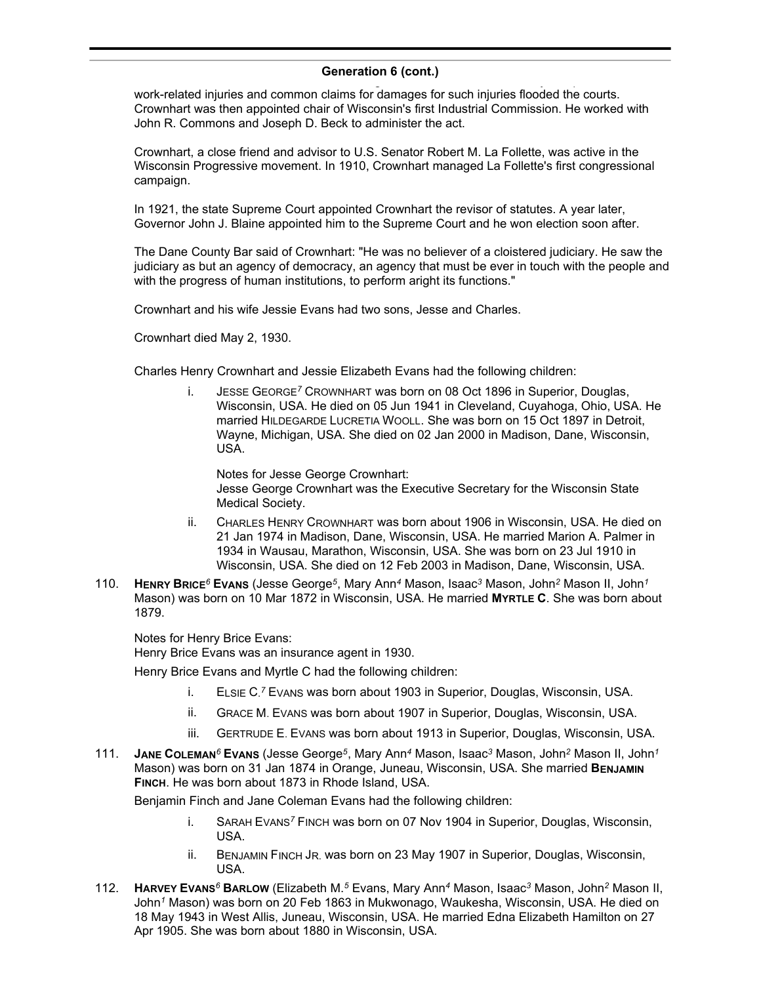work-related injuries and common claims for damages for such injuries flooded the courts. Crownhart was then appointed chair of Wisconsin's first Industrial Commission. He worked with John R. Commons and Joseph D. Beck to administer the act.

Crownhart, a close friend and advisor to U.S. Senator Robert M. La Follette, was active in the Wisconsin Progressive movement. In 1910, Crownhart managed La Follette's first congressional campaign.

In 1921, the state Supreme Court appointed Crownhart the revisor of statutes. A year later, Governor John J. Blaine appointed him to the Supreme Court and he won election soon after.

The Dane County Bar said of Crownhart: "He was no believer of a cloistered judiciary. He saw the judiciary as but an agency of democracy, an agency that must be ever in touch with the people and with the progress of human institutions, to perform aright its functions."

Crownhart and his wife Jessie Evans had two sons, Jesse and Charles.

Crownhart died May 2, 1930.

Charles Henry Crownhart and Jessie Elizabeth Evans had the following children:

i. JESSE GEORGE*<sup>7</sup>* CROWNHART was born on 08 Oct 1896 in Superior, Douglas, Wisconsin, USA. He died on 05 Jun 1941 in Cleveland, Cuyahoga, Ohio, USA. He married HILDEGARDE LUCRETIA WOOLL. She was born on 15 Oct 1897 in Detroit, Wayne, Michigan, USA. She died on 02 Jan 2000 in Madison, Dane, Wisconsin, USA.

Notes for Jesse George Crownhart: Jesse George Crownhart was the Executive Secretary for the Wisconsin State Medical Society.

- ii. CHARLES HENRY CROWNHART was born about 1906 in Wisconsin, USA. He died on 21 Jan 1974 in Madison, Dane, Wisconsin, USA. He married Marion A. Palmer in 1934 in Wausau, Marathon, Wisconsin, USA. She was born on 23 Jul 1910 in Wisconsin, USA. She died on 12 Feb 2003 in Madison, Dane, Wisconsin, USA.
- 110. **HENRY BRICE***<sup>6</sup>* **EVANS** (Jesse George*<sup>5</sup>* , Mary Ann*<sup>4</sup>* Mason, Isaac*<sup>3</sup>* Mason, John*<sup>2</sup>* Mason II, John*<sup>1</sup>* Mason) was born on 10 Mar 1872 in Wisconsin, USA. He married **MYRTLE C**. She was born about 1879.

Notes for Henry Brice Evans:

Henry Brice Evans was an insurance agent in 1930.

Henry Brice Evans and Myrtle C had the following children:

- i. ELSIE C.<sup>7</sup> Evans was born about 1903 in Superior, Douglas, Wisconsin, USA.
- ii. GRACE M. EVANS was born about 1907 in Superior, Douglas, Wisconsin, USA.
- iii. GERTRUDE E. EVANS was born about 1913 in Superior, Douglas, Wisconsin, USA.
- 111. **JANE COLEMAN***<sup>6</sup>* **EVANS** (Jesse George*<sup>5</sup>* , Mary Ann*<sup>4</sup>* Mason, Isaac*<sup>3</sup>* Mason, John*<sup>2</sup>* Mason II, John*<sup>1</sup>* Mason) was born on 31 Jan 1874 in Orange, Juneau, Wisconsin, USA. She married **BENJAMIN FINCH**. He was born about 1873 in Rhode Island, USA.

Benjamin Finch and Jane Coleman Evans had the following children:

- i. SARAH EVANS*<sup>7</sup>* FINCH was born on 07 Nov 1904 in Superior, Douglas, Wisconsin, USA.
- ii. BENJAMIN FINCH JR. was born on 23 May 1907 in Superior, Douglas, Wisconsin, USA.
- 112. **HARVEY EVANS***<sup>6</sup>* **BARLOW** (Elizabeth M.*<sup>5</sup>* Evans, Mary Ann*<sup>4</sup>* Mason, Isaac*<sup>3</sup>* Mason, John*<sup>2</sup>* Mason II, John*<sup>1</sup>* Mason) was born on 20 Feb 1863 in Mukwonago, Waukesha, Wisconsin, USA. He died on 18 May 1943 in West Allis, Juneau, Wisconsin, USA. He married Edna Elizabeth Hamilton on 27 Apr 1905. She was born about 1880 in Wisconsin, USA.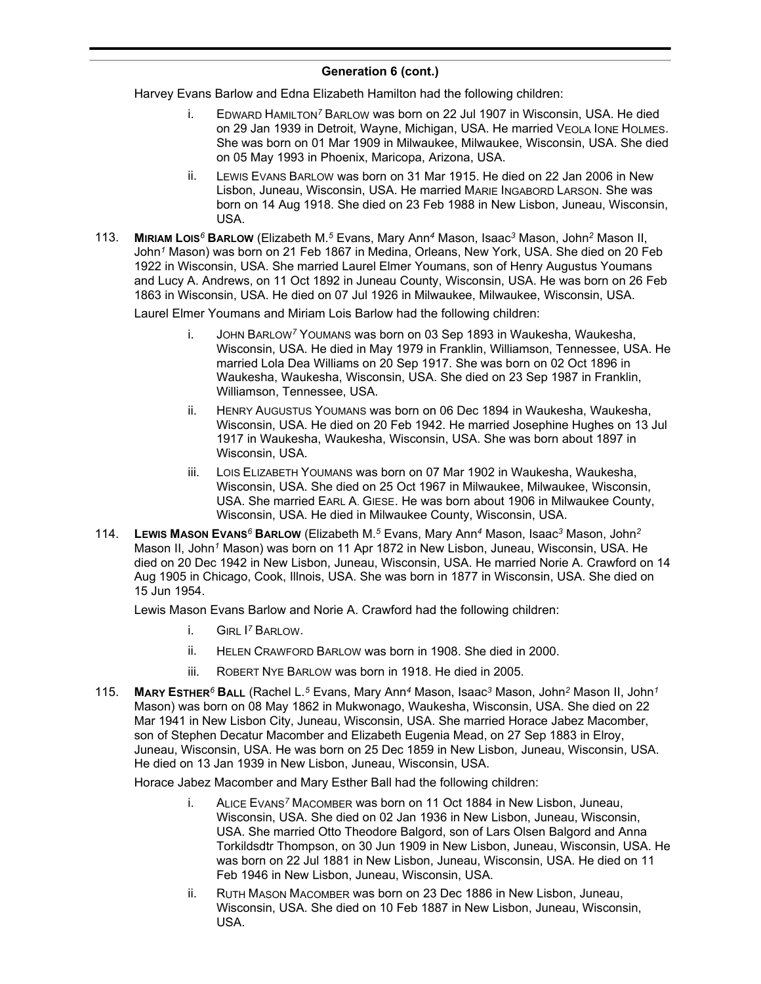Harvey Evans Barlow and Edna Elizabeth Hamilton had the following children:

- i. EDWARD HAMILTON*<sup>7</sup>* BARLOW was born on 22 Jul 1907 in Wisconsin, USA. He died on 29 Jan 1939 in Detroit, Wayne, Michigan, USA. He married VEOLA IONE HOLMES. She was born on 01 Mar 1909 in Milwaukee, Milwaukee, Wisconsin, USA. She died on 05 May 1993 in Phoenix, Maricopa, Arizona, USA.
- ii. LEWIS EVANS BARLOW was born on 31 Mar 1915. He died on 22 Jan 2006 in New Lisbon, Juneau, Wisconsin, USA. He married MARIE INGABORD LARSON. She was born on 14 Aug 1918. She died on 23 Feb 1988 in New Lisbon, Juneau, Wisconsin, USA.
- 113. **MIRIAM LOIS***<sup>6</sup>* **BARLOW** (Elizabeth M.*<sup>5</sup>* Evans, Mary Ann*<sup>4</sup>* Mason, Isaac*<sup>3</sup>* Mason, John*<sup>2</sup>* Mason II, John*<sup>1</sup>* Mason) was born on 21 Feb 1867 in Medina, Orleans, New York, USA. She died on 20 Feb 1922 in Wisconsin, USA. She married Laurel Elmer Youmans, son of Henry Augustus Youmans and Lucy A. Andrews, on 11 Oct 1892 in Juneau County, Wisconsin, USA. He was born on 26 Feb 1863 in Wisconsin, USA. He died on 07 Jul 1926 in Milwaukee, Milwaukee, Wisconsin, USA.

Laurel Elmer Youmans and Miriam Lois Barlow had the following children:

- i. JOHN BARLOW*<sup>7</sup>* YOUMANS was born on 03 Sep 1893 in Waukesha, Waukesha, Wisconsin, USA. He died in May 1979 in Franklin, Williamson, Tennessee, USA. He married Lola Dea Williams on 20 Sep 1917. She was born on 02 Oct 1896 in Waukesha, Waukesha, Wisconsin, USA. She died on 23 Sep 1987 in Franklin, Williamson, Tennessee, USA.
- ii. HENRY AUGUSTUS YOUMANS was born on 06 Dec 1894 in Waukesha, Waukesha, Wisconsin, USA. He died on 20 Feb 1942. He married Josephine Hughes on 13 Jul 1917 in Waukesha, Waukesha, Wisconsin, USA. She was born about 1897 in Wisconsin, USA.
- iii. LOIS ELIZABETH YOUMANS was born on 07 Mar 1902 in Waukesha, Waukesha, Wisconsin, USA. She died on 25 Oct 1967 in Milwaukee, Milwaukee, Wisconsin, USA. She married EARL A. GIESE. He was born about 1906 in Milwaukee County, Wisconsin, USA. He died in Milwaukee County, Wisconsin, USA.
- 114. **LEWIS MASON EVANS***<sup>6</sup>* **BARLOW** (Elizabeth M.*<sup>5</sup>* Evans, Mary Ann*<sup>4</sup>* Mason, Isaac*<sup>3</sup>* Mason, John*<sup>2</sup>* Mason II, John*<sup>1</sup>* Mason) was born on 11 Apr 1872 in New Lisbon, Juneau, Wisconsin, USA. He died on 20 Dec 1942 in New Lisbon, Juneau, Wisconsin, USA. He married Norie A. Crawford on 14 Aug 1905 in Chicago, Cook, Illnois, USA. She was born in 1877 in Wisconsin, USA. She died on 15 Jun 1954.

Lewis Mason Evans Barlow and Norie A. Crawford had the following children:

- i. GIRL I *<sup>7</sup>* BARLOW.
- ii. HELEN CRAWFORD BARLOW was born in 1908. She died in 2000.
- iii. ROBERT NYE BARLOW was born in 1918. He died in 2005.
- 115. **MARY ESTHER***<sup>6</sup>* **BALL** (Rachel L.*<sup>5</sup>* Evans, Mary Ann*<sup>4</sup>* Mason, Isaac*<sup>3</sup>* Mason, John*<sup>2</sup>* Mason II, John*<sup>1</sup>* Mason) was born on 08 May 1862 in Mukwonago, Waukesha, Wisconsin, USA. She died on 22 Mar 1941 in New Lisbon City, Juneau, Wisconsin, USA. She married Horace Jabez Macomber, son of Stephen Decatur Macomber and Elizabeth Eugenia Mead, on 27 Sep 1883 in Elroy, Juneau, Wisconsin, USA. He was born on 25 Dec 1859 in New Lisbon, Juneau, Wisconsin, USA. He died on 13 Jan 1939 in New Lisbon, Juneau, Wisconsin, USA.

Horace Jabez Macomber and Mary Esther Ball had the following children:

- i. ALICE EVANS*<sup>7</sup>* MACOMBER was born on 11 Oct 1884 in New Lisbon, Juneau, Wisconsin, USA. She died on 02 Jan 1936 in New Lisbon, Juneau, Wisconsin, USA. She married Otto Theodore Balgord, son of Lars Olsen Balgord and Anna Torkildsdtr Thompson, on 30 Jun 1909 in New Lisbon, Juneau, Wisconsin, USA. He was born on 22 Jul 1881 in New Lisbon, Juneau, Wisconsin, USA. He died on 11 Feb 1946 in New Lisbon, Juneau, Wisconsin, USA.
- ii. RUTH MASON MACOMBER was born on 23 Dec 1886 in New Lisbon, Juneau, Wisconsin, USA. She died on 10 Feb 1887 in New Lisbon, Juneau, Wisconsin, USA.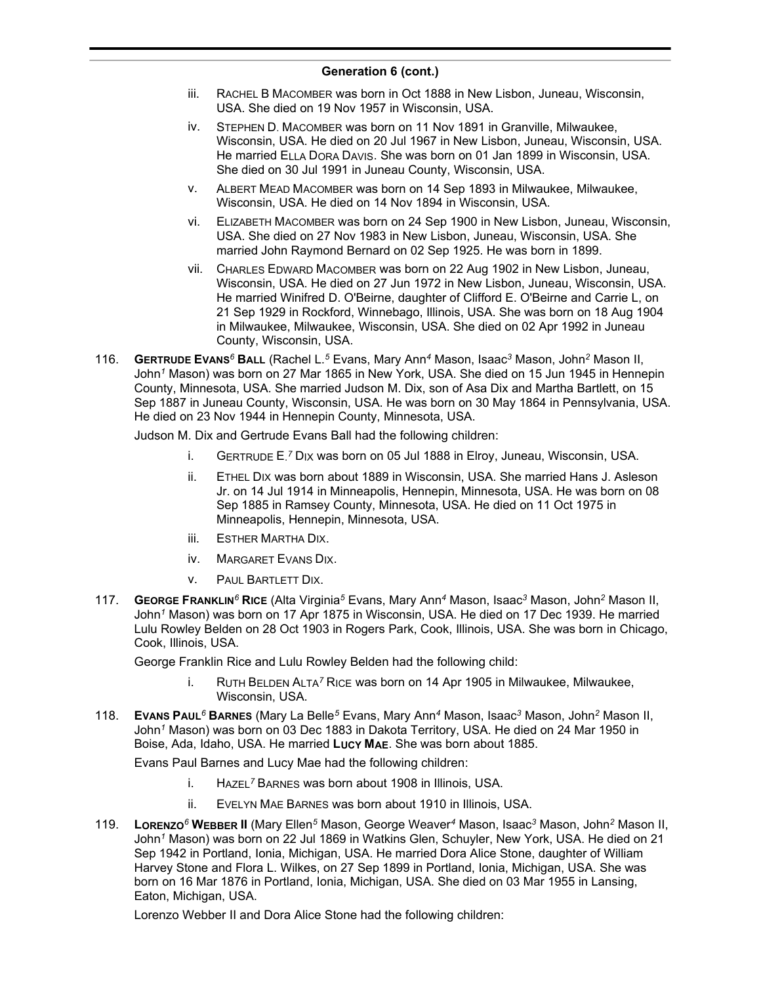- iii. RACHEL B MACOMBER was born in Oct 1888 in New Lisbon, Juneau, Wisconsin, USA. She died on 19 Nov 1957 in Wisconsin, USA.
- iv. STEPHEN D. MACOMBER was born on 11 Nov 1891 in Granville, Milwaukee, Wisconsin, USA. He died on 20 Jul 1967 in New Lisbon, Juneau, Wisconsin, USA. He married ELLA DORA DAVIS. She was born on 01 Jan 1899 in Wisconsin, USA. She died on 30 Jul 1991 in Juneau County, Wisconsin, USA.
- v. ALBERT MEAD MACOMBER was born on 14 Sep 1893 in Milwaukee, Milwaukee, Wisconsin, USA. He died on 14 Nov 1894 in Wisconsin, USA.
- vi. ELIZABETH MACOMBER was born on 24 Sep 1900 in New Lisbon, Juneau, Wisconsin, USA. She died on 27 Nov 1983 in New Lisbon, Juneau, Wisconsin, USA. She married John Raymond Bernard on 02 Sep 1925. He was born in 1899.
- vii. CHARLES EDWARD MACOMBER was born on 22 Aug 1902 in New Lisbon, Juneau, Wisconsin, USA. He died on 27 Jun 1972 in New Lisbon, Juneau, Wisconsin, USA. He married Winifred D. O'Beirne, daughter of Clifford E. O'Beirne and Carrie L, on 21 Sep 1929 in Rockford, Winnebago, Illinois, USA. She was born on 18 Aug 1904 in Milwaukee, Milwaukee, Wisconsin, USA. She died on 02 Apr 1992 in Juneau County, Wisconsin, USA.
- 116. **GERTRUDE EVANS***<sup>6</sup>* **BALL** (Rachel L.*<sup>5</sup>* Evans, Mary Ann*<sup>4</sup>* Mason, Isaac*<sup>3</sup>* Mason, John*<sup>2</sup>* Mason II, John*<sup>1</sup>* Mason) was born on 27 Mar 1865 in New York, USA. She died on 15 Jun 1945 in Hennepin County, Minnesota, USA. She married Judson M. Dix, son of Asa Dix and Martha Bartlett, on 15 Sep 1887 in Juneau County, Wisconsin, USA. He was born on 30 May 1864 in Pennsylvania, USA. He died on 23 Nov 1944 in Hennepin County, Minnesota, USA.

Judson M. Dix and Gertrude Evans Ball had the following children:

- i. GERTRUDE E. *<sup>7</sup>* DIX was born on 05 Jul 1888 in Elroy, Juneau, Wisconsin, USA.
- ii. ETHEL DIX was born about 1889 in Wisconsin, USA. She married Hans J. Asleson Jr. on 14 Jul 1914 in Minneapolis, Hennepin, Minnesota, USA. He was born on 08 Sep 1885 in Ramsey County, Minnesota, USA. He died on 11 Oct 1975 in Minneapolis, Hennepin, Minnesota, USA.
- iii. ESTHER MARTHA DIX.
- iv. MARGARET EVANS DIX.
- v. PAUL BARTLETT DIX.
- 117. **GEORGE FRANKLIN***<sup>6</sup>* **RICE** (Alta Virginia*<sup>5</sup>* Evans, Mary Ann*<sup>4</sup>* Mason, Isaac*<sup>3</sup>* Mason, John*<sup>2</sup>* Mason II, John*<sup>1</sup>* Mason) was born on 17 Apr 1875 in Wisconsin, USA. He died on 17 Dec 1939. He married Lulu Rowley Belden on 28 Oct 1903 in Rogers Park, Cook, Illinois, USA. She was born in Chicago, Cook, Illinois, USA.

George Franklin Rice and Lulu Rowley Belden had the following child:

- i. RUTH BELDEN ALTA*<sup>7</sup>* RICE was born on 14 Apr 1905 in Milwaukee, Milwaukee, Wisconsin, USA.
- 118. **EVANS PAUL***<sup>6</sup>* **BARNES** (Mary La Belle*<sup>5</sup>* Evans, Mary Ann*<sup>4</sup>* Mason, Isaac*<sup>3</sup>* Mason, John*<sup>2</sup>* Mason II, John*<sup>1</sup>* Mason) was born on 03 Dec 1883 in Dakota Territory, USA. He died on 24 Mar 1950 in Boise, Ada, Idaho, USA. He married **LUCY MAE**. She was born about 1885.

Evans Paul Barnes and Lucy Mae had the following children:

- i. HAZEL*<sup>7</sup>* BARNES was born about 1908 in Illinois, USA.
- ii. EVELYN MAE BARNES was born about 1910 in Illinois, USA.
- 119. **LORENZO***<sup>6</sup>* **WEBBER II** (Mary Ellen*<sup>5</sup>* Mason, George Weaver*<sup>4</sup>* Mason, Isaac*<sup>3</sup>* Mason, John*<sup>2</sup>* Mason II, John*<sup>1</sup>* Mason) was born on 22 Jul 1869 in Watkins Glen, Schuyler, New York, USA. He died on 21 Sep 1942 in Portland, Ionia, Michigan, USA. He married Dora Alice Stone, daughter of William Harvey Stone and Flora L. Wilkes, on 27 Sep 1899 in Portland, Ionia, Michigan, USA. She was born on 16 Mar 1876 in Portland, Ionia, Michigan, USA. She died on 03 Mar 1955 in Lansing, Eaton, Michigan, USA.

Lorenzo Webber II and Dora Alice Stone had the following children: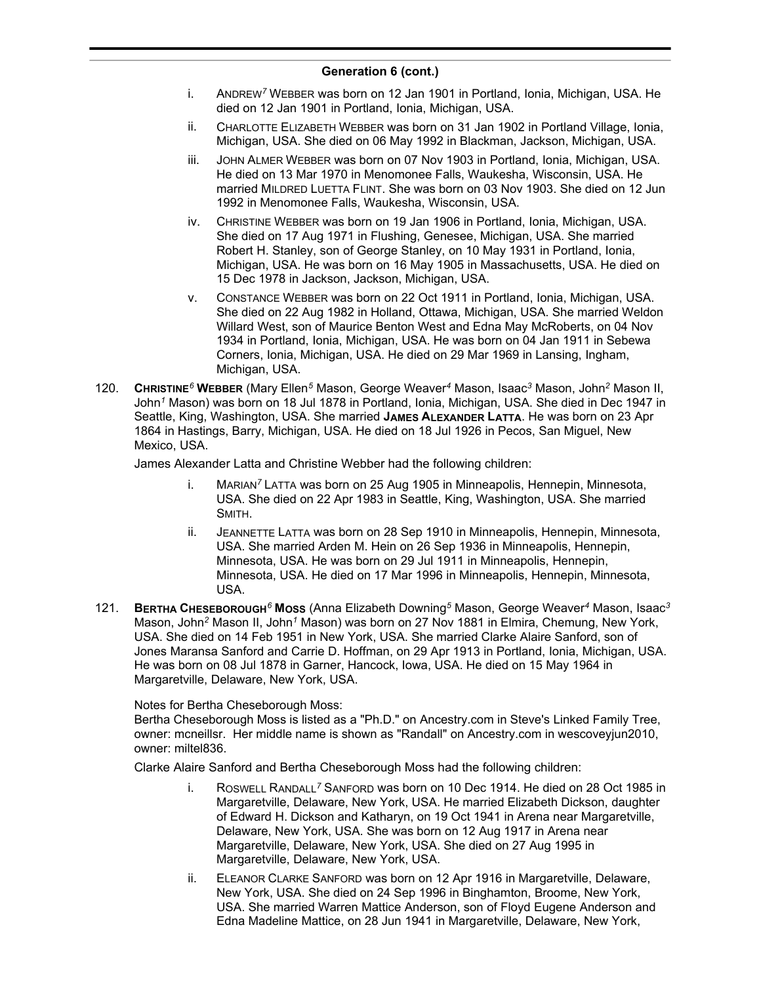- i. ANDREW*<sup>7</sup>* WEBBER was born on 12 Jan 1901 in Portland, Ionia, Michigan, USA. He died on 12 Jan 1901 in Portland, Ionia, Michigan, USA.
- ii. CHARLOTTE ELIZABETH WEBBER was born on 31 Jan 1902 in Portland Village, Ionia, Michigan, USA. She died on 06 May 1992 in Blackman, Jackson, Michigan, USA.
- iii. JOHN ALMER WEBBER was born on 07 Nov 1903 in Portland, Ionia, Michigan, USA. He died on 13 Mar 1970 in Menomonee Falls, Waukesha, Wisconsin, USA. He married MILDRED LUETTA FLINT. She was born on 03 Nov 1903. She died on 12 Jun 1992 in Menomonee Falls, Waukesha, Wisconsin, USA.
- iv. CHRISTINE WEBBER was born on 19 Jan 1906 in Portland, Ionia, Michigan, USA. She died on 17 Aug 1971 in Flushing, Genesee, Michigan, USA. She married Robert H. Stanley, son of George Stanley, on 10 May 1931 in Portland, Ionia, Michigan, USA. He was born on 16 May 1905 in Massachusetts, USA. He died on 15 Dec 1978 in Jackson, Jackson, Michigan, USA.
- v. CONSTANCE WEBBER was born on 22 Oct 1911 in Portland, Ionia, Michigan, USA. She died on 22 Aug 1982 in Holland, Ottawa, Michigan, USA. She married Weldon Willard West, son of Maurice Benton West and Edna May McRoberts, on 04 Nov 1934 in Portland, Ionia, Michigan, USA. He was born on 04 Jan 1911 in Sebewa Corners, Ionia, Michigan, USA. He died on 29 Mar 1969 in Lansing, Ingham, Michigan, USA.
- 120. **CHRISTINE***<sup>6</sup>* **WEBBER** (Mary Ellen*<sup>5</sup>* Mason, George Weaver*<sup>4</sup>* Mason, Isaac*<sup>3</sup>* Mason, John*<sup>2</sup>* Mason II, John*<sup>1</sup>* Mason) was born on 18 Jul 1878 in Portland, Ionia, Michigan, USA. She died in Dec 1947 in Seattle, King, Washington, USA. She married **JAMES ALEXANDER LATTA**. He was born on 23 Apr 1864 in Hastings, Barry, Michigan, USA. He died on 18 Jul 1926 in Pecos, San Miguel, New Mexico, USA.

James Alexander Latta and Christine Webber had the following children:

- i. MARIAN*<sup>7</sup>* LATTA was born on 25 Aug 1905 in Minneapolis, Hennepin, Minnesota, USA. She died on 22 Apr 1983 in Seattle, King, Washington, USA. She married SMITH.
- ii. JEANNETTE LATTA was born on 28 Sep 1910 in Minneapolis, Hennepin, Minnesota, USA. She married Arden M. Hein on 26 Sep 1936 in Minneapolis, Hennepin, Minnesota, USA. He was born on 29 Jul 1911 in Minneapolis, Hennepin, Minnesota, USA. He died on 17 Mar 1996 in Minneapolis, Hennepin, Minnesota, USA.
- 121. **BERTHA CHESEBOROUGH***<sup>6</sup>* **MOSS** (Anna Elizabeth Downing*<sup>5</sup>* Mason, George Weaver*<sup>4</sup>* Mason, Isaac*<sup>3</sup>* Mason, John*<sup>2</sup>* Mason II, John*<sup>1</sup>* Mason) was born on 27 Nov 1881 in Elmira, Chemung, New York, USA. She died on 14 Feb 1951 in New York, USA. She married Clarke Alaire Sanford, son of Jones Maransa Sanford and Carrie D. Hoffman, on 29 Apr 1913 in Portland, Ionia, Michigan, USA. He was born on 08 Jul 1878 in Garner, Hancock, Iowa, USA. He died on 15 May 1964 in Margaretville, Delaware, New York, USA.

### Notes for Bertha Cheseborough Moss:

Bertha Cheseborough Moss is listed as a "Ph.D." on Ancestry.com in Steve's Linked Family Tree, owner: mcneillsr. Her middle name is shown as "Randall" on Ancestry.com in wescoveyjun2010, owner: miltel836.

Clarke Alaire Sanford and Bertha Cheseborough Moss had the following children:

- i. ROSWELL RANDALL*<sup>7</sup>* SANFORD was born on 10 Dec 1914. He died on 28 Oct 1985 in Margaretville, Delaware, New York, USA. He married Elizabeth Dickson, daughter of Edward H. Dickson and Katharyn, on 19 Oct 1941 in Arena near Margaretville, Delaware, New York, USA. She was born on 12 Aug 1917 in Arena near Margaretville, Delaware, New York, USA. She died on 27 Aug 1995 in Margaretville, Delaware, New York, USA.
- ii. ELEANOR CLARKE SANFORD was born on 12 Apr 1916 in Margaretville, Delaware, New York, USA. She died on 24 Sep 1996 in Binghamton, Broome, New York, USA. She married Warren Mattice Anderson, son of Floyd Eugene Anderson and Edna Madeline Mattice, on 28 Jun 1941 in Margaretville, Delaware, New York,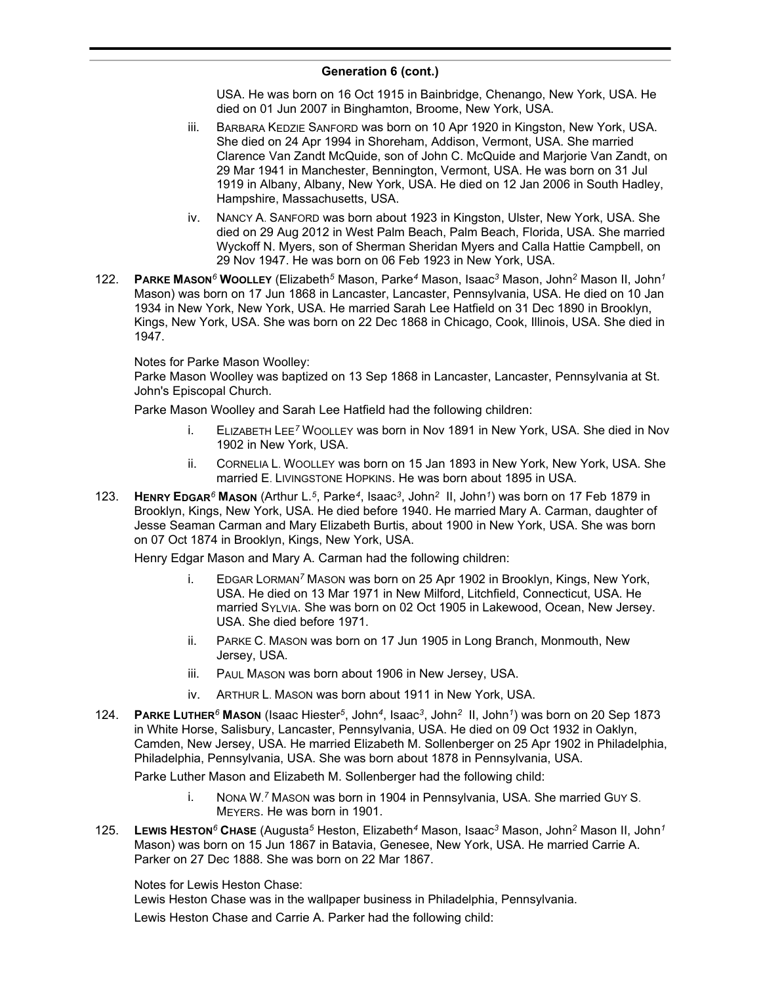USA. He was born on 16 Oct 1915 in Bainbridge, Chenango, New York, USA. He died on 01 Jun 2007 in Binghamton, Broome, New York, USA.

- iii. BARBARA KEDZIE SANFORD was born on 10 Apr 1920 in Kingston, New York, USA. She died on 24 Apr 1994 in Shoreham, Addison, Vermont, USA. She married Clarence Van Zandt McQuide, son of John C. McQuide and Marjorie Van Zandt, on 29 Mar 1941 in Manchester, Bennington, Vermont, USA. He was born on 31 Jul 1919 in Albany, Albany, New York, USA. He died on 12 Jan 2006 in South Hadley, Hampshire, Massachusetts, USA.
- iv. NANCY A. SANFORD was born about 1923 in Kingston, Ulster, New York, USA. She died on 29 Aug 2012 in West Palm Beach, Palm Beach, Florida, USA. She married Wyckoff N. Myers, son of Sherman Sheridan Myers and Calla Hattie Campbell, on 29 Nov 1947. He was born on 06 Feb 1923 in New York, USA.
- 122. **PARKE MASON***<sup>6</sup>* **WOOLLEY** (Elizabeth*<sup>5</sup>* Mason, Parke*<sup>4</sup>* Mason, Isaac*<sup>3</sup>* Mason, John*<sup>2</sup>* Mason II, John*<sup>1</sup>* Mason) was born on 17 Jun 1868 in Lancaster, Lancaster, Pennsylvania, USA. He died on 10 Jan 1934 in New York, New York, USA. He married Sarah Lee Hatfield on 31 Dec 1890 in Brooklyn, Kings, New York, USA. She was born on 22 Dec 1868 in Chicago, Cook, Illinois, USA. She died in 1947.

### Notes for Parke Mason Woolley:

Parke Mason Woolley was baptized on 13 Sep 1868 in Lancaster, Lancaster, Pennsylvania at St. John's Episcopal Church.

Parke Mason Woolley and Sarah Lee Hatfield had the following children:

- i. ELIZABETH LEE*<sup>7</sup>* WOOLLEY was born in Nov 1891 in New York, USA. She died in Nov 1902 in New York, USA.
- ii. CORNELIA L. WOOLLEY was born on 15 Jan 1893 in New York, New York, USA. She married E. LIVINGSTONE HOPKINS. He was born about 1895 in USA.
- 123. **HENRY EDGAR***<sup>6</sup>* **MASON** (Arthur L.*<sup>5</sup>* , Parke*<sup>4</sup>* , Isaac*<sup>3</sup>* , John*<sup>2</sup>* II, John*<sup>1</sup>* ) was born on 17 Feb 1879 in Brooklyn, Kings, New York, USA. He died before 1940. He married Mary A. Carman, daughter of Jesse Seaman Carman and Mary Elizabeth Burtis, about 1900 in New York, USA. She was born on 07 Oct 1874 in Brooklyn, Kings, New York, USA.

Henry Edgar Mason and Mary A. Carman had the following children:

- i. EDGAR LORMAN*<sup>7</sup>* MASON was born on 25 Apr 1902 in Brooklyn, Kings, New York, USA. He died on 13 Mar 1971 in New Milford, Litchfield, Connecticut, USA. He married SYLVIA. She was born on 02 Oct 1905 in Lakewood, Ocean, New Jersey. USA. She died before 1971.
- ii. PARKE C. MASON was born on 17 Jun 1905 in Long Branch, Monmouth, New Jersey, USA.
- iii. PAUL MASON was born about 1906 in New Jersey, USA.
- iv. ARTHUR L. MASON was born about 1911 in New York, USA.
- 124. **PARKE LUTHER***<sup>6</sup>* **MASON** (Isaac Hiester*<sup>5</sup>* , John*<sup>4</sup>* , Isaac*<sup>3</sup>* , John*<sup>2</sup>* II, John*<sup>1</sup>* ) was born on 20 Sep 1873 in White Horse, Salisbury, Lancaster, Pennsylvania, USA. He died on 09 Oct 1932 in Oaklyn, Camden, New Jersey, USA. He married Elizabeth M. Sollenberger on 25 Apr 1902 in Philadelphia, Philadelphia, Pennsylvania, USA. She was born about 1878 in Pennsylvania, USA.

Parke Luther Mason and Elizabeth M. Sollenberger had the following child:

- i. NONA W. *<sup>7</sup>* MASON was born in 1904 in Pennsylvania, USA. She married GUY S. MEYERS. He was born in 1901.
- 125. **LEWIS HESTON***<sup>6</sup>* **CHASE** (Augusta*<sup>5</sup>* Heston, Elizabeth*<sup>4</sup>* Mason, Isaac*<sup>3</sup>* Mason, John*<sup>2</sup>* Mason II, John*<sup>1</sup>* Mason) was born on 15 Jun 1867 in Batavia, Genesee, New York, USA. He married Carrie A. Parker on 27 Dec 1888. She was born on 22 Mar 1867.

Notes for Lewis Heston Chase:

Lewis Heston Chase was in the wallpaper business in Philadelphia, Pennsylvania.

Lewis Heston Chase and Carrie A. Parker had the following child: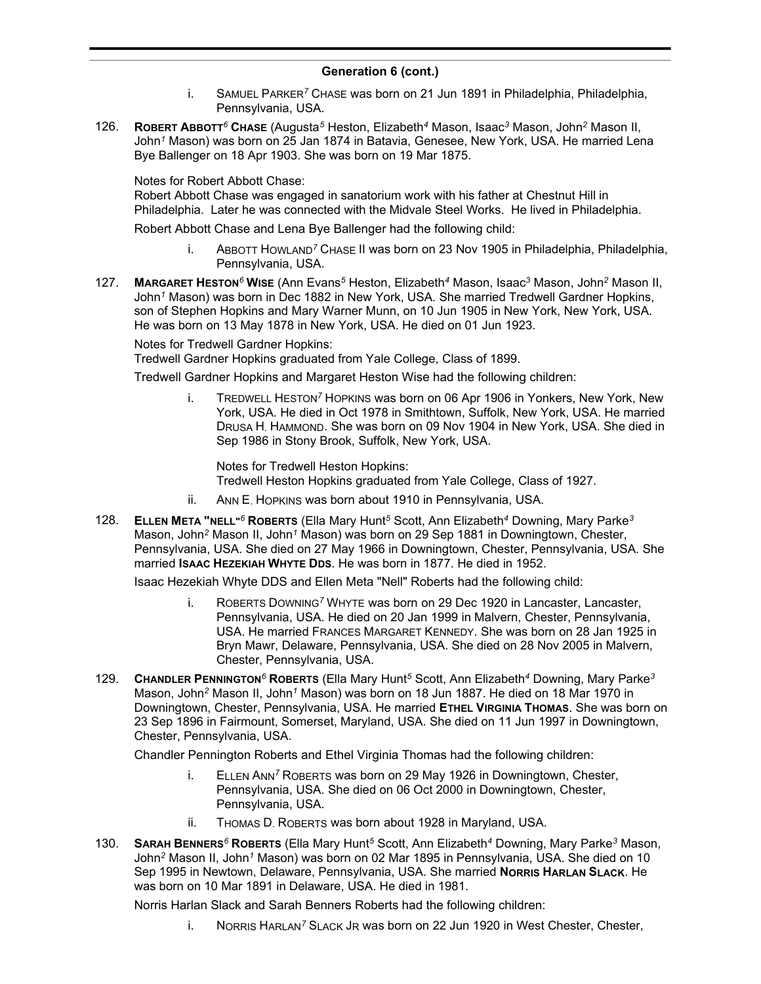- i. SAMUEL PARKER*<sup>7</sup>* CHASE was born on 21 Jun 1891 in Philadelphia, Philadelphia, Pennsylvania, USA.
- 126. **ROBERT ABBOTT***<sup>6</sup>* **CHASE** (Augusta*<sup>5</sup>* Heston, Elizabeth*<sup>4</sup>* Mason, Isaac*<sup>3</sup>* Mason, John*<sup>2</sup>* Mason II, John*<sup>1</sup>* Mason) was born on 25 Jan 1874 in Batavia, Genesee, New York, USA. He married Lena Bye Ballenger on 18 Apr 1903. She was born on 19 Mar 1875.

Notes for Robert Abbott Chase:

Robert Abbott Chase was engaged in sanatorium work with his father at Chestnut Hill in Philadelphia. Later he was connected with the Midvale Steel Works. He lived in Philadelphia.

Robert Abbott Chase and Lena Bye Ballenger had the following child:

- i. ABBOTT HOWLAND*<sup>7</sup>* CHASE II was born on 23 Nov 1905 in Philadelphia, Philadelphia, Pennsylvania, USA.
- 127. **MARGARET HESTON***<sup>6</sup>* **WISE** (Ann Evans*<sup>5</sup>* Heston, Elizabeth*<sup>4</sup>* Mason, Isaac*<sup>3</sup>* Mason, John*<sup>2</sup>* Mason II, John*<sup>1</sup>* Mason) was born in Dec 1882 in New York, USA. She married Tredwell Gardner Hopkins, son of Stephen Hopkins and Mary Warner Munn, on 10 Jun 1905 in New York, New York, USA. He was born on 13 May 1878 in New York, USA. He died on 01 Jun 1923.

Notes for Tredwell Gardner Hopkins:

Tredwell Gardner Hopkins graduated from Yale College, Class of 1899.

Tredwell Gardner Hopkins and Margaret Heston Wise had the following children:

i. TREDWELL HESTON*<sup>7</sup>* HOPKINS was born on 06 Apr 1906 in Yonkers, New York, New York, USA. He died in Oct 1978 in Smithtown, Suffolk, New York, USA. He married DRUSA H. HAMMOND. She was born on 09 Nov 1904 in New York, USA. She died in Sep 1986 in Stony Brook, Suffolk, New York, USA.

Notes for Tredwell Heston Hopkins: Tredwell Heston Hopkins graduated from Yale College, Class of 1927.

- ii. ANN E. HOPKINS was born about 1910 in Pennsylvania, USA.
- 128. **ELLEN META "NELL"***<sup>6</sup>* **ROBERTS** (Ella Mary Hunt*<sup>5</sup>* Scott, Ann Elizabeth*<sup>4</sup>* Downing, Mary Parke*<sup>3</sup>* Mason, John*<sup>2</sup>* Mason II, John*<sup>1</sup>* Mason) was born on 29 Sep 1881 in Downingtown, Chester, Pennsylvania, USA. She died on 27 May 1966 in Downingtown, Chester, Pennsylvania, USA. She married **ISAAC HEZEKIAH WHYTE DDS**. He was born in 1877. He died in 1952.

Isaac Hezekiah Whyte DDS and Ellen Meta "Nell" Roberts had the following child:

- i. ROBERTS DOWNING*<sup>7</sup>* WHYTE was born on 29 Dec 1920 in Lancaster, Lancaster, Pennsylvania, USA. He died on 20 Jan 1999 in Malvern, Chester, Pennsylvania, USA. He married FRANCES MARGARET KENNEDY. She was born on 28 Jan 1925 in Bryn Mawr, Delaware, Pennsylvania, USA. She died on 28 Nov 2005 in Malvern, Chester, Pennsylvania, USA.
- 129. **CHANDLER PENNINGTON***<sup>6</sup>* **ROBERTS** (Ella Mary Hunt*<sup>5</sup>* Scott, Ann Elizabeth*<sup>4</sup>* Downing, Mary Parke*<sup>3</sup>* Mason, John*<sup>2</sup>* Mason II, John*<sup>1</sup>* Mason) was born on 18 Jun 1887. He died on 18 Mar 1970 in Downingtown, Chester, Pennsylvania, USA. He married **ETHEL VIRGINIA THOMAS**. She was born on 23 Sep 1896 in Fairmount, Somerset, Maryland, USA. She died on 11 Jun 1997 in Downingtown, Chester, Pennsylvania, USA.

Chandler Pennington Roberts and Ethel Virginia Thomas had the following children:

- i. ELLEN ANN*<sup>7</sup>* ROBERTS was born on 29 May 1926 in Downingtown, Chester, Pennsylvania, USA. She died on 06 Oct 2000 in Downingtown, Chester, Pennsylvania, USA.
- ii. THOMAS D. ROBERTS was born about 1928 in Maryland, USA.
- 130. **SARAH BENNERS***<sup>6</sup>* **ROBERTS** (Ella Mary Hunt*<sup>5</sup>* Scott, Ann Elizabeth*<sup>4</sup>* Downing, Mary Parke*<sup>3</sup>* Mason, John*<sup>2</sup>* Mason II, John*<sup>1</sup>* Mason) was born on 02 Mar 1895 in Pennsylvania, USA. She died on 10 Sep 1995 in Newtown, Delaware, Pennsylvania, USA. She married **NORRIS HARLAN SLACK**. He was born on 10 Mar 1891 in Delaware, USA. He died in 1981.

Norris Harlan Slack and Sarah Benners Roberts had the following children:

i. NORRIS HARLAN*<sup>7</sup>* SLACK JR was born on 22 Jun 1920 in West Chester, Chester,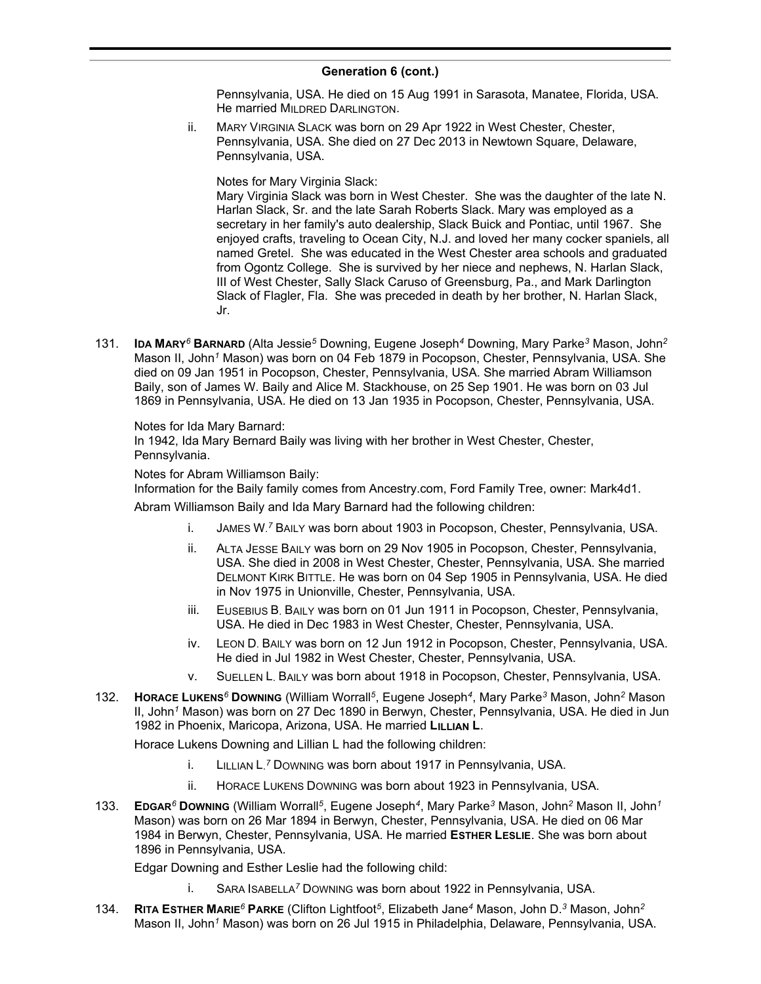Pennsylvania, USA. He died on 15 Aug 1991 in Sarasota, Manatee, Florida, USA. He married MILDRED DARLINGTON.

ii. MARY VIRGINIA SLACK was born on 29 Apr 1922 in West Chester, Chester, Pennsylvania, USA. She died on 27 Dec 2013 in Newtown Square, Delaware, Pennsylvania, USA.

Notes for Mary Virginia Slack:

Mary Virginia Slack was born in West Chester. She was the daughter of the late N. Harlan Slack, Sr. and the late Sarah Roberts Slack. Mary was employed as a secretary in her family's auto dealership, Slack Buick and Pontiac, until 1967. She enjoyed crafts, traveling to Ocean City, N.J. and loved her many cocker spaniels, all named Gretel. She was educated in the West Chester area schools and graduated from Ogontz College. She is survived by her niece and nephews, N. Harlan Slack, III of West Chester, Sally Slack Caruso of Greensburg, Pa., and Mark Darlington Slack of Flagler, Fla. She was preceded in death by her brother, N. Harlan Slack, Jr.

131. **IDA MARY***<sup>6</sup>* **BARNARD** (Alta Jessie*<sup>5</sup>* Downing, Eugene Joseph*<sup>4</sup>* Downing, Mary Parke*<sup>3</sup>* Mason, John*<sup>2</sup>* Mason II, John*<sup>1</sup>* Mason) was born on 04 Feb 1879 in Pocopson, Chester, Pennsylvania, USA. She died on 09 Jan 1951 in Pocopson, Chester, Pennsylvania, USA. She married Abram Williamson Baily, son of James W. Baily and Alice M. Stackhouse, on 25 Sep 1901. He was born on 03 Jul 1869 in Pennsylvania, USA. He died on 13 Jan 1935 in Pocopson, Chester, Pennsylvania, USA.

Notes for Ida Mary Barnard:

In 1942, Ida Mary Bernard Baily was living with her brother in West Chester, Chester, Pennsylvania.

Notes for Abram Williamson Baily:

Information for the Baily family comes from Ancestry.com, Ford Family Tree, owner: Mark4d1.

Abram Williamson Baily and Ida Mary Barnard had the following children:

- i. JAMES W. *<sup>7</sup>* BAILY was born about 1903 in Pocopson, Chester, Pennsylvania, USA.
- ii. ALTA JESSE BAILY was born on 29 Nov 1905 in Pocopson, Chester, Pennsylvania, USA. She died in 2008 in West Chester, Chester, Pennsylvania, USA. She married DELMONT KIRK BITTLE. He was born on 04 Sep 1905 in Pennsylvania, USA. He died in Nov 1975 in Unionville, Chester, Pennsylvania, USA.
- iii. EUSEBIUS B. BAILY was born on 01 Jun 1911 in Pocopson, Chester, Pennsylvania, USA. He died in Dec 1983 in West Chester, Chester, Pennsylvania, USA.
- iv. LEON D. BAILY was born on 12 Jun 1912 in Pocopson, Chester, Pennsylvania, USA. He died in Jul 1982 in West Chester, Chester, Pennsylvania, USA.
- v. SUELLEN L. BAILY was born about 1918 in Pocopson, Chester, Pennsylvania, USA.
- 132. **HORACE LUKENS***<sup>6</sup>* **DOWNING** (William Worrall*<sup>5</sup>* , Eugene Joseph*<sup>4</sup>* , Mary Parke*<sup>3</sup>* Mason, John*<sup>2</sup>* Mason II, John*<sup>1</sup>* Mason) was born on 27 Dec 1890 in Berwyn, Chester, Pennsylvania, USA. He died in Jun 1982 in Phoenix, Maricopa, Arizona, USA. He married **LILLIAN L**.

Horace Lukens Downing and Lillian L had the following children:

- i. LILLIAN L. *<sup>7</sup>* DOWNING was born about 1917 in Pennsylvania, USA.
- ii. HORACE LUKENS DOWNING was born about 1923 in Pennsylvania, USA.
- 133. **EDGAR***<sup>6</sup>* **DOWNING** (William Worrall*<sup>5</sup>* , Eugene Joseph*<sup>4</sup>* , Mary Parke*<sup>3</sup>* Mason, John*<sup>2</sup>* Mason II, John*<sup>1</sup>* Mason) was born on 26 Mar 1894 in Berwyn, Chester, Pennsylvania, USA. He died on 06 Mar 1984 in Berwyn, Chester, Pennsylvania, USA. He married **ESTHER LESLIE**. She was born about 1896 in Pennsylvania, USA.

Edgar Downing and Esther Leslie had the following child:

- i. SARA ISABELLA*<sup>7</sup>* DOWNING was born about 1922 in Pennsylvania, USA.
- 134. **RITA ESTHER MARIE***<sup>6</sup>* **PARKE** (Clifton Lightfoot*<sup>5</sup>* , Elizabeth Jane*<sup>4</sup>* Mason, John D.*<sup>3</sup>* Mason, John*<sup>2</sup>* Mason II, John*<sup>1</sup>* Mason) was born on 26 Jul 1915 in Philadelphia, Delaware, Pennsylvania, USA.